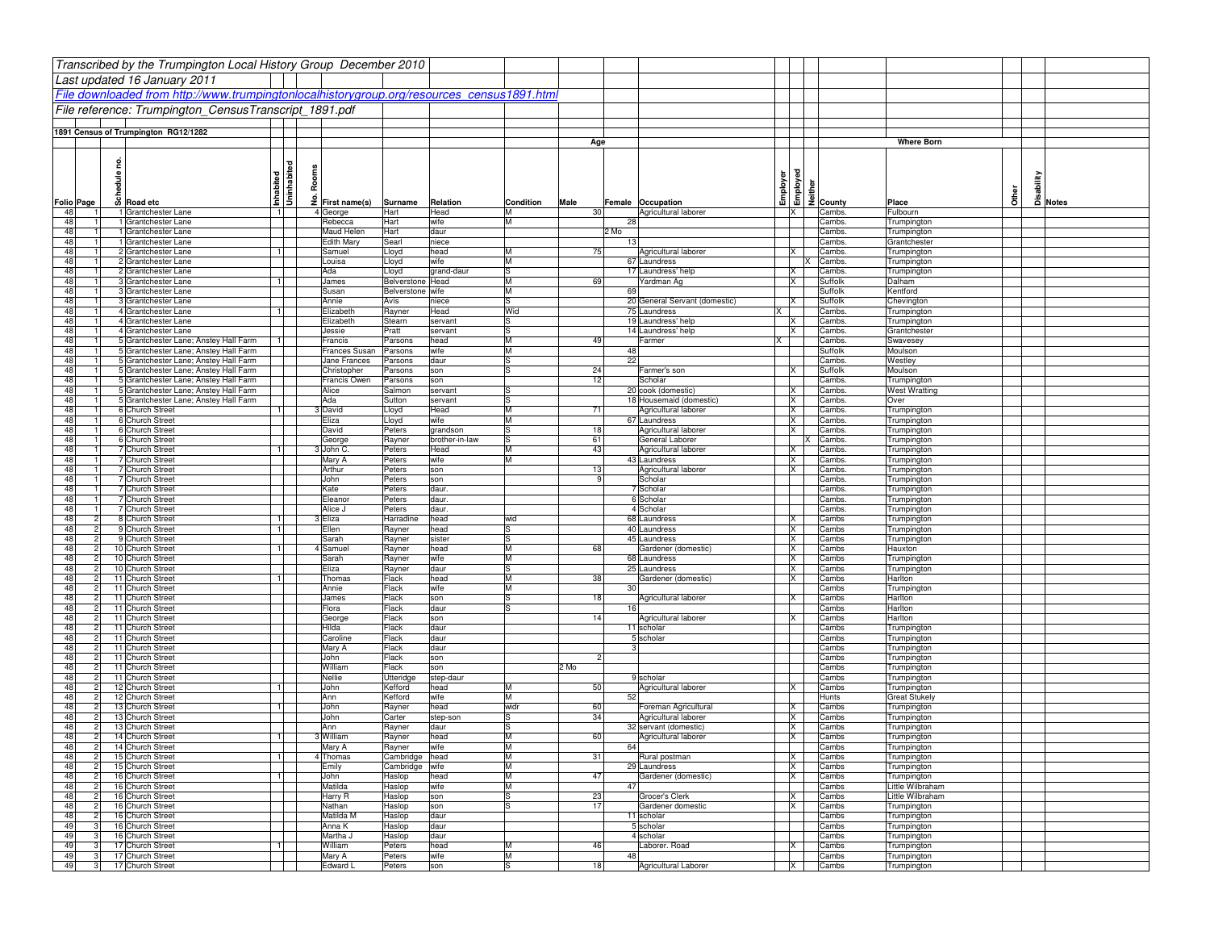|            |                                  | Transcribed by the Trumpington Local History Group December 2010                           |                |                             |                                      |                        |           |           |                 |                                         |          |                                              |                            |                                   |
|------------|----------------------------------|--------------------------------------------------------------------------------------------|----------------|-----------------------------|--------------------------------------|------------------------|-----------|-----------|-----------------|-----------------------------------------|----------|----------------------------------------------|----------------------------|-----------------------------------|
|            |                                  | Last updated 16 January 2011                                                               |                |                             |                                      |                        |           |           |                 |                                         |          |                                              |                            |                                   |
|            |                                  |                                                                                            |                |                             |                                      |                        |           |           |                 |                                         |          |                                              |                            |                                   |
|            |                                  | File downloaded from http://www.trumpingtonlocalhistorygroup.org/resources_census1891.html |                |                             |                                      |                        |           |           |                 |                                         |          |                                              |                            |                                   |
|            |                                  | File reference: Trumpington CensusTranscript 1891.pdf                                      |                |                             |                                      |                        |           |           |                 |                                         |          |                                              |                            |                                   |
|            |                                  |                                                                                            |                |                             |                                      |                        |           |           |                 |                                         |          |                                              |                            |                                   |
|            |                                  | 1891 Census of Trumpington RG12/1282                                                       |                |                             |                                      |                        |           |           |                 |                                         |          |                                              | <b>Where Born</b>          |                                   |
|            |                                  |                                                                                            |                |                             |                                      |                        |           | Age       |                 |                                         |          |                                              |                            |                                   |
|            | 2                                |                                                                                            |                |                             |                                      |                        |           |           |                 |                                         |          |                                              |                            |                                   |
|            |                                  |                                                                                            |                | Uninhabited                 |                                      |                        |           |           |                 |                                         |          |                                              |                            |                                   |
|            | hedule                           |                                                                                            |                | Room                        |                                      |                        |           |           |                 |                                         |          |                                              |                            |                                   |
|            |                                  |                                                                                            | Inhabited      |                             |                                      |                        |           |           |                 |                                         |          | Employer<br>Employed<br>Employed<br>Employer | Other                      | Disability<br>Disability<br>Notes |
| Folio Page |                                  | o Road etc                                                                                 |                | $\frac{3}{2}$ First name(s) | Surname                              | Relation               | Condition | Male      |                 | Female Occupation                       |          |                                              | Place                      |                                   |
| 48<br>48   |                                  | 1 Grantchester Lane<br>1 Grantchester Lane                                                 | $\overline{1}$ | 4 George<br>Rebecca         | Hart<br>Hart                         | Head<br>wife           | м<br>M    | 30        | 28              | Agricultural laborer                    | IX.      | Cambs<br>Cambs.                              | Fulbourn<br>Trumpington    |                                   |
| 48         |                                  | 1 Grantchester Lane                                                                        |                | Maud Helen                  | Hart                                 | daur                   |           |           | 2 Mo            |                                         |          | Cambs.                                       | Trumpington                |                                   |
| 48         |                                  | 1 Grantchester Lane                                                                        |                | Edith Mary                  | Searl                                | niece                  |           |           | 13              |                                         |          | Cambs.                                       | Grantchester               |                                   |
| 48         |                                  | 2 Grantchester Lane                                                                        | $\blacksquare$ | Samuel                      | Lloyd                                | head                   | M         | 75        |                 | Agricultural laborer                    |          | Cambs.                                       | Trumpington                |                                   |
| 48         |                                  | 2 Grantchester Lane                                                                        |                | ouisa.                      | Lloyd                                | wife                   | Iм        |           |                 | 67 Laundress                            |          | Cambs                                        | Trumpington                |                                   |
| 48         |                                  | 2 Grantchester Lane                                                                        |                | Ada                         | Lloyd                                | grand-daur             | lS        |           |                 | 17 Laundress' help                      | X        | Cambs                                        | Trumpington                |                                   |
| 48<br>48   |                                  | 3 Grantchester Lane<br>3 Grantchester Lane                                                 |                | James<br>Susan              | Belverstone Head<br>Belverstone wife |                        | M<br>M    | 69        | 69              | Yardman Ag                              | IX       | Suffolk<br>Suffolk                           | Dalham<br>Kentford         |                                   |
| 48         |                                  | 3 Grantchester Lane                                                                        |                | Annie                       | Avis                                 | niece                  | ls        |           |                 | 20 General Servant (domestic)           | lx       | Suffolk                                      | Chevington                 |                                   |
| 48         |                                  | 4 Grantchester Lane                                                                        | $\blacksquare$ | Elizabeth                   | Rayner                               | Head                   | Wid       |           |                 | 75 Laundress<br>ΙX                      |          | Cambs.                                       | Trumpington                |                                   |
| 48         |                                  | 4 Grantchester Lane                                                                        |                | Elizabeth                   | Stearn                               | servant                | S         |           |                 | 19 Laundress' help                      | ΙX       | Cambs.                                       | Trumpington                |                                   |
| 48         |                                  | 4 Grantchester Lane                                                                        |                | Jessie                      | Pratt                                | servant                | lS        |           |                 | 14 Laundress' help                      | X        | Cambs.                                       | Grantchester               |                                   |
| 48         |                                  | 5 Grantchester Lane; Anstey Hall Farm                                                      |                | Francis                     | Parsons                              | head                   | M         | 49        |                 | Farmer<br>IX.                           |          | Cambs                                        | Swavesey                   |                                   |
| 48         |                                  | 5 Grantchester Lane; Anstey Hall Farm                                                      |                | Frances Susan               | Parsons                              | wife                   | M         |           | 48<br>22        |                                         |          | Suffolk                                      | Moulson                    |                                   |
| 48<br>48   |                                  | 5 Grantchester Lane; Anstey Hall Farm<br>5 Grantchester Lane; Anstey Hall Farm             |                | Jane Frances<br>Christopher | Parsons<br>Parsons                   | daur<br>son            | ls<br>ls  | 24        |                 | Farmer's son                            | IX       | Cambs.<br>Suffolk                            | Westley<br>Moulson         |                                   |
| 48         |                                  | 5 Grantchester Lane; Anstey Hall Farm                                                      |                | Francis Owen                | Parsons                              | son                    |           | 12        |                 | Scholar                                 |          | Cambs.                                       | Trumpington                |                                   |
| 48         |                                  | 5 Grantchester Lane; Anstey Hall Farm                                                      |                | Alice                       | Salmon                               | servant                |           |           |                 | 20 cook (domestic)                      | X        | Cambs.                                       | <b>West Wratting</b>       |                                   |
| 48         |                                  | 5 Grantchester Lane; Anstey Hall Farm                                                      |                | Ada                         | Sutton                               | servant                | ß         |           |                 | 18 Housemaid (domestic)                 | X        | Cambs.                                       | Over                       |                                   |
| 48         |                                  | 6 Church Street                                                                            |                | 3 David                     | Lloyd                                | Head                   | Iм        | 71        |                 | Agricultural laborer                    | <b>X</b> | Cambs.                                       | Trumpington                |                                   |
| 48         |                                  | 6 Church Street                                                                            |                | Eliza                       | Lloyd                                | wife                   | lм        |           |                 | 67 Laundress                            | X        | Cambs.                                       | Trumpington                |                                   |
| 48         |                                  | 6 Church Street                                                                            |                | David                       | Peters                               | grandson               | ls<br>ls  | 18        |                 | Agricultural laborer                    | X        | Cambs.                                       | Trumpington                |                                   |
| 48<br>48   |                                  | 6 Church Street<br>7 Church Street                                                         |                | George<br>3 John C.         | Rayner<br>Peters                     | brother-in-law<br>Head |           | 61<br>43  |                 | General Laborer<br>Agricultural laborer | X        | Cambs.<br>Cambs.                             | Trumpington<br>Trumpington |                                   |
| 48         |                                  | 7 Church Street                                                                            |                | Mary A                      | Peters                               | wife                   | M         |           |                 | 43 Laundress                            | ΙX       | Cambs.                                       | Trumpington                |                                   |
| 48         |                                  | 7 Church Street                                                                            |                | Arthur                      | Peters                               | son                    |           | 13        |                 | Agricultural laborer                    | X        | Cambs.                                       | Trumpington                |                                   |
| 48         |                                  | 7 Church Street                                                                            |                | John                        | Peters                               | son                    |           | q         |                 | Scholar                                 |          | Cambs.                                       | Trumpington                |                                   |
| 48         |                                  | 7 Church Street                                                                            |                | Kate                        | Peters                               | daur.                  |           |           |                 | 7 Scholar                               |          | Cambs.                                       | Trumpington                |                                   |
| 48         |                                  | 7 Church Street                                                                            |                | Eleanor                     | Peters                               | daur.                  |           |           |                 | 6 Scholar                               |          | Cambs.                                       | Trumpington                |                                   |
| 48         |                                  | 7 Church Street                                                                            |                | Alice J                     | Peters                               | daur.                  |           |           |                 | 4 Scholar                               |          | Cambs.                                       | Trumpington                |                                   |
| 48<br>48   |                                  | 8 Church Street<br>9 Church Street                                                         | $\mathbf{1}$   | 3 Eliza<br>Ellen            | Harradine<br>Rayner                  | head<br>head           | wid<br>lS |           |                 | 68 Laundress<br>40 Laundress            | X<br> X  | Cambs<br>Cambs                               | Trumpington<br>Trumpington |                                   |
| 48         |                                  | 9 Church Street                                                                            |                | Sarah                       | Rayner                               | sister                 | ls        |           |                 | 45 Laundress                            | <b>X</b> | Cambs                                        | Trumpington                |                                   |
| 48         |                                  | 10 Church Street                                                                           | $\blacksquare$ | 4 Samuel                    | Rayner                               | head                   | M         | 68        |                 | Gardener (domestic)                     | <b>X</b> | Cambs                                        | Hauxton                    |                                   |
| 48         | 2                                | 10 Church Street                                                                           |                | Sarah                       | Rayner                               | wife                   | M         |           |                 | 68 Laundress                            | IX       | Cambs                                        | Trumpington                |                                   |
| 48         |                                  | 10 Church Street                                                                           |                | Eliza                       | Rayner                               | daur                   | S         |           |                 | 25 Laundress                            | ΙX       | Cambs                                        | Trumpington                |                                   |
| 48         |                                  | 11 Church Street                                                                           | 11             | Thomas                      | Flack                                | head                   | M         | 38        |                 | Gardener (domestic)                     | X        | Cambs                                        | Harlton                    |                                   |
| 48<br>48   |                                  | 11 Church Street<br>11 Church Street                                                       |                | Annie<br>James              | Flack<br>Flack                       | wife<br>son            | M<br>ls   | 18        | 30 <sub>l</sub> | Agricultural laborer                    | X        | Cambs<br>Cambs                               | Trumpington<br>Harlton     |                                   |
| 48         |                                  | 11 Church Street                                                                           |                | Flora                       | Flack                                | daur                   |           |           | 16              |                                         |          | Cambs                                        | Harlton                    |                                   |
| 48         |                                  | 11 Church Street                                                                           |                | George                      | Flack                                | son                    |           | 14        |                 | Agricultural laborer                    | lx.      | Cambs                                        | Harlton                    |                                   |
| 48         |                                  | 11 Church Street                                                                           |                | Hilda                       | Flack                                | daur                   |           |           |                 | 11 scholar                              |          | Cambs                                        | Trumpington                |                                   |
| 48         |                                  | 11 Church Street                                                                           |                | Caroline                    | Flack                                | daur                   |           |           |                 | 5 scholar                               |          | Cambs                                        | Trumpington                |                                   |
| 48         |                                  | 11 Church Street                                                                           |                | Mary A                      | Flack                                | daur                   |           |           | 3               |                                         |          | Cambs                                        | Trumpington                |                                   |
| 48<br>48   |                                  | 11 Church Street<br>11 Church Street                                                       |                | John                        | Flack                                | son                    |           | 2<br>2 Mo |                 |                                         |          | Cambs                                        | Trumpington                |                                   |
| 48         |                                  | 11 Church Street                                                                           |                | William<br>Nellie           | Flack<br>Utteridge                   | son<br>step-daur       |           |           |                 | 9 scholar                               |          | Cambs<br>Cambs                               | Trumpington<br>Trumpington |                                   |
| 48         |                                  | 12 Church Street                                                                           |                | John                        | Kefford                              | head                   |           | 50        |                 | Agricultural laborer                    |          | Cambs                                        | Trumpington                |                                   |
| 48         |                                  | 12 Church Street                                                                           |                | Ann                         | Kefford                              | wife                   |           |           | 52              |                                         |          | Hunts                                        | Great Stukely              |                                   |
| 48         |                                  | 13 Church Street                                                                           |                | John                        | Rayner                               | head                   | widr      | 60        |                 | Foreman Agricultural                    | ΙX       | Cambs                                        | Trumpington                |                                   |
| 48         |                                  | 13 Church Street                                                                           |                | John                        | Carter                               | step-son               | S         | 34        |                 | Agricultural laborer                    | ΙX       | Cambs                                        | Trumpington                |                                   |
| 48         |                                  | 13 Church Street                                                                           |                | Ann                         | Rayner                               | daur                   | S.        |           |                 | 32 servant (domestic)                   | X        | Cambs                                        | Trumpington                |                                   |
| 48<br>48   | $\overline{2}$<br>$\overline{2}$ | 14 Church Street<br>14 Church Street                                                       | 11             | 3 William                   | Rayner                               | head                   | M         | 60        | 64              | Agricultural laborer                    | <b>X</b> | Cambs                                        | Trumpington<br>Trumpington |                                   |
| 48         | $\overline{2}$                   | 15 Church Street                                                                           | 1              | Mary A<br>4 Thomas          | Rayner<br>Cambridge head             | wife                   | IМ<br>M   | 31        |                 | Rural postman                           | X        | Cambs<br>Cambs                               | Trumpington                |                                   |
| 48         | 2                                | 15 Church Street                                                                           |                | Emily                       | Cambridge wife                       |                        | M         |           |                 | 29 Laundress                            | X        | Cambs                                        | Trumpington                |                                   |
| 48         |                                  | 16 Church Street                                                                           | -11            | John                        | Haslop                               | head                   | M         | 47        |                 | Gardener (domestic)                     | IX.      | Cambs                                        | Trumpington                |                                   |
| 48         |                                  | 16 Church Street                                                                           |                | Matilda                     | Haslop                               | wife                   | M         |           | 47              |                                         |          | Cambs                                        | Little Wilbraham           |                                   |
| 48         |                                  | 16 Church Street                                                                           |                | Harry R                     | Haslop                               | son                    | ls        | 23        |                 | Grocer's Clerk                          | <b>X</b> | Cambs                                        | Little Wilbraham           |                                   |
| 48         | 2                                | 16 Church Street                                                                           |                | Nathan                      | Haslop                               | son                    | Is        | 17        |                 | Gardener domestic                       | lx       | Cambs                                        | Trumpington                |                                   |
| 48<br>49   |                                  | 16 Church Street<br>16 Church Street                                                       |                | Matilda M<br>Anna K         | Haslop<br>Haslop                     | daur<br>daur           |           |           |                 | 11 scholar<br>5 scholar                 |          | Cambs<br>Cambs                               | Trumpington<br>Trumpington |                                   |
| 49         |                                  | 16 Church Street                                                                           |                | Martha J                    | Haslop                               | daur                   |           |           |                 | 4 scholar                               |          | Cambs                                        | Trumpington                |                                   |
| 49         |                                  | 17 Church Street                                                                           | $\mathbf{1}$   | William                     | Peters                               | head                   | M         | 46        |                 | Laborer, Road                           | X        | Cambs                                        | Trumpington                |                                   |
| 49         |                                  | 17 Church Street                                                                           |                | Mary A                      | Peters                               | wife                   | M         |           | 48              |                                         |          | Cambs                                        | Trumpington                |                                   |
| 49         | $\mathbf{3}$                     | 17 Church Street                                                                           |                | Edward L                    | Peters                               | son                    | ls        | 18        |                 | Agricultural Laborer                    | $\times$ | Cambs                                        | Trumpington                |                                   |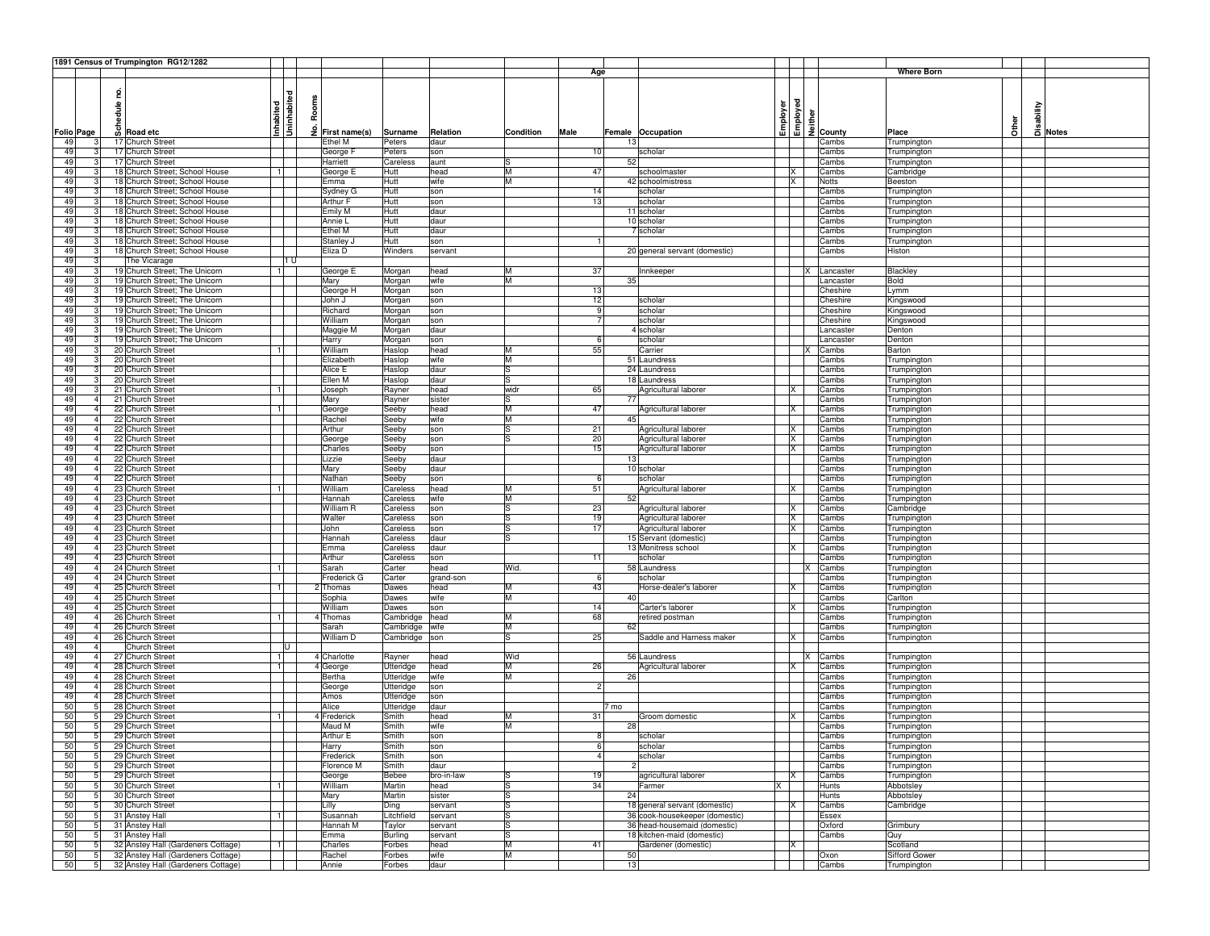|                   |                 |           | 1891 Census of Trumpington RG12/1282 |                        |                    |                |            |           |                |                                |              |              |                                                                                                                                                                                                                                                                                                                   |                   |              |            |              |
|-------------------|-----------------|-----------|--------------------------------------|------------------------|--------------------|----------------|------------|-----------|----------------|--------------------------------|--------------|--------------|-------------------------------------------------------------------------------------------------------------------------------------------------------------------------------------------------------------------------------------------------------------------------------------------------------------------|-------------------|--------------|------------|--------------|
|                   |                 |           |                                      |                        |                    |                |            |           | Age            |                                |              |              |                                                                                                                                                                                                                                                                                                                   | <b>Where Born</b> |              |            |              |
|                   |                 |           |                                      |                        |                    |                |            |           |                |                                |              |              |                                                                                                                                                                                                                                                                                                                   |                   |              |            |              |
|                   |                 | hedule no |                                      | ᄝ                      |                    |                |            |           |                |                                |              |              |                                                                                                                                                                                                                                                                                                                   |                   |              |            |              |
|                   |                 |           |                                      |                        | Rooms              |                |            |           |                |                                |              |              |                                                                                                                                                                                                                                                                                                                   |                   |              |            |              |
|                   |                 |           |                                      |                        |                    |                |            |           |                |                                |              |              |                                                                                                                                                                                                                                                                                                                   |                   |              |            |              |
|                   |                 |           |                                      | Uninhabit<br>Inhabited |                    |                |            |           |                |                                | Employer     |              | $\begin{array}{c}\n\bullet \\ \bullet \\ \hline\n\end{array}\n\begin{array}{c}\n\bullet \\ \bullet \\ \hline\n\end{array}\n\begin{array}{c}\n\bullet \\ \bullet \\ \hline\n\end{array}\n\begin{array}{c}\n\bullet \\ \bullet \\ \hline\n\end{array}\n\begin{array}{c}\n\bullet \\ \bullet \\ \hline\n\end{array}$ |                   | <b>Other</b> | Disability |              |
| <b>Folio Page</b> |                 |           | $\overline{S}$ Road etc              |                        | £<br>First name(s) | Surname        | Relation   | Condition | Male           | Female Occupation              |              |              |                                                                                                                                                                                                                                                                                                                   | Place             |              |            | <b>Notes</b> |
| 49                | 3               |           | 17 Church Street                     |                        | Ethel M            | Peters         | daur       |           |                | 13                             |              |              | Cambs                                                                                                                                                                                                                                                                                                             | Trumpington       |              |            |              |
| 49                | 3               |           | 17 Church Street                     |                        | George I           | Peters         | son        |           | 10             | scholar                        |              |              | Cambs                                                                                                                                                                                                                                                                                                             | Trumpington       |              |            |              |
| 49                |                 |           | 17 Church Street                     |                        | Harriett           | Careless       | aunt       |           |                | 52                             |              |              | Cambs                                                                                                                                                                                                                                                                                                             | Trumpington       |              |            |              |
| 49                | 3               |           | 18 Church Street; School House       | 11                     | George E           | Hutt           | head       | M         | 47             | schoolmaster                   |              | X            | Cambs                                                                                                                                                                                                                                                                                                             | Cambridge         |              |            |              |
| 49                | 3               |           | 18 Church Street; School House       |                        | Emma               | Hutt           | wife       | M         |                | 42 schoolmistress              |              | X            | Notts                                                                                                                                                                                                                                                                                                             | Beeston           |              |            |              |
| 49                |                 |           | 18 Church Street; School House       |                        | Sydney G           | Hutt           | son        |           | 14             | scholar                        |              |              | Cambs                                                                                                                                                                                                                                                                                                             | Trumpington       |              |            |              |
| 49                | 3               |           | 18 Church Street; School House       |                        | Arthur F           | Hutt           | son        |           | 13             | scholar                        |              |              | Cambs                                                                                                                                                                                                                                                                                                             | Trumpington       |              |            |              |
| 49                | з               |           | 18 Church Street; School House       |                        | Emily M            | Hutt           | daur       |           |                | 11 scholar                     |              |              | Cambs                                                                                                                                                                                                                                                                                                             | Trumpington       |              |            |              |
| 49                | 3               |           | 18 Church Street; School House       |                        | Annie L            | Hutt           | daur       |           |                | 10 scholar                     |              |              | Cambs                                                                                                                                                                                                                                                                                                             | Trumpington       |              |            |              |
| 49                | 3               |           | 18 Church Street; School House       |                        | Ethel M            | Hutt           | daur       |           |                | 7 scholar                      |              |              | Cambs                                                                                                                                                                                                                                                                                                             | Trumpington       |              |            |              |
| 49                | 3               |           | 18 Church Street; School House       |                        | Stanley J          | Hutt           | son        |           |                |                                |              |              | Cambs                                                                                                                                                                                                                                                                                                             | Trumpington       |              |            |              |
| 49                | 3               |           | 18 Church Street; School House       |                        | Eliza D            | Winders        | servant    |           |                | 20 general servant (domestic)  |              |              | Cambs                                                                                                                                                                                                                                                                                                             | Histon            |              |            |              |
| 49                | 3               |           | The Vicarage                         | 11 U                   |                    |                |            |           |                |                                |              |              |                                                                                                                                                                                                                                                                                                                   |                   |              |            |              |
| 49                | 3               |           | 19 Church Street; The Unicorn        | 11                     | George E           | Morgan         | head       | M         | 37             | Innkeeper                      |              |              | Lancaster                                                                                                                                                                                                                                                                                                         | Blackley          |              |            |              |
| 49                | 3               |           | 19 Church Street; The Unicorn        |                        | Mary               | Morgan         | wife       | M         |                | 35                             |              |              | Lancaster                                                                                                                                                                                                                                                                                                         | Bold              |              |            |              |
| 49                | 3               |           | 19 Church Street; The Unicorn        |                        | George H           | Morgan         | son        |           | 13             |                                |              |              | Cheshire                                                                                                                                                                                                                                                                                                          | Lymm              |              |            |              |
| 49                | 3               |           | 19 Church Street; The Unicorn        |                        | John J             | Morgan         | son        |           | 12             | scholar                        |              |              | Cheshire                                                                                                                                                                                                                                                                                                          | Kingswood         |              |            |              |
| 49                | 3               |           | 19 Church Street; The Unicorn        |                        | Richard            | Morgan         | son        |           | 9              | scholar                        |              |              | Cheshire                                                                                                                                                                                                                                                                                                          | Kingswood         |              |            |              |
| 49                | 3               |           | 19 Church Street; The Unicorn        |                        | William            | Morgan         | son        |           | 7              | scholar                        |              |              | Cheshire                                                                                                                                                                                                                                                                                                          | Kingswood         |              |            |              |
| 49                | 3               |           | 19 Church Street; The Unicorn        |                        | Maggie M           | Morgan         | daur       |           |                | 4 scholar                      |              |              | Lancaster                                                                                                                                                                                                                                                                                                         | Denton            |              |            |              |
| 49                | 3               |           | 19 Church Street; The Unicorn        |                        | Harry              | Morgan         | son        |           | 6              | scholar                        |              |              | Lancaster                                                                                                                                                                                                                                                                                                         | Denton            |              |            |              |
| 49                | 3               |           | 20 Church Street                     | 11                     | William            | Haslop         | head       | M         | 55             | Carrier                        |              |              | Cambs                                                                                                                                                                                                                                                                                                             | Barton            |              |            |              |
| 49                | 3               |           | 20 Church Street                     |                        | Elizabeth          | Haslop         | wife       | M         |                | 51 Laundress                   |              |              | Cambs                                                                                                                                                                                                                                                                                                             | Trumpington       |              |            |              |
| 49                | 3               |           | 20 Church Street                     |                        | Alice E            | Haslop         | daur       | lS        |                | 24 Laundress                   |              |              | Cambs                                                                                                                                                                                                                                                                                                             | Trumpington       |              |            |              |
| 49                | 3               |           | 20 Church Street                     |                        | Ellen M            | Haslop         | daur       | lS        |                | 18 Laundress                   |              |              | Cambs                                                                                                                                                                                                                                                                                                             | Trumpington       |              |            |              |
| 49                | 3               |           | 21 Church Street                     | 11                     | Joseph             | Rayner         | head       | widr      | 65             | Agricultural laborer           |              | IX.          | Cambs                                                                                                                                                                                                                                                                                                             | Trumpington       |              |            |              |
| 49                | $\overline{4}$  |           | 21 Church Street                     |                        | Mary               | Rayner         | sister     | S         |                | 77                             |              |              | Cambs                                                                                                                                                                                                                                                                                                             | Trumpington       |              |            |              |
| 49                | 4               |           | 22 Church Street                     | 1                      | George             | Seeby          | head       | M         | 47             | Agricultural laborer           |              | IX.          | Cambs                                                                                                                                                                                                                                                                                                             | Trumpington       |              |            |              |
| 49                |                 |           | 22 Church Street                     |                        | Rachel             | Seeby          | wife       | M         |                | 45                             |              |              | Cambs                                                                                                                                                                                                                                                                                                             | Trumpington       |              |            |              |
| 49                | 4               |           | 22 Church Street                     |                        | Arthur             | Seeby          | son        | ls        | 21             | Agricultural laborer           |              | X            | Cambs                                                                                                                                                                                                                                                                                                             | Trumpington       |              |            |              |
| 49                | $\overline{4}$  |           | 22 Church Street                     |                        |                    | Seeby          | son        | ıs        | 20             | Agricultural laborer           |              | X            | Cambs                                                                                                                                                                                                                                                                                                             | Trumpington       |              |            |              |
| 49                | $\overline{a}$  |           | 22 Church Street                     |                        | George<br>Charles  | Seeby          | son        |           | 15             | Agricultural laborer           |              | <b>X</b>     | Cambs                                                                                                                                                                                                                                                                                                             |                   |              |            |              |
| 49                |                 |           |                                      |                        |                    |                |            |           |                | 13                             |              |              |                                                                                                                                                                                                                                                                                                                   | Trumpington       |              |            |              |
|                   |                 |           | 22 Church Street                     |                        | Lizzie             | Seeby          | daur       |           |                |                                |              |              | Cambs                                                                                                                                                                                                                                                                                                             | Trumpington       |              |            |              |
| 49                |                 |           | 22 Church Street                     |                        | Mary               | Seeby          | daur       |           |                | 10 scholar                     |              |              | Cambs                                                                                                                                                                                                                                                                                                             | Trumpington       |              |            |              |
| 49                |                 |           | 22 Church Street                     |                        | Nathan             | Seeby          | son        |           | 6              | scholar                        |              |              | Cambs                                                                                                                                                                                                                                                                                                             | Trumpington       |              |            |              |
| 49                | $\overline{4}$  |           | 23 Church Street                     | 1                      | William            | Careless       | head       | M         | 51             | Agricultural laborer           |              | X            | Cambs                                                                                                                                                                                                                                                                                                             | Trumpington       |              |            |              |
| 49                | $\overline{4}$  |           | 23 Church Street                     |                        | Hannah             | Careless       | wife       | M         |                | 52                             |              |              | Cambs                                                                                                                                                                                                                                                                                                             | Trumpington       |              |            |              |
| 49                | $\overline{a}$  |           | 23 Church Street                     |                        | William R          | Careless       | son        | l.S       | 23             | Agricultural laborer           |              | X            | Cambs                                                                                                                                                                                                                                                                                                             | Cambridge         |              |            |              |
| 49                |                 |           | 23 Church Street                     |                        | Walter             | Careless       | son        | lS.       | 19             | Agricultural laborer           |              | IX           | Cambs                                                                                                                                                                                                                                                                                                             | Trumpington       |              |            |              |
| 49                | $\overline{4}$  |           | 23 Church Street                     |                        | John               | Careless       | son        | ls        | 17             | Agricultural laborer           |              | ΙX           | Cambs                                                                                                                                                                                                                                                                                                             | Trumpington       |              |            |              |
| 49                | 4               |           | 23 Church Street                     |                        | Hannah             | Careless       | daur       | l.S       |                | 15 Servant (domestic)          |              |              | Cambs                                                                                                                                                                                                                                                                                                             | Trumpington       |              |            |              |
| 49                | 4               |           | 23 Church Street                     |                        | Emma               | Careless       | daur       |           |                | 13 Monitress school            |              | IX.          | Cambs                                                                                                                                                                                                                                                                                                             | Trumpington       |              |            |              |
| 49                | $\overline{4}$  |           | 23 Church Street                     |                        | Arthur             | Careless       | son        |           | 11             | scholar                        |              |              | Cambs                                                                                                                                                                                                                                                                                                             | Trumpington       |              |            |              |
| 49                | $\mathbf{A}$    |           | 24 Church Street                     | 1                      | Sarah              | Carter         | head       | Wid.      |                | 58 Laundress                   |              | Ιx           | Cambs                                                                                                                                                                                                                                                                                                             | Trumpington       |              |            |              |
| 49                | $\overline{4}$  |           | 24 Church Street                     |                        | Frederick G        | Carter         | grand-son  |           | 6              | scholar                        |              |              | Cambs                                                                                                                                                                                                                                                                                                             | Trumpington       |              |            |              |
| 49                | $\overline{4}$  |           | 25 Church Street                     | 1                      | 2 Thomas           | Dawes          | head       | M         | 43             | Horse-dealer's laborer         |              | <b>X</b>     | Cambs                                                                                                                                                                                                                                                                                                             | Trumpington       |              |            |              |
| 49                | 4               |           | 25 Church Street                     |                        | Sophia             | Dawes          | wife       | lм        |                | 40                             |              |              | Cambs                                                                                                                                                                                                                                                                                                             | Carlton           |              |            |              |
| 49                |                 |           | 25 Church Street                     |                        | William            | Dawes          | son        |           | 14             | Carter's laborer               |              | X            | Cambs                                                                                                                                                                                                                                                                                                             | Trumpington       |              |            |              |
| 49                |                 |           | 26 Church Street                     | $\mathbf{1}$           | 4 Thomas           | Cambridge      | head       | M         | 68             | retired postman                |              |              | Cambs                                                                                                                                                                                                                                                                                                             | Trumpington       |              |            |              |
| 49                |                 |           | 26 Church Street                     |                        | Sarah              | Cambridge      | wife       | M         |                | 62                             |              |              | Cambs                                                                                                                                                                                                                                                                                                             | Trumpington       |              |            |              |
| 49                |                 |           | 26 Church Street                     |                        | William D          | Cambridge      | son        | lS        | 25             | Saddle and Harness maker       |              | IX.          | Cambs                                                                                                                                                                                                                                                                                                             | Trumpington       |              |            |              |
| 49                | $\overline{4}$  |           | <b>Church Street</b>                 | ण                      |                    |                |            |           |                |                                |              |              |                                                                                                                                                                                                                                                                                                                   |                   |              |            |              |
| 49                |                 |           | 27 Church Street                     | 1                      | 4 Charlotte        | Rayner         | head       | Wid       |                | 56 Laundress                   |              |              | Cambs                                                                                                                                                                                                                                                                                                             | Trumpington       |              |            |              |
| 49                | $\overline{4}$  |           | 28 Church Street                     | 1                      | 4 George           | Utteridge      | head       | lм        | 26             | Agricultural laborer           |              | IX.          | Cambs                                                                                                                                                                                                                                                                                                             | Trumpington       |              |            |              |
| 49                | $\overline{4}$  |           | 28 Church Street                     |                        | Bertha             | Utteridge      | wife       | M         |                | 26                             |              |              | Cambs                                                                                                                                                                                                                                                                                                             | Trumpington       |              |            |              |
| 49                | $\overline{4}$  |           | 28 Church Street                     |                        | George             | Utteridge      | son        |           | 2              |                                |              |              | Cambs                                                                                                                                                                                                                                                                                                             | Trumpington       |              |            |              |
| 49                |                 |           | 28 Church Street                     |                        | Amos               | Utteridge      | son        |           |                |                                |              |              | Cambs                                                                                                                                                                                                                                                                                                             | Trumpington       |              |            |              |
| 50                | 5               |           | 28 Church Street                     |                        | Alice              | Utteridge      | daur       |           |                | 7 mo                           |              |              | Cambs                                                                                                                                                                                                                                                                                                             | Trumpington       |              |            |              |
| 50                |                 |           | 29 Church Street                     | 1                      | Frederick          | Smith          | head       | M         | 31             | Groom domestic                 |              |              | Cambs                                                                                                                                                                                                                                                                                                             | Trumpington       |              |            |              |
| 50                | 5               |           | 29 Church Street                     |                        | Maud M             | Smith          | wife       | M         |                | 28                             |              |              | Cambs                                                                                                                                                                                                                                                                                                             | Trumpington       |              |            |              |
| 50                | $5\overline{)}$ |           | 29 Church Street                     |                        | Arthur E           | Smith          | son        |           | 8              | scholar                        |              |              | Cambs                                                                                                                                                                                                                                                                                                             | Trumpington       |              |            |              |
| -50               |                 |           | 29 Church Street                     |                        | Harry              | Smith          | son        |           | 6              | scholar                        |              |              | Cambs                                                                                                                                                                                                                                                                                                             | Trumpington       |              |            |              |
| 50                | 5 <sub>1</sub>  |           | 29 Church Street                     |                        | Frederick          | Smith          | son        |           | $\overline{4}$ | scholar                        |              |              | Cambs                                                                                                                                                                                                                                                                                                             | Trumpington       |              |            |              |
| 50                | 5 <sub>l</sub>  |           | 29 Church Street                     |                        | Florence M         | Smith          | daur       |           |                |                                |              |              | Cambs                                                                                                                                                                                                                                                                                                             | Trumpington       |              |            |              |
| 50                | 5 <sub>l</sub>  |           | 29 Church Street                     |                        | George             | Bebee          | bro-in-law |           | 19             | agricultural laborer           |              | <b>X</b>     | Cambs                                                                                                                                                                                                                                                                                                             | Trumpington       |              |            |              |
| 50                | 5 <sub>l</sub>  |           | 30 Church Street                     | 1                      | William            | Martin         | head       | lS        | 34             | Farmer                         | X            |              | <b>Hunts</b>                                                                                                                                                                                                                                                                                                      | Abbotsley         |              |            |              |
| 50                | 5 <sub>l</sub>  |           | 30 Church Street                     |                        | Mary               | Martin         | sister     | lS        |                | 24                             |              |              | Hunts                                                                                                                                                                                                                                                                                                             | Abbotsley         |              |            |              |
| 50                | 5 <sub>l</sub>  |           | 30 Church Street                     |                        | Lilly              | Ding           | servant    | lS        |                | 18 general servant (domestic)  |              | $\mathsf{X}$ | Cambs                                                                                                                                                                                                                                                                                                             | Cambridge         |              |            |              |
| 50                | 5 <sub>l</sub>  |           | 31 Anstey Hall                       | 1                      | Susannah           | Litchfield     | servant    | ls        |                | 36 cook-housekeeper (domestic) |              |              | Essex                                                                                                                                                                                                                                                                                                             |                   |              |            |              |
| 50                | 5 <sub>l</sub>  |           | 31 Anstey Hall                       |                        | Hannah M           | Taylor         | servant    | ls        |                | 36 head-housemaid (domestic)   |              |              | Oxford                                                                                                                                                                                                                                                                                                            | Grimbury          |              |            |              |
| 50                | 5               |           | 31 Anstey Hall                       |                        | Emma               | <b>Burling</b> | servant    | lS        |                | 18 kitchen-maid (domestic)     |              |              | Cambs                                                                                                                                                                                                                                                                                                             | Quy               |              |            |              |
| 50                | 5               |           | 32 Anstey Hall (Gardeners Cottage)   | 1                      | Charles            | Forbes         | head       | M         | 41             | Gardener (domestic)            | $\mathsf{X}$ |              |                                                                                                                                                                                                                                                                                                                   | Scotland          |              |            |              |
| 50                | 5 <sub>l</sub>  |           | 32 Anstey Hall (Gardeners Cottage)   |                        | Rachel             | Forbes         | wife       | M         |                | 50                             |              |              | Oxon                                                                                                                                                                                                                                                                                                              | Sifford Gower     |              |            |              |
| 50                | $5 \vert$       |           | 32 Anstey Hall (Gardeners Cottage)   |                        | Annie              | Forbes         | daur       |           |                | 13                             |              |              | Cambs                                                                                                                                                                                                                                                                                                             | Trumpington       |              |            |              |
|                   |                 |           |                                      |                        |                    |                |            |           |                |                                |              |              |                                                                                                                                                                                                                                                                                                                   |                   |              |            |              |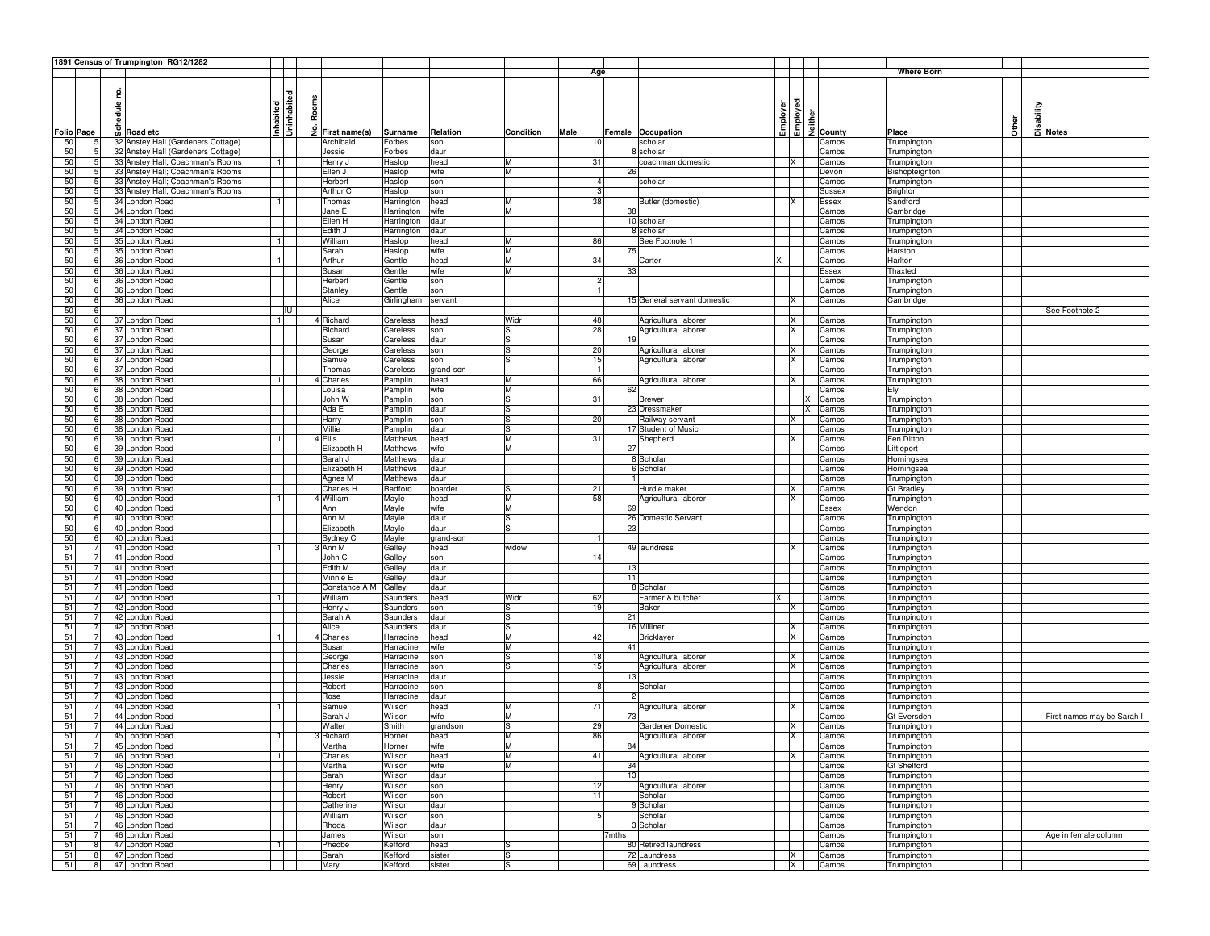|    |            | 1891 Census of Trumpington RG12/1282    |                         |               |                 |           |           |                |                             |          |                         |                                                                                                                                                                                                                                                                                                                   |              |                           |              |          |                          |
|----|------------|-----------------------------------------|-------------------------|---------------|-----------------|-----------|-----------|----------------|-----------------------------|----------|-------------------------|-------------------------------------------------------------------------------------------------------------------------------------------------------------------------------------------------------------------------------------------------------------------------------------------------------------------|--------------|---------------------------|--------------|----------|--------------------------|
|    |            |                                         |                         |               |                 |           |           | Age            |                             |          |                         |                                                                                                                                                                                                                                                                                                                   |              | <b>Where Born</b>         |              |          |                          |
|    |            |                                         |                         |               |                 |           |           |                |                             |          |                         |                                                                                                                                                                                                                                                                                                                   |              |                           |              |          |                          |
|    |            |                                         |                         |               |                 |           |           |                |                             |          |                         |                                                                                                                                                                                                                                                                                                                   |              |                           |              |          |                          |
|    |            |                                         |                         | Rooms         |                 |           |           |                |                             |          |                         |                                                                                                                                                                                                                                                                                                                   |              |                           |              |          |                          |
|    |            |                                         |                         |               |                 |           |           |                |                             |          |                         |                                                                                                                                                                                                                                                                                                                   |              |                           |              | sability |                          |
|    |            |                                         |                         |               |                 |           |           |                |                             |          |                         |                                                                                                                                                                                                                                                                                                                   |              |                           |              |          |                          |
|    |            | nd<br>Beddel<br>Sol Road etc            | Inhabited<br>Uninhabite | ٶ             |                 |           |           |                |                             | Employer |                         | $\begin{array}{c}\n\bullet \\ \bullet \\ \hline\n\end{array}\n\begin{array}{c}\n\bullet \\ \bullet \\ \hline\n\end{array}\n\begin{array}{c}\n\bullet \\ \bullet \\ \hline\n\end{array}\n\begin{array}{c}\n\bullet \\ \bullet \\ \hline\n\end{array}\n\begin{array}{c}\n\bullet \\ \bullet \\ \hline\n\end{array}$ |              |                           | <b>Cther</b> |          |                          |
|    | Folio Page |                                         |                         | First name(s) | Surname         | Relation  | Condition | Male           | Female Occupation           |          |                         |                                                                                                                                                                                                                                                                                                                   |              | Place                     |              |          | 급 Notes                  |
| 50 |            | 32 Anstey Hall (Gardeners Cottage)<br>5 |                         | Archibald     | Forbes          | son       |           | 10             | scholar                     |          |                         |                                                                                                                                                                                                                                                                                                                   | Cambs        | Trumpington               |              |          |                          |
| 50 |            | 32 Anstey Hall (Gardeners Cottage)<br>5 |                         | Jessie        | Forbes          | daur      |           |                | 8 scholar                   |          |                         |                                                                                                                                                                                                                                                                                                                   | Cambs        | Trumpington               |              |          |                          |
| 50 |            | 33 Anstey Hall; Coachman's Rooms        | $\blacksquare$          | Henry J       | Haslop          | head      | M         | 31             | coachman domestic           |          | X                       |                                                                                                                                                                                                                                                                                                                   | Cambs        | Trumpington               |              |          |                          |
| 50 |            | 33 Anstey Hall; Coachman's Rooms        |                         | Ellen J       | Haslop          | wife      | M         |                | 26                          |          |                         |                                                                                                                                                                                                                                                                                                                   | Devon        | Bishopteignton            |              |          |                          |
| 50 |            | 33 Anstey Hall; Coachman's Rooms<br>5   |                         | Herbert       | Haslop          | son       |           | $\overline{a}$ | scholar                     |          |                         |                                                                                                                                                                                                                                                                                                                   | Cambs        | Trumpington               |              |          |                          |
| 50 |            | 33 Anstey Hall; Coachman's Rooms<br>5   |                         | Arthur C      | Haslop          | son       |           | 3              |                             |          |                         |                                                                                                                                                                                                                                                                                                                   | Sussex       | Brighton                  |              |          |                          |
| 50 |            | 34 London Road<br>51                    |                         | Thomas        | Harrington      | head      | M         | 38             | Butler (domestic)           |          | ΙX                      |                                                                                                                                                                                                                                                                                                                   | Essex        | Sandford                  |              |          |                          |
| 50 |            | 34 London Road<br>5                     |                         | Jane E        | Harrington      | wife      | M         |                | 38                          |          |                         |                                                                                                                                                                                                                                                                                                                   | Cambs        | Cambridge                 |              |          |                          |
| 50 |            | 34 London Road                          |                         | Ellen H       | Harrington      | daur      |           |                | 10 scholar                  |          |                         |                                                                                                                                                                                                                                                                                                                   | Cambs        | Trumpington               |              |          |                          |
| 50 |            | 34 London Road<br>5                     |                         | Edith J       | Harrington      | daur      |           |                | 8 scholar                   |          |                         |                                                                                                                                                                                                                                                                                                                   | Cambs        | Trumpington               |              |          |                          |
| 50 |            | 35 London Road<br>5                     |                         | William       | Haslop          | head      | M         | 86             | See Footnote 1              |          |                         |                                                                                                                                                                                                                                                                                                                   | Cambs        | Trumpington               |              |          |                          |
| 50 |            | 35 London Road<br>5                     |                         | Sarah         | Haslop          | wife      | M         |                | 75                          |          |                         |                                                                                                                                                                                                                                                                                                                   | Cambs        | Harston                   |              |          |                          |
| 50 |            | 36 London Road<br>-61                   |                         | Arthur        | Gentle          | head      | M         | 34             | Carter                      |          |                         |                                                                                                                                                                                                                                                                                                                   | Cambs        | Harlton                   |              |          |                          |
| 50 |            | 36 London Road<br>6                     |                         | Susan         | Gentle          | wife      | M         |                | 33                          |          |                         |                                                                                                                                                                                                                                                                                                                   | <b>Essex</b> | Thaxted                   |              |          |                          |
|    |            |                                         |                         |               |                 |           |           | $\overline{2}$ |                             |          |                         |                                                                                                                                                                                                                                                                                                                   |              |                           |              |          |                          |
| 50 |            | 36 London Road                          |                         | Herbert       | Gentle          | son       |           |                |                             |          |                         |                                                                                                                                                                                                                                                                                                                   | Cambs        | Trumpington               |              |          |                          |
| 50 |            | 36 London Road<br>6                     |                         | Stanley       | Gentle          | son       |           |                |                             |          |                         |                                                                                                                                                                                                                                                                                                                   | Cambs        | Trumpington               |              |          |                          |
| 50 |            | 36 London Road<br>6                     |                         | Alice         | Girlingham      | servant   |           |                | 15 General servant domestic |          | X                       |                                                                                                                                                                                                                                                                                                                   | Cambs        | Cambridge                 |              |          |                          |
| 50 |            | 6                                       | liu                     |               |                 |           |           |                |                             |          |                         |                                                                                                                                                                                                                                                                                                                   |              |                           |              |          | See Footnote 2           |
| 50 |            | 37 London Road<br>6                     | -1 I                    | 4 Richard     | Careless        | head      | Widr      | 48             | Agricultural laborer        |          | X                       |                                                                                                                                                                                                                                                                                                                   | Cambs        | Trumpington               |              |          |                          |
| 50 |            | 37 London Road<br>6                     |                         | Richard       | Careless        | son       | ls        | 28             | Agricultural laborer        |          | <b>X</b>                |                                                                                                                                                                                                                                                                                                                   | Cambs        | Trumpington               |              |          |                          |
| 50 |            | 37 London Road<br>6                     |                         | Susan         | Careless        | daur      | ls        |                | 19                          |          |                         |                                                                                                                                                                                                                                                                                                                   | Cambs        | Trumpington               |              |          |                          |
| 50 |            | 37 London Road<br>6                     |                         | George        | Careless        | son       | ls        | 20             | Agricultural laborer        |          | <b>X</b>                |                                                                                                                                                                                                                                                                                                                   | Cambs        | Trumpington               |              |          |                          |
| 50 |            | 6<br>37 London Road                     |                         | Samuel        | Careless        | son       | ls        | 15             | Agricultural laborer        |          | X                       |                                                                                                                                                                                                                                                                                                                   | Cambs        | Trumpington               |              |          |                          |
| 50 |            | 37 London Road<br>6                     |                         | Thomas        | Careless        | grand-son |           |                |                             |          |                         |                                                                                                                                                                                                                                                                                                                   | Cambs        | Trumpington               |              |          |                          |
| 50 |            | 38 London Road<br>6                     |                         | 4 Charles     | Pamplin         | head      | M         | 66             | Agricultural laborer        |          | ΙX                      |                                                                                                                                                                                                                                                                                                                   | Cambs        | Trumpington               |              |          |                          |
| 50 |            | 38 London Road<br>6                     |                         | Louisa        | Pamplin         | wife      | M         |                | 62                          |          |                         |                                                                                                                                                                                                                                                                                                                   | Cambs        | Ely                       |              |          |                          |
| 50 |            | 38 London Road<br>6                     |                         | John W        | Pamplin         | son       | ls        | 31             | <b>Brewer</b>               |          |                         |                                                                                                                                                                                                                                                                                                                   | Cambs        | Trumpington               |              |          |                          |
| 50 |            | 6<br>38 London Road                     |                         | Ada E         | Pamplin         | daur      | lS        |                | 23 Dressmaker               |          |                         | x                                                                                                                                                                                                                                                                                                                 | Cambs        | Trumpington               |              |          |                          |
| 50 |            | 38 London Road<br>6                     |                         | Harry         | Pamplin         | son       | ls        | 20             | Railway servant             |          | <b>X</b>                |                                                                                                                                                                                                                                                                                                                   | Cambs        | Trumpington               |              |          |                          |
| 50 |            | 38 London Road                          |                         | Millie        | Pamplin         | daur      | ls        |                | 17 Student of Music         |          |                         |                                                                                                                                                                                                                                                                                                                   | Cambs        |                           |              |          |                          |
| 50 |            | 6                                       |                         | 4 Ellis       |                 |           | M         | 31             |                             |          |                         |                                                                                                                                                                                                                                                                                                                   |              | Trumpington<br>Fen Ditton |              |          |                          |
|    |            | 39 London Road<br>6                     |                         |               | <b>Matthews</b> | head      |           |                | Shepherd                    |          | X                       |                                                                                                                                                                                                                                                                                                                   | Cambs        |                           |              |          |                          |
| 50 |            | 39 London Road<br>-61                   |                         | Elizabeth H   | Matthews        | wife      | M         |                | 27                          |          |                         |                                                                                                                                                                                                                                                                                                                   | Cambs        | Littleport                |              |          |                          |
| 50 |            | 39 London Road<br>6                     |                         | Sarah J       | Matthews        | daur      |           |                | 8 Scholar                   |          |                         |                                                                                                                                                                                                                                                                                                                   | Cambs        | Horningsea                |              |          |                          |
| 50 |            | 39 London Road<br>6                     |                         | Elizabeth H   | Matthews        | daur      |           |                | 6 Scholar                   |          |                         |                                                                                                                                                                                                                                                                                                                   | Cambs        | Horningsea                |              |          |                          |
| 50 |            | 39 London Road<br>6                     |                         | Agnes M       | Matthews        | daur      |           |                |                             |          |                         |                                                                                                                                                                                                                                                                                                                   | Cambs        | Trumpington               |              |          |                          |
| 50 |            | 39 London Road<br>6                     |                         | Charles H     | Radford         | boarder   | ls        | 21             | Hurdle maker                |          | X                       |                                                                                                                                                                                                                                                                                                                   | Cambs        | Gt Bradley                |              |          |                          |
| 50 |            | 40 London Road<br>6                     |                         | 4 William     | Mayle           | head      | M         | 58             | Agricultural laborer        |          | ΙX                      |                                                                                                                                                                                                                                                                                                                   | Cambs        | Trumpington               |              |          |                          |
| 50 |            | 40 London Road<br>-61                   |                         | Ann           | Mayle           | wife      | M         |                | 69                          |          |                         |                                                                                                                                                                                                                                                                                                                   | Essex        | Wendon                    |              |          |                          |
| 50 |            | 40 London Road<br>6                     |                         | Ann M         | Mayle           | daur      | ls        |                | 26 Domestic Servant         |          |                         |                                                                                                                                                                                                                                                                                                                   | Cambs        | Trumpington               |              |          |                          |
| 50 |            | 40 London Road                          |                         | Elizabeth     | Mayle           | daur      | ls        |                | 23                          |          |                         |                                                                                                                                                                                                                                                                                                                   | Cambs        | Trumpington               |              |          |                          |
| 50 |            | 40 London Road<br>6                     |                         | Sydney C      | Mayle           | grand-son |           |                |                             |          |                         |                                                                                                                                                                                                                                                                                                                   | Cambs        | Trumpington               |              |          |                          |
| 51 |            | 41 London Road                          |                         | 3 Ann M       | Galley          | head      | widow     |                | 49 laundress                |          | X                       |                                                                                                                                                                                                                                                                                                                   | Cambs        | Trumpington               |              |          |                          |
| 51 |            | 41 London Road                          |                         | John C        | Galley          | son       |           | 14             |                             |          |                         |                                                                                                                                                                                                                                                                                                                   | Cambs        | Trumpington               |              |          |                          |
| 51 |            | 41 London Road<br>-71                   |                         | Edith M       | Galley          | daur      |           |                | 13                          |          |                         |                                                                                                                                                                                                                                                                                                                   | Cambs        | Trumpington               |              |          |                          |
| 51 |            | 41 London Road                          |                         | Minnie E      | Galley          | daur      |           |                | 11                          |          |                         |                                                                                                                                                                                                                                                                                                                   | Cambs        | Trumpington               |              |          |                          |
| 51 |            | 41 London Road                          |                         | Constance A M | Galley          | daur      |           |                | 8 Scholar                   |          |                         |                                                                                                                                                                                                                                                                                                                   | Cambs        | Trumpington               |              |          |                          |
| 51 |            | 42 London Road<br>$\overline{7}$        | $\blacksquare$          | William       | Saunders        | head      | Widr      | 62             | Farmer & butcher            | ΙX       |                         |                                                                                                                                                                                                                                                                                                                   | Cambs        | Trumpington               |              |          |                          |
| 51 |            | 42 London Road                          |                         | Henry J       | Saunders        | son       | IS        | 19             | <b>Baker</b>                |          | ΙX                      |                                                                                                                                                                                                                                                                                                                   | Cambs        | Trumpington               |              |          |                          |
| 51 |            | 42 London Road                          |                         | Sarah A       | Saunders        | daur      | ls        |                | 21                          |          |                         |                                                                                                                                                                                                                                                                                                                   | Cambs        | Trumpington               |              |          |                          |
|    |            | 42 London Road                          |                         |               |                 |           |           |                | 16 Milliner                 |          |                         |                                                                                                                                                                                                                                                                                                                   |              |                           |              |          |                          |
| 51 |            | 7<br>$\overline{7}$                     | $\mathbf{1}$            | Alice         | Saunders        | daur      | lS        |                |                             |          | X                       |                                                                                                                                                                                                                                                                                                                   | Cambs        | Trumpington               |              |          |                          |
| 51 |            | 43 London Road                          |                         | 4 Charles     | Harradine       | head      | M<br>M    | 42             | <b>Bricklayer</b>           |          | <b>X</b>                |                                                                                                                                                                                                                                                                                                                   | Cambs        | Trumpington               |              |          |                          |
| 51 |            | 43 London Road                          |                         | Susan         | Harradine       | wife      |           |                | 41                          |          |                         |                                                                                                                                                                                                                                                                                                                   | Cambs        | Trumpington               |              |          |                          |
| 51 |            | 43 London Road<br>7                     |                         | George        | Harradine       | son       | IS        | 18             | Agricultural laborer        |          | IX.                     |                                                                                                                                                                                                                                                                                                                   | Cambs        | Trumpington               |              |          |                          |
| 51 |            | 43 London Road<br>7                     |                         | Charles       | Harradine       | son       | ls        | 15             | Agricultural laborer        |          | ΙX                      |                                                                                                                                                                                                                                                                                                                   | Cambs        | Trumpington               |              |          |                          |
| 51 |            | 43 London Road                          |                         | Jessie        | Harradine       | daur      |           |                | 13                          |          |                         |                                                                                                                                                                                                                                                                                                                   | Cambs        | Trumpington               |              |          |                          |
| 51 |            | 43 London Road                          |                         | Robert        | Harradine       | son       |           | 8              | Scholar                     |          |                         |                                                                                                                                                                                                                                                                                                                   | Cambs        | Trumpington               |              |          |                          |
| 51 |            | 43 London Road                          |                         | Rose          | Harradine       | daur      |           |                | $\overline{2}$              |          |                         |                                                                                                                                                                                                                                                                                                                   | Cambs        | Trumpington               |              |          |                          |
| 51 |            | 44 London Road                          |                         | Samuel        | Wilson          | head      | M         | 71             | Agricultural laborer        |          | X                       |                                                                                                                                                                                                                                                                                                                   | Cambs        | Trumpington               |              |          |                          |
| 51 |            | 44 London Road                          |                         | Sarah J       | Wilson          | wife      | M         |                | 73                          |          |                         |                                                                                                                                                                                                                                                                                                                   | Cambs        | Gt Eversden               |              |          | First names may be Sarah |
| 51 |            | 44 London Road                          |                         | Walter        | Smith           | grandson  | ls        | 29             | Gardener Domestic           |          | IX                      |                                                                                                                                                                                                                                                                                                                   | Cambs        | Trumpington               |              |          |                          |
| 51 |            | 45 London Road<br>7                     | 1                       | 3 Richard     | Horner          | head      | Iм        | 86             | Agricultural laborer        |          | X                       |                                                                                                                                                                                                                                                                                                                   | Cambs        | Trumpington               |              |          |                          |
| 51 |            | 45 London Road                          |                         | Martha        | Horner          | wite      | ıм        |                | 84                          |          |                         |                                                                                                                                                                                                                                                                                                                   | Cambs        | Trumpington               |              |          |                          |
| 51 |            | 46 London Road<br>$\overline{7}$        | 1                       | Charles       | Wilson          | head      | M         | 41             | Agricultural laborer        |          | X.                      |                                                                                                                                                                                                                                                                                                                   | Cambs        | Trumpington               |              |          |                          |
| 51 |            | 46 London Road<br>7                     |                         | Martha        | Wilson          | wife      | M         |                | 34                          |          |                         |                                                                                                                                                                                                                                                                                                                   | Cambs        | <b>Gt Shelford</b>        |              |          |                          |
| 51 |            | 46 London Road<br>$\overline{7}$        |                         | Sarah         | Wilson          | daur      |           |                | 13                          |          |                         |                                                                                                                                                                                                                                                                                                                   | Cambs        | Trumpington               |              |          |                          |
| 51 |            | 46 London Road                          |                         | Henry         | Wilson          | son       |           | 12             | Agricultural laborer        |          |                         |                                                                                                                                                                                                                                                                                                                   | Cambs        | Trumpington               |              |          |                          |
| 51 |            | 46 London Road<br>71                    |                         | Robert        | Wilson          | son       |           | 11             | Scholar                     |          |                         |                                                                                                                                                                                                                                                                                                                   | Cambs        | Trumpington               |              |          |                          |
| 51 |            | 46 London Road<br>71                    |                         | Catherine     | Wilson          | daur      |           |                | 9 Scholar                   |          |                         |                                                                                                                                                                                                                                                                                                                   | Cambs        | Trumpington               |              |          |                          |
| 51 |            | 46 London Road<br>71                    |                         | William       | Wilson          | son       |           | 5 <sub>l</sub> | Scholar                     |          |                         |                                                                                                                                                                                                                                                                                                                   | Cambs        | Trumpington               |              |          |                          |
| 51 |            | 46 London Road<br>7                     |                         | Rhoda         | Wilson          | daur      |           |                | 3 Scholar                   |          |                         |                                                                                                                                                                                                                                                                                                                   | Cambs        | Trumpington               |              |          |                          |
| 51 |            | 46 London Road<br>7                     |                         | James         | Wilson          | son       |           |                | 7mths                       |          |                         |                                                                                                                                                                                                                                                                                                                   | Cambs        | Trumpington               |              |          | Age in female column     |
|    |            |                                         |                         |               |                 |           |           |                |                             |          |                         |                                                                                                                                                                                                                                                                                                                   |              |                           |              |          |                          |
| 51 |            | 47 London Road<br>8                     |                         | Pheobe        | Kefford         | head      | Is        |                | 80 Retired laundress        |          |                         |                                                                                                                                                                                                                                                                                                                   | Cambs        | Trumpington               |              |          |                          |
| 51 |            | 47 London Road<br>8                     |                         | Sarah         | Kefford         | sister    | ls        |                | 72 Laundress                |          | X                       |                                                                                                                                                                                                                                                                                                                   | Cambs        | Trumpington               |              |          |                          |
| 51 |            | 8 47 London Road                        |                         | Mary          | Kefford         | sister    | ß         |                | 69 Laundress                |          | $\overline{\mathsf{x}}$ |                                                                                                                                                                                                                                                                                                                   | Cambs        | Trumpington               |              |          |                          |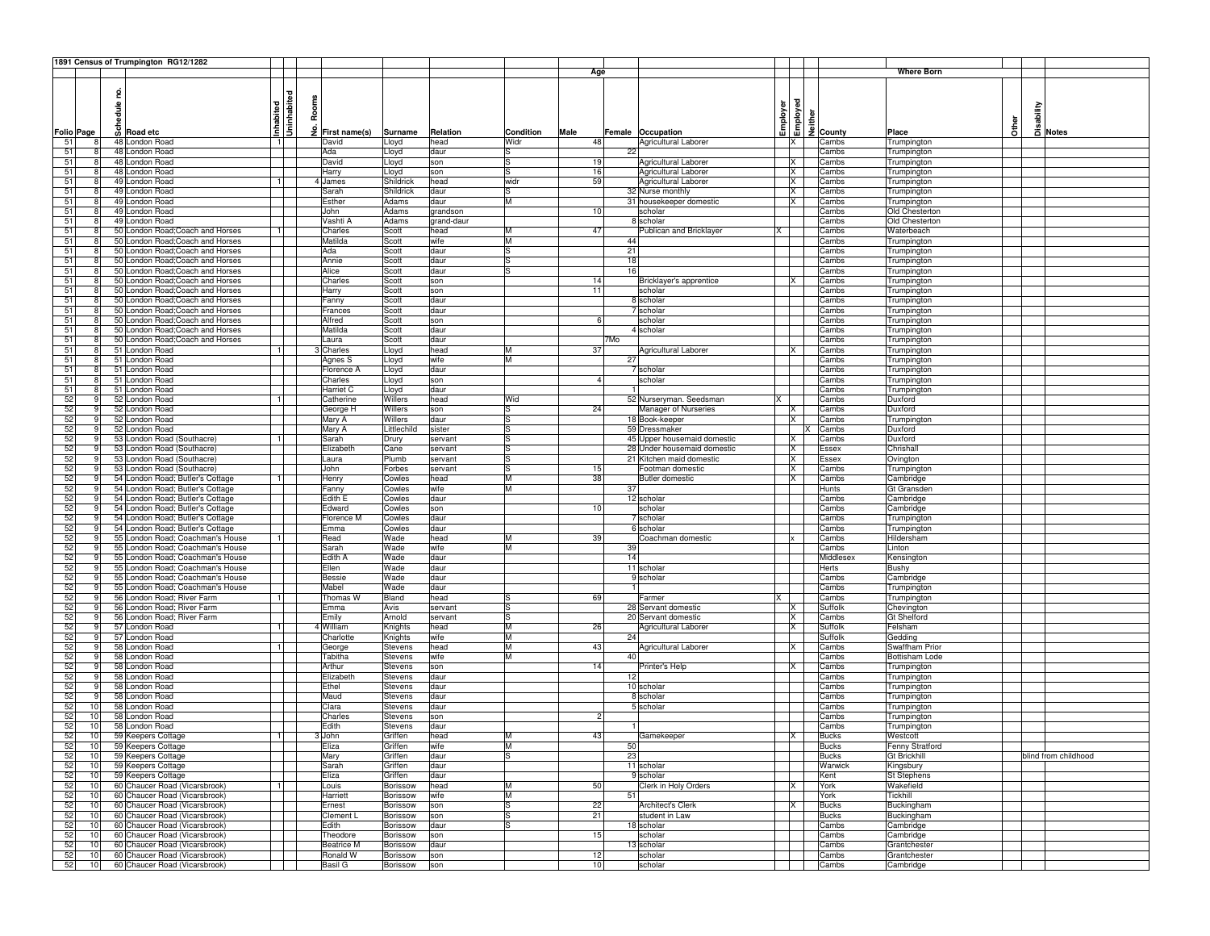|                   |                 |        | 1891 Census of Trumpington RG12/1282 |                |       |                             |                 |            |           |                 |     |                             |   |                      |              |                     |       |          |                      |
|-------------------|-----------------|--------|--------------------------------------|----------------|-------|-----------------------------|-----------------|------------|-----------|-----------------|-----|-----------------------------|---|----------------------|--------------|---------------------|-------|----------|----------------------|
|                   |                 |        |                                      |                |       |                             |                 |            |           | Age             |     |                             |   |                      |              | <b>Where Born</b>   |       |          |                      |
|                   |                 |        |                                      |                |       |                             |                 |            |           |                 |     |                             |   |                      |              |                     |       |          |                      |
|                   |                 | 2      |                                      | ᄝ              |       |                             |                 |            |           |                 |     |                             |   |                      |              |                     |       |          |                      |
|                   |                 | hedule |                                      | 흛              | Rooms |                             |                 |            |           |                 |     |                             |   | Employer<br>Employed |              |                     |       |          |                      |
|                   |                 |        |                                      |                |       |                             |                 |            |           |                 |     |                             |   |                      |              |                     |       | sability |                      |
|                   |                 |        |                                      | Inhabited<br>뒴 |       |                             |                 |            |           |                 |     |                             |   |                      |              |                     | Other |          |                      |
| <b>Folio Page</b> |                 |        | တို Road etc                         | 3              |       | $\frac{3}{2}$ First name(s) | Surname         | Relation   | Condition | Male            |     | Female Occupation           |   |                      | 2 County     | Place               |       |          | Notes                |
| 51                | 8               |        | 48 London Road                       | 11             |       | David                       | Lloyd           | head       | Widr      | 48              |     | Agricultural Laborer        |   | IX.                  | Cambs        | Trumpington         |       |          |                      |
| 51                |                 |        | 48 London Road                       |                |       | Ada                         | Lloyd           | daur       |           |                 | 22  |                             |   |                      | Cambs        | Trumpington         |       |          |                      |
| 51                | 8               |        | 48 London Road                       |                |       | David                       | Lloyd           | son        | ls        | 19              |     | Agricultural Laborer        |   | IX                   | Cambs        | Trumpington         |       |          |                      |
| 51                | 8               |        | 48 London Road                       |                |       | Harry                       | Lloyd           | son        | lS        | 16              |     | Agricultural Laborer        |   | X                    | Cambs        | Trumpington         |       |          |                      |
| 51                | 8               |        | 49 London Road                       | 1              |       | 4 James                     | Shildrick       | head       | widr      | 59              |     | Agricultural Laborer        |   | X                    | Cambs        | Trumpington         |       |          |                      |
| 51                | 8               |        | 49 London Road                       |                |       | Sarah                       | Shildrick       | daur       | S         |                 |     | 32 Nurse monthly            |   | X                    | Cambs        | Trumpington         |       |          |                      |
| 51                |                 |        | 49 London Road                       |                |       | Esther                      | Adams           | daur       | M         |                 |     | 31 housekeeper domestic     |   | IX.                  | Cambs        | Trumpington         |       |          |                      |
| 51                | 8               |        | 49 London Road                       |                |       | John                        | Adams           | grandson   |           | 10              |     | scholar                     |   |                      | Cambs        | Old Chesterton      |       |          |                      |
| 51                | 8               |        | 49 London Road                       |                |       | Vashti A                    | Adams           | grand-daur |           |                 |     | 8 scholar                   |   |                      | Cambs        | Old Chesterton      |       |          |                      |
| 51                | 8               |        | 50 London Road; Coach and Horses     |                |       | Charles                     | Scott           | head       | M         | 47              |     | Publican and Bricklaver     |   |                      | Cambs        | Waterbeach          |       |          |                      |
| 51                | 8               |        | 50 London Road; Coach and Horses     |                |       | Matilda                     | Scott           | wife       | M         |                 |     | 44                          |   |                      | Cambs        | Trumpington         |       |          |                      |
| 51                | 8               |        | 50 London Road; Coach and Horses     |                |       | Ada                         | Scott           | daur       | lS        |                 | 21  |                             |   |                      | Cambs        | Trumpington         |       |          |                      |
| 51                |                 |        | 50 London Road; Coach and Horses     |                |       | Annie                       | Scott           | daur       | lS.       |                 |     | 18                          |   |                      | Cambs        | Trumpington         |       |          |                      |
| 51                | 8               |        | 50 London Road; Coach and Horses     |                |       | Alice                       | Scott           | daur       | l.S       |                 |     | 16                          |   |                      | Cambs        | Trumpington         |       |          |                      |
| 51                | 8               |        | 50 London Road; Coach and Horses     |                |       | Charles                     | Scott           | son        |           | 14              |     | Bricklayer's apprentice     |   | lx.                  | Cambs        | Trumpington         |       |          |                      |
| 51                | 8               |        | 50 London Road; Coach and Horses     |                |       | Harry                       | Scott           | son        |           | 11              |     | scholar                     |   |                      | Cambs        | Trumpington         |       |          |                      |
| 51                | 8               |        | 50 London Road; Coach and Horses     |                |       | Fanny                       | Scott           | daur       |           |                 |     | 8 scholar                   |   |                      | Cambs        | Trumpington         |       |          |                      |
| 51                | 8               |        | 50 London Road; Coach and Horses     |                |       | Frances                     | Scott           | daur       |           |                 |     | 7 scholar                   |   |                      | Cambs        | Trumpington         |       |          |                      |
| 51                |                 |        | 50 London Road; Coach and Horses     |                |       | Alfred                      | Scott           | son        |           | 6               |     | scholar                     |   |                      | Cambs        | Trumpington         |       |          |                      |
| 51                | 8               |        | 50 London Road; Coach and Horses     |                |       | Matilda                     | Scott           | daur       |           |                 |     | 4 scholar                   |   |                      | Cambs        | Trumpington         |       |          |                      |
| 51                | 8               |        | 50 London Road; Coach and Horses     |                |       | aura                        | Scott           | daur       |           |                 | 7Mo |                             |   |                      | Cambs        | Trumpington         |       |          |                      |
| 51                | 8               |        | 51 London Road                       | -1 I           |       | Charles                     | Lloyd           | head       | M         | 37              |     | Agricultural Laborer        |   | ΙX                   | Cambs        | Trumpington         |       |          |                      |
| 51                | 8               |        | 51 London Road                       |                |       | Agnes S                     | Lloyd           | wife       | M         |                 |     | 27                          |   |                      | Cambs        | Trumpington         |       |          |                      |
| 51                | 8               |        | 51 London Road                       |                |       | Florence A                  | Lloyd           | daur       |           |                 |     | 7 scholar                   |   |                      | Cambs        | Trumpington         |       |          |                      |
| 51                | 8               |        | 51 London Road                       |                |       | Charles                     | Lloyd           | son        |           | $\mathbf{4}$    |     | scholar                     |   |                      | Cambs        | Trumpington         |       |          |                      |
| 51                | 8               |        | 51 London Road                       |                |       | Harriet C                   | Lloyd           | daur       |           |                 |     |                             |   |                      | Cambs        | Trumpington         |       |          |                      |
| 52                | 9               |        | 52 London Road                       | 11             |       | Catherine                   | Willers         | head       | Wid       |                 |     | 52 Nurseryman. Seedsman     | x |                      | Cambs        | Duxford             |       |          |                      |
| 52                | 9               |        | 52 London Road                       |                |       | George H                    | Willers         | son        | S         | 24              |     | Manager of Nurseries        |   | IX.                  | Cambs        | Duxford             |       |          |                      |
| 52                | 9               |        | 52 London Road                       |                |       | Mary A                      | Willers         | daur       | lS        |                 |     | 18 Book-keeper              |   | ΙX                   | Cambs        | Trumpington         |       |          |                      |
| 52                | 9               |        | 52 London Road                       |                |       | Mary A                      | Littlechild     | sister     | lS        |                 |     | 59 Dressmaker               |   |                      | Cambs        | Duxford             |       |          |                      |
| 52                |                 |        | 53 London Road (Southacre)           | $\overline{1}$ |       | Sarah                       | Drury           | servant    | lS        |                 |     | 45 Upper housemaid domestic |   | X                    | Cambs        | Duxford             |       |          |                      |
| 52                | 9               |        | 53 London Road (Southacre)           |                |       | Elizabeth                   | Cane            | servant    | ls        |                 |     | 28 Under housemaid domestic |   | IX.                  | Essex        | Chrishall           |       |          |                      |
| 52                | 9               |        | 53 London Road (Southacre)           |                |       | Laura                       | Plumb           | servant    | ls        |                 |     | 21 Kitchen maid domestic    |   | X                    | Essex        | Ovington            |       |          |                      |
| 52                | 9               |        | 53 London Road (Southacre)           |                |       | John                        | Forbes          | servant    | lS        | 15              |     | Footman domestic            |   | IX                   | Cambs        | Trumpington         |       |          |                      |
| 52                | 9               |        | 54 London Road; Butler's Cottage     | $\blacksquare$ |       | Henry                       | Cowles          | head       | M         | 38              |     | <b>Butler domestic</b>      |   | X                    | Cambs        | Cambridge           |       |          |                      |
| 52                | -9              |        | 54 London Road; Butler's Cottage     |                |       | Fanny                       | Cowles          | wife       | M         |                 |     | 37                          |   |                      | Hunts        | Gt Gransden         |       |          |                      |
| 52                | 9               |        | 54 London Road; Butler's Cottage     |                |       | Edith E                     | Cowles          | daur       |           |                 |     | 12 scholar                  |   |                      | Cambs        | Cambridge           |       |          |                      |
| 52                | 9               |        | 54 London Road; Butler's Cottage     |                |       | Edward                      | Cowles          | son        |           | 10 <sup>1</sup> |     | scholar                     |   |                      | Cambs        | Cambridge           |       |          |                      |
| 52                |                 |        | 54 London Road; Butler's Cottage     |                |       | Florence M                  | Cowles          | daur       |           |                 |     | 7 scholar                   |   |                      | Cambs        | Trumpington         |       |          |                      |
| 52                | 9               |        | 54 London Road; Butler's Cottage     |                |       | Emma                        | Cowles          | daur       |           |                 |     | 6 scholar                   |   |                      | Cambs        | Trumpington         |       |          |                      |
| 52                | 9               |        | 55 London Road; Coachman's House     | 1              |       | Read                        | Wade            | head       | M         | 39              |     | Coachman domestic           |   |                      | Cambs        | Hildersham          |       |          |                      |
| 52                | 9               |        | 55 London Road; Coachman's House     |                |       | Sarah                       | Wade            | wife       | M         |                 |     | 39                          |   |                      | Cambs        | Linton              |       |          |                      |
| 52                |                 |        | 55 London Road; Coachman's House     |                |       | Edith A                     | Wade            | daur       |           |                 |     | 14                          |   |                      | Middlesex    | Kensington          |       |          |                      |
| 52                |                 |        | 55 London Road; Coachman's House     |                |       | Ellen                       | Wade            | daur       |           |                 |     | 11 scholar                  |   |                      | <b>Herts</b> | Bushy               |       |          |                      |
| 52                |                 |        | 55 London Road; Coachman's House     |                |       | Bessie                      | Wade            | daur       |           |                 |     | 9 scholar                   |   |                      | Cambs        | Cambridge           |       |          |                      |
| 52                | 9               |        | 55 London Road; Coachman's House     |                |       | Mabel                       | Wade            | daur       |           |                 |     |                             |   |                      | Cambs        | Trumpington         |       |          |                      |
| 52                | 9               |        | 56 London Road; River Farm           | 1              |       | Thomas W                    | Bland           | head       | S         | 69              |     | Farmer                      |   |                      | Cambs        | Trumpington         |       |          |                      |
| 52                | 9               |        | 56 London Road; River Farm           |                |       | Emma                        | Avis            | servant    | lS        |                 |     | 28 Servant domestic         |   | IX.                  | Suffolk      | Chevington          |       |          |                      |
| 52                |                 |        | 56 London Road; River Farm           |                |       | Emily                       | Arnold          | servant    | lS        |                 |     | 20 Servant domestic         |   | X                    | Cambs        | <b>Gt Shelford</b>  |       |          |                      |
| 52                |                 |        | 57 London Road                       | $\mathbf{1}$   |       | 4 William                   | Knights         | head       | M         | 26              |     | <b>Agricultural Laborer</b> |   | IX                   | Suffolk      | Felsham             |       |          |                      |
| 52                |                 |        | 57 London Road                       |                |       | Charlotte                   | Knights         | wife       | Iм        |                 | 24  |                             |   |                      | Suffolk      | Gedding             |       |          |                      |
| 52                | 9               |        | 58 London Road                       | 1              |       | George                      | Stevens         | head       | M         | 43              |     | Agricultural Laborer        |   | <b>X</b>             | Cambs        | Swaffham Prior      |       |          |                      |
| 52                |                 |        | 58 London Road                       |                |       | Tabitha                     | Stevens         | wife       | M         |                 | 40  |                             |   |                      | Cambs        | Bottisham Lode      |       |          |                      |
| 52                | 9               |        | 58 London Road                       |                |       | Arthur                      | Stevens         | son        |           | 14              |     | Printer's Help              |   | IX.                  | Cambs        | Trumpington         |       |          |                      |
| 52                | 9               |        | 58 London Road                       |                |       | Elizabeth                   | Stevens         | daur       |           |                 |     | 12                          |   |                      | Cambs        | Trumpington         |       |          |                      |
| 52                | 9               |        | 58 London Road                       |                |       | Ethel                       | Stevens         | daur       |           |                 |     | 10 scholar                  |   |                      | Cambs        | Trumpington         |       |          |                      |
| 52                | 9               |        | 58 London Road                       |                |       | Maud                        | Stevens         | daur       |           |                 |     | 8 scholar                   |   |                      | Cambs        | Trumpington         |       |          |                      |
| 52                | 10              |        | 58 London Road                       |                |       | Clara                       | Stevens         | daur       |           |                 |     | 5 scholar                   |   |                      | Cambs        | Trumpington         |       |          |                      |
| 52                | 10              |        | 58 London Road                       |                |       | Charles                     | Stevens         | son        |           | $\overline{c}$  |     |                             |   |                      | Cambs        | Trumpington         |       |          |                      |
| 52                | 10 <sub>l</sub> |        | 58 London Road                       |                |       | Edith                       | Stevens         | daur       |           |                 |     |                             |   |                      | Cambs        | Trumpington         |       |          |                      |
| 52                | 10              |        | 59 Keepers Cottage                   | 1              |       | 3 John                      | Griffen         | head       | M         | 43              |     | Gamekeeper                  |   | IX.                  | <b>Bucks</b> | Westcott            |       |          |                      |
|                   | 10 I            |        | 59 Keepers Cottage                   |                |       | Eliza                       | Griffen         | wife       |           |                 |     | 50                          |   |                      | Bucks        | Fenny Stratford     |       |          |                      |
| 52                | 10 <sup>1</sup> |        | 59 Keepers Cottage                   |                |       | Mary                        | Griffen         | daur       | l.S       |                 |     | 23                          |   |                      | <b>Bucks</b> | <b>Gt Brickhill</b> |       |          | blind from childhood |
| 52                | 10              |        | 59 Keepers Cottage                   |                |       | Sarah                       | Griffen         | daur       |           |                 |     | 11 scholar                  |   |                      | Warwick      | Kingsbury           |       |          |                      |
| 52                |                 |        |                                      |                |       |                             |                 |            |           |                 |     |                             |   |                      |              |                     |       |          |                      |
|                   | 10              |        | 59 Keepers Cottage                   |                |       | Eliza                       | Griffen         | daur       |           |                 |     | 9 scholar                   |   |                      | Kent         | <b>St Stephens</b>  |       |          |                      |
| 52                | 10              |        | 60 Chaucer Road (Vicarsbrook)        | 1              |       | Louis                       | Borissow        | head       | M<br>M    | 50              |     | Clerk in Holy Orders        |   | IX.                  | York         | Wakefield           |       |          |                      |
| 52                | 10              |        | 60 Chaucer Road (Vicarsbrook)        |                |       | Harriett                    | Borissow        | wife       |           |                 |     | 51                          |   |                      | York         | Tickhill            |       |          |                      |
| 52                | 10              |        | 60 Chaucer Road (Vicarsbrook)        |                |       | Ernest                      | Borissow        | son        | lS        | 22              |     | Architect's Clerk           |   | IX.                  | <b>Bucks</b> | Buckingham          |       |          |                      |
| 52                | 10              |        | 60 Chaucer Road (Vicarsbrook)        |                |       | Clement L                   | Borissow        | son        | ls        | 21              |     | student in Law              |   |                      | <b>Bucks</b> | Buckingham          |       |          |                      |
| 52                | 10              |        | 60 Chaucer Road (Vicarsbrook)        |                |       | Edith                       | Borissow        | daur       | ls        |                 |     | 18 scholar                  |   |                      | Cambs        | Cambridge           |       |          |                      |
| 52                | 10              |        | 60 Chaucer Road (Vicarsbrook)        |                |       | Theodore                    | Borissow        | son        |           | 15              |     | scholar                     |   |                      | Cambs        | Cambridge           |       |          |                      |
| 52                | 10              |        | 60 Chaucer Road (Vicarsbrook)        |                |       | <b>Beatrice M</b>           | Borissow        | daur       |           |                 |     | 13 scholar                  |   |                      | Cambs        | Grantchester        |       |          |                      |
| 52                | 10              |        | 60 Chaucer Road (Vicarsbrook)        |                |       | Ronald W                    | <b>Borissow</b> | son        |           | 12              |     | scholar                     |   |                      | Cambs        | Grantchester        |       |          |                      |
| 52                | 10              |        | 60 Chaucer Road (Vicarsbrook)        |                |       | Basil G                     | Borissow        | son        |           | 10              |     | scholar                     |   |                      | Cambs        | Cambridge           |       |          |                      |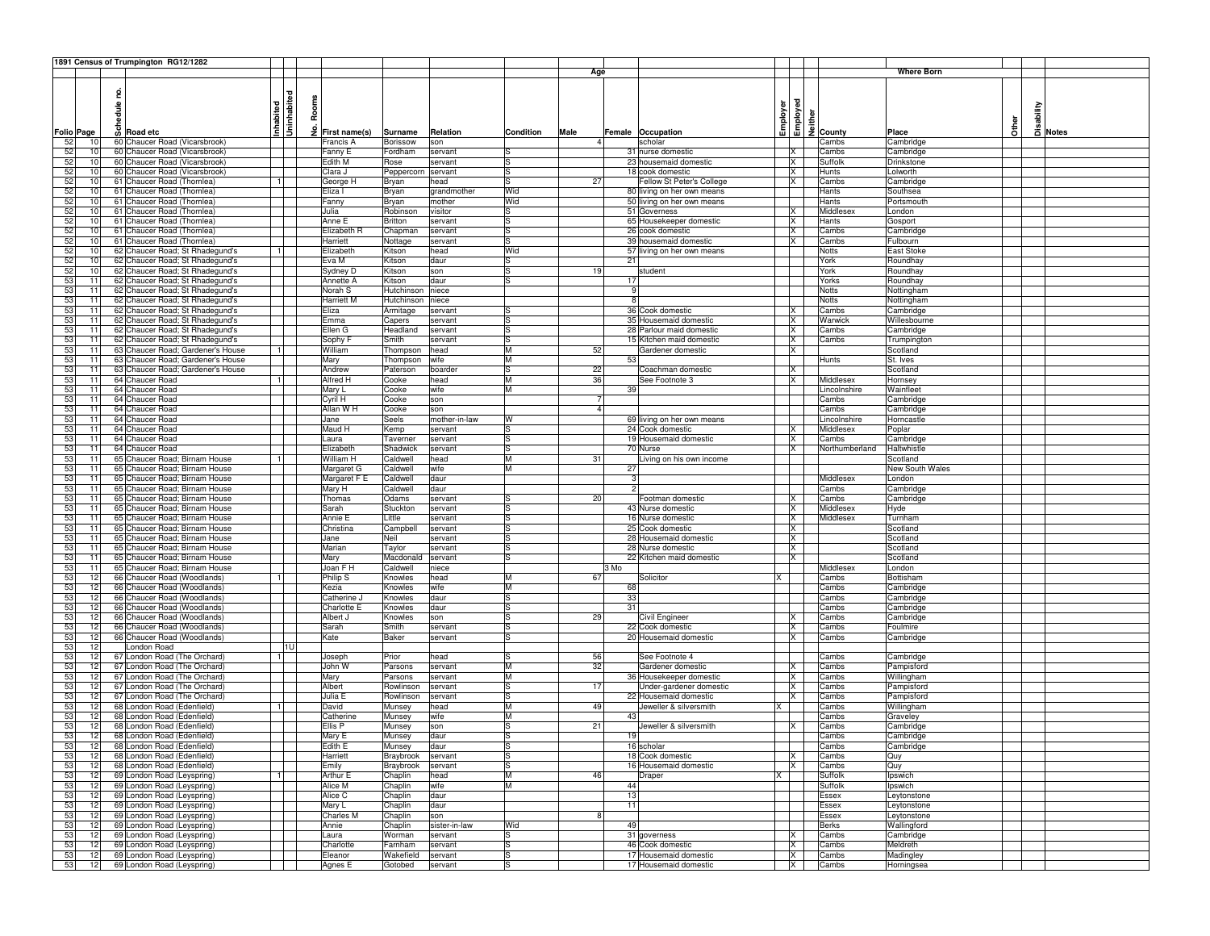|     |                 | 1891 Census of Trumpington RG12/1282  |                         |      |                             |            |               |           |                |                            |          |                |                      |                   |              |          |       |
|-----|-----------------|---------------------------------------|-------------------------|------|-----------------------------|------------|---------------|-----------|----------------|----------------------------|----------|----------------|----------------------|-------------------|--------------|----------|-------|
|     |                 |                                       |                         |      |                             |            |               |           | Age            |                            |          |                |                      | <b>Where Born</b> |              |          |       |
|     |                 |                                       |                         |      |                             |            |               |           |                |                            |          |                |                      |                   |              |          |       |
|     |                 | 2                                     |                         |      |                             |            |               |           |                |                            |          |                |                      |                   |              |          |       |
|     |                 | hedule                                |                         |      | Rooms                       |            |               |           |                |                            |          |                |                      |                   |              |          |       |
|     |                 |                                       |                         |      |                             |            |               |           |                |                            |          |                |                      |                   |              |          |       |
|     |                 |                                       | Inhabited<br>Uninhabite | İ    |                             |            |               |           |                |                            | Employer | Employed       |                      |                   | <b>Other</b> | sability |       |
|     | Folio Page      | <b><i>&amp;</i></b> Road etc          |                         |      | $\frac{9}{2}$ First name(s) | Surname    | Relation      | Condition | Male           | Female Occupation          |          |                | $\frac{9}{2}$ County | Place             |              |          | Notes |
| 52  | 10              | 60 Chaucer Road (Vicarsbrook)         |                         |      | Francis A                   | Borissow   | son           |           |                | scholar                    |          |                | Cambs                | Cambridge         |              |          |       |
| 52  | 10              | 60 Chaucer Road (Vicarsbrook)         |                         |      | Fanny E                     | Fordham    | servant       |           |                | 31 nurse domestic          |          | IX             | Cambs                | Cambridge         |              |          |       |
| 52  | 10              | 60 Chaucer Road (Vicarsbrook)         |                         |      | Edith M                     | Rose       | servant       | Is        |                | 23 housemaid domestic      |          | IX.            | Suffolk              | Drinkstone        |              |          |       |
| 52  | 10 <sup>1</sup> | 60 Chaucer Road (Vicarsbrook)         |                         |      | Clara J                     | Peppercorn | servant       | ls        |                | 18 cook domestic           |          | X              | Hunts                | Lolworth          |              |          |       |
| 52  | 10 <sup>1</sup> | 61 Chaucer Road (Thornlea)            |                         |      | George H                    | Bryan      | head          | lS        | 27             | Fellow St Peter's College  |          | X              | Cambs                | Cambridge         |              |          |       |
| 52  | 10              | 61 Chaucer Road (Thornlea)            |                         |      | Eliza l                     | Bryan      | grandmother   | Wid       |                | 80 living on her own means |          |                | Hants                | Southsea          |              |          |       |
| 52  | 10              | 61 Chaucer Road (Thornlea)            |                         |      | Fanny                       | Bryan      | mother        | Wid       |                | 50 living on her own means |          |                | Hants                | Portsmouth        |              |          |       |
| 52  |                 | 61 Chaucer Road (Thornlea)<br>10      |                         |      | Julia                       | Robinson   | visitor       | ls        |                | 51 Governess               |          | $\mathsf{x}$   | Middlesex            | London            |              |          |       |
| 52  |                 | 61 Chaucer Road (Thornlea)<br>10      |                         |      | Anne E                      | Britton    | servant       | ls        |                | 65 Housekeeper domestic    |          | IX.            | Hants                | Gosport           |              |          |       |
| 52  |                 | 61 Chaucer Road (Thornlea)<br>10      |                         |      | Elizabeth R                 | Chapman    | servant       | ls        |                | 26 cook domestic           |          | X              | Cambs                | Cambridge         |              |          |       |
| 52  | 10 <sup>1</sup> | 61 Chaucer Road (Thornlea)            |                         |      | Harriett                    | Nottage    | servant       | ls        |                | 39 housemaid domestic      |          | X              | Cambs                | Fulbourn          |              |          |       |
| 52  | 10 <sup>1</sup> | 62 Chaucer Road; St Rhadegund's       |                         |      | Elizabeth                   | Kitson     | head          | Wid       |                | 57 living on her own means |          |                | <b>Notts</b>         | <b>East Stoke</b> |              |          |       |
| 52  | 10              | 62 Chaucer Road; St Rhadegund's       |                         |      | Eva M                       | Kitson     | daur          | Is        |                | 21                         |          |                | York                 | Roundhay          |              |          |       |
| 52  |                 | 62 Chaucer Road; St Rhadegund's<br>10 |                         |      | Sydney D                    | Kitson     | son           | ls        | 19             | student                    |          |                | York                 | Roundhay          |              |          |       |
| 53  | 11              | 62 Chaucer Road; St Rhadegund's       |                         |      | Annette A                   | Kitson     | daur          | ls        |                | 17                         |          |                | Yorks                | Roundhay          |              |          |       |
| 53  | 11              | 62 Chaucer Road; St Rhadegund's       |                         |      | Norah S                     | Hutchinson | niece         |           |                | 9                          |          |                | <b>Notts</b>         | Nottingham        |              |          |       |
| 53  | 11              | 62 Chaucer Road; St Rhadegund's       |                         |      | Harriett M                  | Hutchinson | niece         |           |                | 8                          |          |                | <b>Notts</b>         | Nottingham        |              |          |       |
| 53  | 11              | 62 Chaucer Road; St Rhadegund's       |                         |      | Eliza                       | Armitage   | servant       | ıs        |                | 36 Cook domestic           |          | IX             | Cambs                | Cambridge         |              |          |       |
| 53  | 11              | 62 Chaucer Road; St Rhadegund's       |                         |      | Emma                        | Capers     | servant       | Is        |                | 35 Housemaid domestic      |          | X              | Warwick              | Willesbourne      |              |          |       |
| 53  | 11              | 62 Chaucer Road; St Rhadegund's       |                         |      | Ellen G                     | Headland   | servant       | ls        |                | 28 Parlour maid domestic   |          | <b>X</b>       | Cambs                | Cambridge         |              |          |       |
| 53  | 11              | 62 Chaucer Road; St Rhadegund's       |                         |      | Sophy F                     | Smith      | servant       | lS        |                | 15 Kitchen maid domestic   |          | IX.            | Cambs                | Trumpington       |              |          |       |
| 53  | 11              | 63 Chaucer Road; Gardener's House     |                         |      | William                     | Thompson   | head          | lм        | 52             | Gardener domestic          |          | $\mathsf{x}$   |                      | Scotland          |              |          |       |
| 53  | 11              | 63 Chaucer Road; Gardener's House     |                         |      | Mary                        | Thompson   | wife          | lм        |                | 53                         |          |                | Hunts                | St. Ives          |              |          |       |
| 53  | 11              | 63 Chaucer Road; Gardener's House     |                         |      | Andrew                      | Paterson   | boarder       | ls        | 22             | Coachman domestic          |          | X              |                      | Scotland          |              |          |       |
| 53  | 11              | 64 Chaucer Road                       |                         |      | Alfred H                    | Cooke      | head          | M         | 36             | See Footnote 3             |          | X              | Middlesex            | Hornsey           |              |          |       |
| 53  | 11              | 64 Chaucer Road                       |                         |      | Mary L                      | Cooke      | wife          | lм        |                | 39                         |          |                | Lincolnshire         | Wainfleet         |              |          |       |
| 53  | 11              | 64 Chaucer Road                       |                         |      | Cyril H                     | Cooke      | son           |           | $\overline{7}$ |                            |          |                | Cambs                | Cambridge         |              |          |       |
| 53  | 11              | 64 Chaucer Road                       |                         |      | Allan W H                   | Cooke      | son           |           | $\mathbf{A}$   |                            |          |                | Cambs                | Cambridge         |              |          |       |
| 53  | 11              | 64 Chaucer Road                       |                         |      | Jane                        | Seels      | mother-in-law | W         |                | 69 living on her own means |          |                | Lincolnshire         | Horncastle        |              |          |       |
| 53  | 11              | 64 Chaucer Road                       |                         |      | Maud H                      | Kemp       | servant       | lS        |                | 24 Cook domestic           |          | ΙX             | Middlesex            | Poplar            |              |          |       |
| 53  | 11              | 64 Chaucer Road                       |                         |      | Laura                       | Taverner   | servant       | lS        |                | 19 Housemaid domestic      |          | X              | Cambs                | Cambridge         |              |          |       |
| 53  | 11              | 64 Chaucer Road                       |                         |      | Elizabeth                   | Shadwick   | servant       | ls        |                | 70 Nurse                   |          | X              | Northumberland       | Haltwhistle       |              |          |       |
| 53  | 11              | 65 Chaucer Road; Birnam House         |                         |      | William H                   | Caldwell   | head          | M         | 31             | Living on his own income   |          |                |                      | Scotland          |              |          |       |
| 53  | 11              | 65 Chaucer Road; Birnam House         |                         |      | Margaret G                  | Caldwell   | wife          | M         |                | 27                         |          |                |                      | New South Wales   |              |          |       |
| 53  | 11              | 65 Chaucer Road; Birnam House         |                         |      | Margaret F E                | Caldwell   | daur          |           |                | 3                          |          |                | Middlesex            | London            |              |          |       |
| 53  | 11              | 65 Chaucer Road; Birnam House         |                         |      | Mary H                      | Caldwell   | daur          |           |                | $\mathfrak{p}$             |          |                | Cambs                | Cambridge         |              |          |       |
| 53  | 11              | 65 Chaucer Road; Birnam House         |                         |      | Thomas                      | Odams      | servant       | Is        | 20             | Footman domestic           |          | X              | Cambs                | Cambridge         |              |          |       |
| 53  | 11              | 65 Chaucer Road; Birnam House         |                         |      | Sarah                       | Stuckton   | servant       | Is        |                | 43 Nurse domestic          |          | X              | Middlesex            | Hyde              |              |          |       |
| 53  | 11              | 65 Chaucer Road; Birnam House         |                         |      | Annie E                     | Little     | servant       | ls        |                | 16 Nurse domestic          |          | X              | Middlesex            | Turnham           |              |          |       |
| 53  | 11              | 65 Chaucer Road; Birnam House         |                         |      | Christina                   | Campbell   | servant       | ls        |                | 25 Cook domestic           |          | X              |                      | Scotland          |              |          |       |
| 53  | 11              | 65 Chaucer Road; Birnam House         |                         |      | Jane                        | Neil       | servant       | Is        |                | 28 Housemaid domestic      |          | X              |                      | Scotland          |              |          |       |
| 53  | 11              | 65 Chaucer Road; Birnam House         |                         |      | Marian                      | Taylor     | servant       | ls        |                | 28 Nurse domestic          |          | X              |                      | Scotland          |              |          |       |
| 53  | 11              | 65 Chaucer Road; Birnam House         |                         |      | Mary                        | Macdonald  | servant       | Is        |                | 22 Kitchen maid domestic   |          | <b>X</b>       |                      | Scotland          |              |          |       |
| 53  | 11              | 65 Chaucer Road; Birnam House         |                         |      | Joan F H                    | Caldwell   | niece         |           |                | 3 Mo                       |          |                | Middlesex            | London            |              |          |       |
| 53  |                 | 12<br>66 Chaucer Road (Woodlands)     |                         |      | Philip S                    | Knowles    | head          | M         | 67             | Solicitor                  |          |                | Cambs                | Bottisham         |              |          |       |
| 53  | 12              | 66 Chaucer Road (Woodlands)           |                         |      | Kezia                       | Knowles    | wife          | M         |                | 68                         |          |                | Cambs                | Cambridge         |              |          |       |
| 53  |                 | 12<br>66 Chaucer Road (Woodlands)     |                         |      | Catherine J                 | Knowles    | daur          | ls        |                | 33                         |          |                | Cambs                | Cambridge         |              |          |       |
| 53  |                 | 66 Chaucer Road (Woodlands)<br>12     |                         |      | Charlotte E                 | Knowles    | daur          | Is        |                | 31                         |          |                | Cambs                | Cambridge         |              |          |       |
| 53  | 12              | 66 Chaucer Road (Woodlands)           |                         |      | Albert J                    | Knowles    | son           | lS        | 29             | Civil Engineer             |          | ΙX             | Cambs                | Cambridge         |              |          |       |
| 53  | 12              | 66 Chaucer Road (Woodlands)           |                         |      | Sarah                       | Smith      | servant       | Is        |                | 22 Cook domestic           |          | <b>X</b>       | Cambs                | Foulmire          |              |          |       |
| 53  |                 | 66 Chaucer Road (Woodlands)<br>12     |                         |      | Kate                        | Baker      | servant       | ls        |                | 20 Housemaid domestic      |          | X              | Cambs                | Cambridge         |              |          |       |
| 53  | 12              | London Road                           |                         | l1Ul |                             |            |               |           |                |                            |          |                |                      |                   |              |          |       |
| 53  |                 | 12<br>67 London Road (The Orchard)    |                         |      | Joseph                      | Prior      | head          | ls        | 56             | See Footnote 4             |          |                | Cambs                | Cambridge         |              |          |       |
| 53  |                 | 67 London Road (The Orchard)<br>12    |                         |      | John W                      | Parsons    | servant       | lм        | 32             | Gardener domestic          |          | X              | Cambs                | Pampisford        |              |          |       |
| 53  |                 | 67 London Road (The Orchard)<br>12    |                         |      | Mary                        | Parsons    | servant       | M         |                | 36 Housekeeper domestic    |          | X              | Cambs                | Willingham        |              |          |       |
| 53  | 12              | 67 London Road (The Orchard)          |                         |      | Albert                      | Rowlinson  | servant       | ls        | 17             | Under-gardener domestic    |          | X              | Cambs                | Pampisford        |              |          |       |
| 53  |                 | 67 London Road (The Orchard)<br>12    |                         |      | Julia E                     | Rowlinson  | servant       | Is        |                | 22 Housemaid domestic      |          | <b>X</b>       | Cambs                | Pampisford        |              |          |       |
| 53  |                 | 12<br>68 London Road (Edenfield)      |                         |      | David                       | Munsey     | head          | M         | 49             | Jeweller & silversmith     |          |                | Cambs                | Willingham        |              |          |       |
| 53  |                 | 68 London Road (Edenfield)<br>12      |                         |      | Catherine                   | Munsey     | wife          | M         |                | 43                         |          |                | Cambs                | Graveley          |              |          |       |
| 53  | 12              | 68 London Road (Edenfield)            |                         |      | Ellis P                     | Munsey     | son           | ls        | 21             | Jeweller & silversmith     |          | X              | Cambs                | Cambridge         |              |          |       |
| 53  | 12              | 68 London Road (Edenfield)            |                         |      | Mary E                      | Munsey     | daur          | Is        |                | 19                         |          |                | Cambs                | Cambridge         |              |          |       |
| 531 |                 | 121<br>68 London Road (Edenfield)     |                         |      | Edith E                     | Munsey     | daur          |           |                | 16 scholar                 |          |                | Cambs                | Cambridge         |              |          |       |
| 53  |                 | 12<br>68 London Road (Edenfield)      |                         |      | Harriett                    | Braybrook  | servant       | ls        |                | 18 Cook domestic           |          | X              | Cambs                | Quy               |              |          |       |
| 53  |                 | 12<br>68 London Road (Edenfield)      |                         |      | Emily                       | Braybrook  | servant       | ls        |                | 16 Housemaid domestic      |          | <b>X</b>       | Cambs                | Quy               |              |          |       |
| 53  |                 | 12<br>69 London Road (Leyspring)      |                         |      | Arthur E                    | Chaplin    | head          | M         | 46             | Draper                     | x        |                | Suffolk              | Ipswich           |              |          |       |
| 53  |                 | 12<br>69 London Road (Leyspring)      |                         |      | Alice M                     | Chaplin    | wife          | M         |                | 44                         |          |                | Suffolk              | Ipswich           |              |          |       |
| 53  |                 | 12<br>69 London Road (Leyspring)      |                         |      | Alice C                     | Chaplin    | daur          |           |                | 13                         |          |                | Essex                | Leytonstone       |              |          |       |
| 53  |                 | 69 London Road (Leyspring)<br>12      |                         |      | Mary L                      | Chaplin    | daur          |           |                | 11                         |          |                | Essex                | Leytonstone       |              |          |       |
| 53  |                 | 69 London Road (Leyspring)<br>12      |                         |      | Charles M                   | Chaplin    | son           |           |                |                            |          |                | Essex                | Leytonstone       |              |          |       |
| 53  |                 | 12<br>69 London Road (Leyspring)      |                         |      | Annie                       | Chaplin    | sister-in-law | Wid       |                | 49                         |          |                | <b>Berks</b>         | Wallingford       |              |          |       |
| 53  |                 | 12<br>69 London Road (Leyspring)      |                         |      | Laura                       | Worman     | servant       | S         |                | 31 governess               |          | <b>X</b>       | Cambs                | Cambridge         |              |          |       |
| 53  |                 | 12<br>69 London Road (Leyspring)      |                         |      | Charlotte                   | Farnham    | servant       | ls        |                | 46 Cook domestic           |          | $\mathsf{x}$   | Cambs                | Meldreth          |              |          |       |
| 53  |                 | 69 London Road (Leyspring)<br>12      |                         |      | Eleanor                     | Wakefield  | servant       | ls        |                | 17 Housemaid domestic      |          | X              | Cambs                | Madingley         |              |          |       |
| 53  |                 | 69 London Road (Leyspring)<br>12      |                         |      | Agnes E                     | Gotobed    | servant       | ls        |                | 17 Housemaid domestic      |          | $\overline{X}$ | Cambs                | Horningsea        |              |          |       |
|     |                 |                                       |                         |      |                             |            |               |           |                |                            |          |                |                      |                   |              |          |       |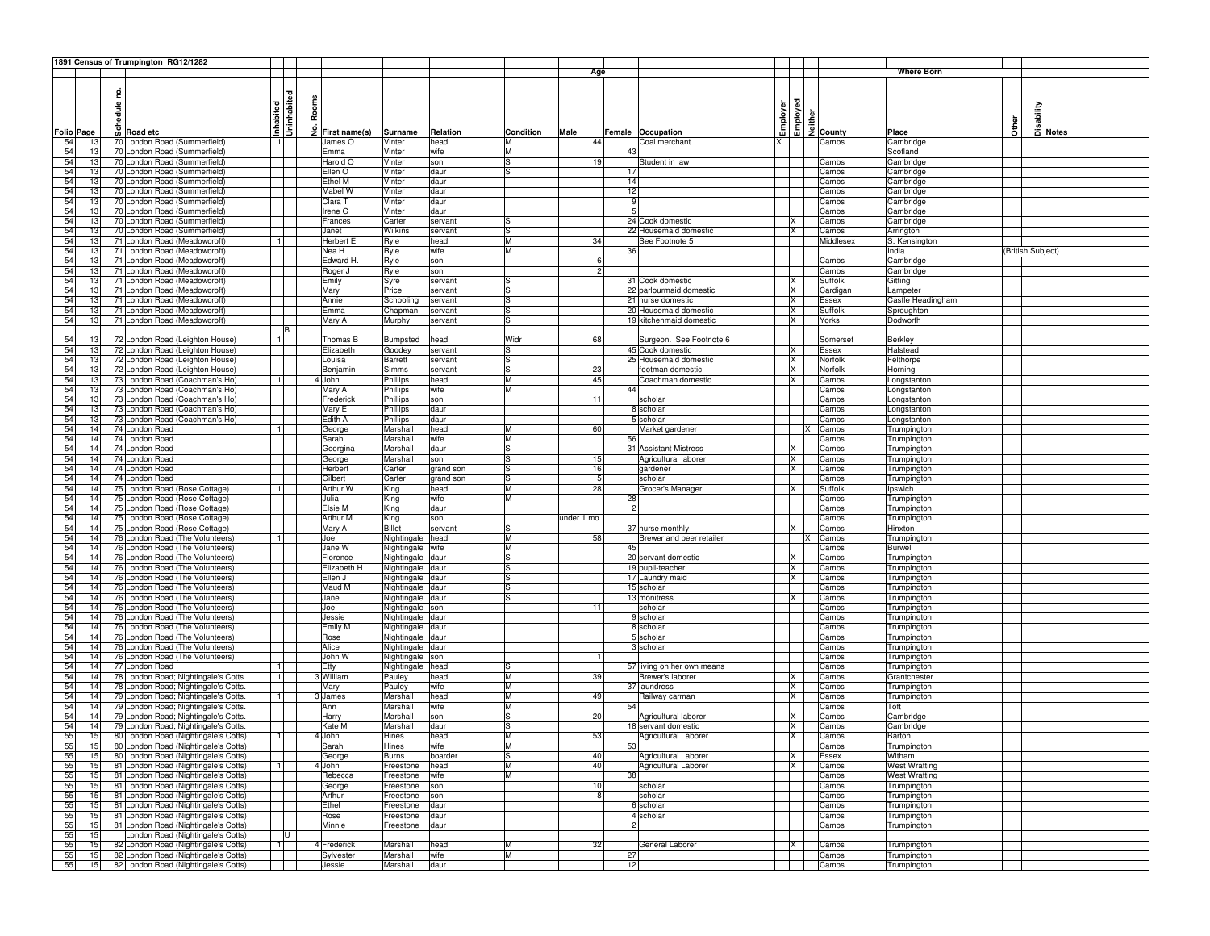|          |                 |        | 1891 Census of Trumpington RG12/1282                                         |                     |       |                    |                    |                    |           |            |         |                                |          |                      |    |                                      |                            |              |                   |       |
|----------|-----------------|--------|------------------------------------------------------------------------------|---------------------|-------|--------------------|--------------------|--------------------|-----------|------------|---------|--------------------------------|----------|----------------------|----|--------------------------------------|----------------------------|--------------|-------------------|-------|
|          |                 |        |                                                                              |                     |       |                    |                    |                    |           | Age        |         |                                |          |                      |    |                                      | <b>Where Born</b>          |              |                   |       |
|          |                 |        |                                                                              |                     |       |                    |                    |                    |           |            |         |                                |          |                      |    |                                      |                            |              |                   |       |
|          |                 | 2      |                                                                              | abited              |       |                    |                    |                    |           |            |         |                                |          |                      |    |                                      |                            |              |                   |       |
|          |                 | hedule |                                                                              |                     | Rooms |                    |                    |                    |           |            |         |                                | Employer | इ                    |    |                                      |                            |              |                   |       |
|          |                 |        |                                                                              |                     |       |                    |                    |                    |           |            |         |                                |          | $\tilde{\mathbf{c}}$ |    |                                      |                            |              | sability          |       |
|          |                 |        | ဖြ Road etc                                                                  | nhabited<br>ع<br>أح | £     |                    |                    |                    |           |            |         |                                |          |                      |    | $\frac{1}{6}$ 를 $\frac{1}{2}$ County |                            | <b>Sther</b> |                   |       |
|          | Folio Page      |        |                                                                              |                     |       | First name(s)      | Surname            | Relation           | Condition | Male       |         | Female Occupation              |          |                      |    |                                      | Place                      |              |                   | Notes |
| 54       | 13              |        | 70 London Road (Summerfield)                                                 |                     |       | James O            | Vinter             | head               | M<br>M    | 44         |         | Coal merchant                  | X        |                      |    | Cambs                                | Cambridge                  |              |                   |       |
| 54       | 13              |        | 70 London Road (Summerfield)                                                 |                     |       | Emma               | Vinter             | wife               |           |            | 43      |                                |          |                      |    |                                      | Scotland                   |              |                   |       |
| 54       | 13              |        | 70 London Road (Summerfield)                                                 |                     |       | Harold O           | Vinter             | son                | lS        | 19         |         | Student in law                 |          |                      |    | Cambs                                | Cambridge                  |              |                   |       |
| 54       | 13              |        | 70 London Road (Summerfield)                                                 |                     |       | Ellen O            | Vinter             | daur               | lS        |            | 17      |                                |          |                      |    | Cambs                                | Cambridge                  |              |                   |       |
| 54       | 13              |        | 70 London Road (Summerfield)                                                 |                     |       | Ethel M            | Vinter             | daur               |           |            | 14      |                                |          |                      |    | Cambs                                | Cambridge                  |              |                   |       |
| 54       | 13<br>13        |        | 70 London Road (Summerfield)<br>70 London Road (Summerfield)                 |                     |       | Mabel W<br>Clara 1 | Vinter             | daur               |           |            | 12<br>9 |                                |          |                      |    | Cambs                                | Cambridge                  |              |                   |       |
| 54       | 13              |        |                                                                              |                     |       |                    | Vinter             | daur               |           |            | 5       |                                |          |                      |    | Cambs                                | Cambridge                  |              |                   |       |
| 54       |                 |        | 70 London Road (Summerfield)<br>70 London Road (Summerfield)                 |                     |       | Irene G            | Vinter             | daur               |           |            |         | 24 Cook domestic               |          |                      |    | Cambs                                | Cambridge                  |              |                   |       |
| 54<br>54 | 13<br>13        |        | 70 London Road (Summerfield)                                                 |                     |       | Frances<br>Janet   | Carter<br>Wilkins  | servant<br>servant |           |            |         | 22 Housemaid domestic          |          | X                    |    | Cambs<br>Cambs                       | Cambridge                  |              |                   |       |
| 54       | 13              |        | 71 London Road (Meadowcroft)                                                 |                     |       | Herbert E          | Ryle               | head               | lS<br>M   | 34         |         | See Footnote 5                 |          |                      |    | Middlesex                            | Arrington<br>S. Kensington |              |                   |       |
| 54       | 13              |        | 71 London Road (Meadowcroft)                                                 |                     |       | Nea.H              | Ryle               | wife               | M         |            | 36      |                                |          |                      |    |                                      | India                      |              | (British Subject) |       |
| 54       | 13              |        | 71 London Road (Meadowcroft)                                                 |                     |       | Edward H           | Ryle               | son                |           |            |         |                                |          |                      |    | Cambs                                | Cambridge                  |              |                   |       |
| 54       | 13              |        | 71 London Road (Meadowcroft)                                                 |                     |       | Roger J            | Ryle               | son                |           |            |         |                                |          |                      |    | Cambs                                | Cambridge                  |              |                   |       |
| 54       | 13              |        | 71 London Road (Meadowcroft)                                                 |                     |       | Emily              | Syre               | servant            |           |            |         | 31 Cook domestic               | X        |                      |    | Suffolk                              | Gitting                    |              |                   |       |
| 54       | 13              |        | 71 London Road (Meadowcroft)                                                 |                     |       | Mary               | Price              | servant            | lS        |            |         | 22 parlourmaid domestic        |          | X                    |    | Cardigan                             | Lampeter                   |              |                   |       |
| 54       | 13              |        | 71 London Road (Meadowcroft)                                                 |                     |       | Annie              | Schooling          | servant            | lS        |            |         | 21 nurse domestic              |          | X                    |    | Essex                                | Castle Headingham          |              |                   |       |
| 54       | 13              |        | 71 London Road (Meadowcroft)                                                 |                     |       | Emma               | Chapman            | servant            | ıs        |            |         | 20 Housemaid domestic          | х        |                      |    | Suffolk                              | Sproughton                 |              |                   |       |
| 54       | 13 <sub>1</sub> |        | 71 London Road (Meadowcroft)                                                 |                     |       | Mary A             | Murphy             | servant            | lS        |            |         | 19 kitchenmaid domestic        | <b>X</b> |                      |    | Yorks                                | Dodworth                   |              |                   |       |
|          |                 |        |                                                                              | B                   |       |                    |                    |                    |           |            |         |                                |          |                      |    |                                      |                            |              |                   |       |
| 54       | 13              |        | 72 London Road (Leighton House)                                              |                     |       | Thomas B           | Bumpsted           | head               | Widr      | 68         |         | Surgeon. See Footnote 6        |          |                      |    | Somerset                             | Berkley                    |              |                   |       |
| 54       | 13              |        | 72 London Road (Leighton House)                                              |                     |       | Elizabeth          | Goodey             | servant            |           |            |         | 45 Cook domestic               | X        |                      |    | Essex                                | Halstead                   |              |                   |       |
| 54       | 13              |        | 72 London Road (Leighton House)                                              |                     |       | Louisa             | Barrett            | servant            | lS        |            |         | 25 Housemaid domestic          |          | X                    |    | Norfolk                              | Felthorpe                  |              |                   |       |
| 54       | 13              |        | 72 London Road (Leighton House)                                              |                     |       | Benjamin           | Simms              | servant            | lS        | 23         |         | footman domestic               | X        |                      |    | Norfolk                              | Horning                    |              |                   |       |
| 54       | 13              |        | 73 London Road (Coachman's Ho)                                               |                     |       | 4 John             | Phillips           | head               | M         | 45         |         | Coachman domestic              | ΙX       |                      |    | Cambs                                | Longstanton                |              |                   |       |
| 54       | 13              |        | 73 London Road (Coachman's Ho)                                               |                     |       | Mary A             | Phillips           | wife               | M         |            | 44      |                                |          |                      |    | Cambs                                | Longstanton                |              |                   |       |
| 54       | 13              |        | 73 London Road (Coachman's Ho)                                               |                     |       | Frederick          | Phillips           | son                |           | 11         |         | scholar                        |          |                      |    | Cambs                                | Longstanton                |              |                   |       |
| 54       | 13              |        | 73 London Road (Coachman's Ho)                                               |                     |       | Mary E             | Phillips           | daur               |           |            |         | 8 scholar                      |          |                      |    | Cambs                                | Longstanton                |              |                   |       |
| 54       | 13              |        | 73 London Road (Coachman's Ho)                                               |                     |       | Edith A            | Phillips           | daur               |           |            |         | 5 scholar                      |          |                      |    | Cambs                                | Longstanton                |              |                   |       |
| 54       | 14              |        | 74 London Road                                                               |                     |       | George             | Marshall           | head               | M         | 60         |         | Market gardener                |          |                      | ιx | Cambs                                | Trumpington                |              |                   |       |
| 54       | 14              |        | 74 London Road                                                               |                     |       | Sarah              | Marshall           | wife               | M         |            | 56      |                                |          |                      |    | Cambs                                | Trumpington                |              |                   |       |
| 54       | 14              |        | 74 London Road                                                               |                     |       | Georgina           | Marshall           | daur               | lS        |            |         | 31 Assistant Mistress          | х        |                      |    | Cambs                                | Trumpington                |              |                   |       |
| 54       | 14              |        | 74 London Road                                                               |                     |       | George             | Marshall           | son                | lS.       | 15         |         | Agricultural laborer           | ΙX.      |                      |    | Cambs                                | Trumpington                |              |                   |       |
| 54       | 14              |        | 74 London Road                                                               |                     |       | Herbert            | Carter             | grand son          |           | 16         |         | gardener                       | x        |                      |    | Cambs                                | Trumpington                |              |                   |       |
| 54       | 14              |        | 74 London Road                                                               |                     |       | Gilbert            | Carter             | grand son          | ıs        | 5          |         | scholar                        |          |                      |    | Cambs                                | Trumpington                |              |                   |       |
| 54       | 14              |        | 75 London Road (Rose Cottage)                                                |                     |       | Arthur W           | King               | head               | M         | 28         |         | Grocer's Manager               | x        |                      |    | Suffolk                              | Ipswich                    |              |                   |       |
| 54       | 14              |        | 75 London Road (Rose Cottage)                                                |                     |       | Julia              | King               | wife               | M         |            | 28      |                                |          |                      |    | Cambs                                | Trumpington                |              |                   |       |
| 54       | 14              |        | 75 London Road (Rose Cottage)                                                |                     |       | Elsie M            | King               | daur               |           |            | 2       |                                |          |                      |    | Cambs                                | Trumpington                |              |                   |       |
| 54       | 14              |        | 75 London Road (Rose Cottage)                                                |                     |       | Arthur M           | King               | son                |           | under 1 mo |         |                                |          |                      |    | Cambs                                | Trumpington                |              |                   |       |
| 54       | 14              |        | 75 London Road (Rose Cottage)                                                |                     |       | Mary A             | <b>Billet</b>      | servant            |           |            |         | 37 nurse monthly               | x        |                      |    | Cambs                                | Hinxton                    |              |                   |       |
| 54       | 14              |        | 76 London Road (The Volunteers)                                              |                     |       | Joe                | Nightingale        | head               | м         | 58         |         | Brewer and beer retailer       |          |                      | х  | Cambs                                | Trumpington                |              |                   |       |
| 54       | 14              |        | 76 London Road (The Volunteers)                                              |                     |       | Jane W             | Nightingale wife   |                    | M         |            | 45      |                                |          |                      |    | Cambs                                | Burwell                    |              |                   |       |
| 54       | 14              |        | 76 London Road (The Volunteers)                                              |                     |       | Florence           | Nightingale        | daur               | lS        |            |         | 20 servant domestic            | х        |                      |    | Cambs                                | Trumpington                |              |                   |       |
| 54       | 14              |        | 76 London Road (The Volunteers)                                              |                     |       | Elizabeth H        | Nightingale        | daur               | lS        |            |         | 19 pupil-teacher               | <b>X</b> |                      |    | Cambs                                | Trumpington                |              |                   |       |
| 54       | 14              |        | 76 London Road (The Volunteers)                                              |                     |       | Ellen J            | Nightingale        | daur               | lS        |            |         | 17 Laundry maid                |          | X                    |    | Cambs                                | Trumpington                |              |                   |       |
| 54       | 14              |        | 76 London Road (The Volunteers)                                              |                     |       | Maud M             | Nightingale        | daur               |           |            |         | 15 scholar                     |          |                      |    | Cambs                                | Trumpington                |              |                   |       |
| 54       | 14              |        | 76 London Road (The Volunteers)                                              |                     |       | Jane               | Nightingale        | daur               | lS        |            |         | 13 monitress                   | X        |                      |    | Cambs                                | Trumpington                |              |                   |       |
| 54       | 14              |        | 76 London Road (The Volunteers)                                              |                     |       | Joe                | Nightingale son    |                    |           | 11         |         | scholar                        |          |                      |    | Cambs                                | Trumpington                |              |                   |       |
| 54       | 14              |        | 76 London Road (The Volunteers)                                              |                     |       | Jessie             | Nightingale        | daur               |           |            |         | 9 scholar                      |          |                      |    | Cambs                                | Trumpington                |              |                   |       |
| 54       | 14              |        | 76 London Road (The Volunteers)                                              |                     |       | Emily M            | Nightingale        | daur               |           |            |         | 8 scholar                      |          |                      |    | Cambs                                | Trumpington                |              |                   |       |
| 54       | 14              |        | 76 London Road (The Volunteers)                                              |                     |       | Rose               | Nightingale daur   |                    |           |            |         | 5 scholar                      |          |                      |    | Cambs                                | Trumpington                |              |                   |       |
| 54       | 14              |        | 76 London Road (The Volunteers)                                              |                     |       | Alice              | Nightingale daur   |                    |           |            |         | 3 scholar                      |          |                      |    | Cambs                                | Trumpington                |              |                   |       |
| 54       | 14              |        | 76 London Road (The Volunteers)                                              |                     |       | John W             | Nightingale son    |                    |           |            |         |                                |          |                      |    | Cambs                                | Trumpington                |              |                   |       |
| 54       | 14              |        | 77 London Road                                                               |                     |       | Etty               | Nightingale        | head               | IS        |            |         | 57 living on her own means     |          |                      |    | Cambs                                | Trumpington                |              |                   |       |
| 54       | 14<br>14        |        | 78 London Road; Nightingale's Cotts<br>78 London Road; Nightingale's Cotts.  | $\overline{1}$      |       | 3 William          | Pauley             | head               | M         | 39         |         | Brewer's laborer               | X        |                      |    | Cambs                                | Grantchester               |              |                   |       |
| 54       | 14              |        |                                                                              |                     |       | Mary               | Pauley<br>Marshall | wife               | M<br>M    | 49         |         | 37 laundress<br>Railway carman | IX       |                      |    | Cambs                                | Trumpington                |              |                   |       |
| 54       | 14              |        | 79 London Road; Nightingale's Cotts.<br>79 London Road; Nightingale's Cotts. |                     |       | 3 James            |                    | head<br>wife       | M         |            | 54      |                                | х        |                      |    | Cambs                                | Trumpington                |              |                   |       |
| 54       |                 |        | 79 London Road; Nightingale's Cotts.                                         |                     |       | Ann                | Marshall           |                    |           | 20         |         | Agricultural laborer           | X        |                      |    | Cambs                                | Toft                       |              |                   |       |
| 54       | 14              |        |                                                                              |                     |       | Harry              | Marshall           | son                |           |            |         | 18 servant domestic            |          |                      |    | Cambs                                | Cambridge<br>Cambridge     |              |                   |       |
| 54<br>55 | 14<br>15        |        | 79 London Road; Nightingale's Cotts.<br>80 London Road (Nightingale's Cotts) | 1 <sup>1</sup>      |       | Kate M<br>4 John   | Marshall<br>Hines  | daur               | ıs<br>M   | 53         |         | Agricultural Laborer           |          | X<br>X               |    | Cambs<br>Cambs                       | Barton                     |              |                   |       |
| 55       | 151             |        | 80 London Road (Nightingale's Cotts)                                         |                     |       | Sarah              | Hines              | head<br>wife       |           |            | 53      |                                |          |                      |    | Cambs                                | Trumpington                |              |                   |       |
| 55       | 15              |        | 80 London Road (Nightingale's Cotts)                                         |                     |       | George             | <b>Burns</b>       | boarder            | S         | 40         |         | Agricultural Laborer           |          | X                    |    | Essex                                | Witham                     |              |                   |       |
| 55       | 15              |        | 81 London Road (Nightingale's Cotts)                                         | $\blacksquare$      |       | 4 John             | Freestone          | head               | M         | 40         |         | Agricultural Laborer           |          | $\times$             |    | Cambs                                | <b>West Wratting</b>       |              |                   |       |
| 55       | 15              |        | 81 London Road (Nightingale's Cotts)                                         |                     |       | Rebecca            | Freestone          | wife               | M         |            | 38      |                                |          |                      |    | Cambs                                | <b>West Wratting</b>       |              |                   |       |
| 55       | 15              |        | 81 London Road (Nightingale's Cotts)                                         |                     |       | George             | Freestone          | son                |           | 10         |         | scholar                        |          |                      |    | Cambs                                | Trumpington                |              |                   |       |
| 55       | 15              |        | 81 London Road (Nightingale's Cotts)                                         |                     |       | Arthur             | Freestone          | son                |           |            |         | scholar                        |          |                      |    | Cambs                                | Trumpington                |              |                   |       |
| 55       | 15              |        | 81 London Road (Nightingale's Cotts)                                         |                     |       | Ethel              | Freestone          | daur               |           |            |         | 6 scholar                      |          |                      |    | Cambs                                | Trumpington                |              |                   |       |
| 55       | 15              |        | 81 London Road (Nightingale's Cotts)                                         |                     |       | Rose               | Freestone          | daur               |           |            |         | 4 scholar                      |          |                      |    | Cambs                                | Trumpington                |              |                   |       |
| 55       | 15              |        | 81 London Road (Nightingale's Cotts)                                         |                     |       | Minnie             | Freestone          | daur               |           |            |         |                                |          |                      |    | Cambs                                | Trumpington                |              |                   |       |
| 55       | 15              |        | London Road (Nightingale's Cotts)                                            | π                   |       |                    |                    |                    |           |            |         |                                |          |                      |    |                                      |                            |              |                   |       |
| 55       | 15              |        | 82 London Road (Nightingale's Cotts)                                         | 1                   |       | 4 Frederick        | Marshall           | head               | M         | 32         |         | General Laborer                | X        |                      |    | Cambs                                | Trumpington                |              |                   |       |
| 55       | 15              |        | 82 London Road (Nightingale's Cotts)                                         |                     |       | Sylvester          | Marshall           | wife               | M         |            | 27      |                                |          |                      |    | Cambs                                | Trumpington                |              |                   |       |
| 55       | 15              |        | 82 London Road (Nightingale's Cotts)                                         |                     |       | Jessie             | Marshall           | daur               |           |            | 12      |                                |          |                      |    | Cambs                                | Trumpington                |              |                   |       |
|          |                 |        |                                                                              |                     |       |                    |                    |                    |           |            |         |                                |          |                      |    |                                      |                            |              |                   |       |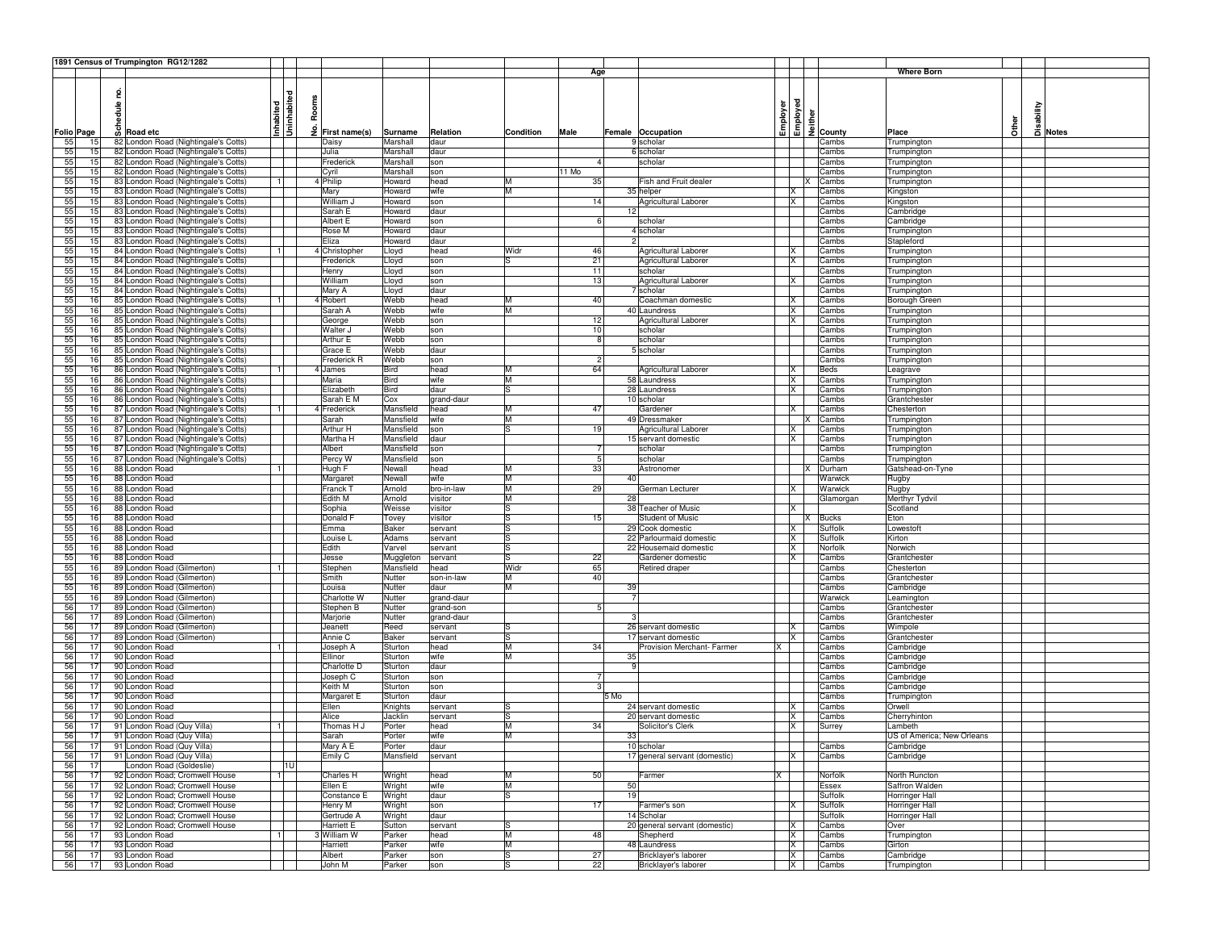|    |                   |          | 1891 Census of Trumpington RG12/1282 |              |       |               |             |            |           |               |                |                               |          |              |   |                                    |                            |   |          |       |
|----|-------------------|----------|--------------------------------------|--------------|-------|---------------|-------------|------------|-----------|---------------|----------------|-------------------------------|----------|--------------|---|------------------------------------|----------------------------|---|----------|-------|
|    |                   |          |                                      |              |       |               |             |            |           | Age           |                |                               |          |              |   |                                    | <b>Where Born</b>          |   |          |       |
|    |                   |          |                                      |              |       |               |             |            |           |               |                |                               |          |              |   |                                    |                            |   |          |       |
|    |                   | g        |                                      |              |       |               |             |            |           |               |                |                               |          |              |   |                                    |                            |   |          |       |
|    |                   |          |                                      | Uninhabited  | Rooms |               |             |            |           |               |                |                               |          |              |   |                                    |                            |   |          |       |
|    |                   |          |                                      |              |       |               |             |            |           |               |                |                               |          | loyed        |   |                                    |                            |   |          |       |
|    |                   | hedule i |                                      | nhabited     |       |               |             |            |           |               |                |                               | Employer |              |   |                                    |                            |   | sability |       |
|    |                   |          | <sub>တ</sub> ိ Road etc              |              |       |               |             |            |           |               |                |                               |          |              |   | $\frac{2}{5}$ $\frac{1}{2}$ County |                            | ð |          |       |
|    | <b>Folio Page</b> |          |                                      |              |       | First name(s) | Surname     | Relation   | Condition | Male          |                | Female Occupation             |          |              |   |                                    | Place                      |   |          | Notes |
| 55 | 15                |          | 82 London Road (Nightingale's Cotts) |              |       | Daisy         | Marshall    | daur       |           |               |                | 9 scholar                     |          |              |   | Cambs                              | Trumpington                |   |          |       |
| 55 | 15                |          | 82 London Road (Nightingale's Cotts) |              |       | Julia         | Marshall    | daur       |           |               |                | 6 scholar                     |          |              |   | Cambs                              | Trumpington                |   |          |       |
| 55 | 15                |          | 82 London Road (Nightingale's Cotts) |              |       | Frederick     | Marshall    | son        |           |               |                | scholar                       |          |              |   | Cambs                              | Trumpington                |   |          |       |
| 55 | 15                |          | 82 London Road (Nightingale's Cotts) |              |       | Cyril         | Marshall    | son        |           | 11 Mo         |                |                               |          |              |   | Cambs                              | Trumpington                |   |          |       |
| 55 | 15                |          | 83 London Road (Nightingale's Cotts) |              |       | 4 Philip      | Howard      | head       | M         | 35            |                | Fish and Fruit dealer         |          |              | х | Cambs                              | Trumpington                |   |          |       |
| 55 | 15                |          | 83 London Road (Nightingale's Cotts) |              |       | Mary          | Howard      | wife       | M         |               |                | 35 helper                     |          | х            |   | Cambs                              | Kingston                   |   |          |       |
| 55 | 15                |          | 83 London Road (Nightingale's Cotts) |              |       | William J     | Howard      | son        |           | 14            |                | Agricultural Laborer          |          | ΙX           |   | Cambs                              | Kingston                   |   |          |       |
| 55 | 15                |          | 83 London Road (Nightingale's Cotts) |              |       | Sarah E       | Howard      | daur       |           |               | 12             |                               |          |              |   | Cambs                              | Cambridge                  |   |          |       |
| 55 | 15                |          | 83 London Road (Nightingale's Cotts) |              |       | Albert E      | Howard      | son        |           |               |                | scholar                       |          |              |   | Cambs                              | Cambridge                  |   |          |       |
| 55 | 15                |          | 83 London Road (Nightingale's Cotts) |              |       | Rose M        | Howard      | daur       |           |               |                | 4 scholar                     |          |              |   | Cambs                              | Trumpington                |   |          |       |
| 55 | 15                |          | 83 London Road (Nightingale's Cotts) |              |       | Eliza         | Howard      | daur       |           |               |                |                               |          |              |   | Cambs                              | Stapleford                 |   |          |       |
|    |                   |          |                                      |              |       |               |             |            |           |               |                | Agricultural Laborer          |          |              |   |                                    |                            |   |          |       |
| 55 | 15                |          | 84 London Road (Nightingale's Cotts) |              |       | Christopher   | Lloyd       | head       | Widr      | 46            |                |                               |          | X            |   | Cambs                              | Trumpington                |   |          |       |
| 55 | 15                |          | 84 London Road (Nightingale's Cotts) |              |       | Frederick     | Lloyd       | son        | ıs        | 21            |                | Agricultural Laborer          |          | х            |   | Cambs                              | Trumpington                |   |          |       |
| 55 | 15                |          | 84 London Road (Nightingale's Cotts) |              |       | Henry         | Lloyd       | son        |           | 11            |                | scholar                       |          |              |   | Cambs                              | Trumpington                |   |          |       |
| 55 | 15                |          | 84 London Road (Nightingale's Cotts) |              |       | William       | Lloyd       | son        |           | 13            |                | Agricultural Laborer          |          | ΙX.          |   | Cambs                              | Trumpington                |   |          |       |
| 55 | 15                |          | 84 London Road (Nightingale's Cotts) |              |       | Mary A        | _loyd       | daur       |           |               |                | 7 scholar                     |          |              |   | Cambs                              | Trumpington                |   |          |       |
| 55 | 16                |          | 85 London Road (Nightingale's Cotts) |              |       | 4 Robert      | Webb        | head       | м         | 40            |                | Coachman domestic             |          | X            |   | Cambs                              | Borough Green              |   |          |       |
| 55 | 16                |          | 85 London Road (Nightingale's Cotts) |              |       | Sarah A       | Webb        | wife       | M         |               |                | 40 Laundress                  |          | X            |   | Cambs                              | Trumpington                |   |          |       |
| 55 | 16                |          | 85 London Road (Nightingale's Cotts) |              |       | George        | Webb        | son        |           | 12            |                | Agricultural Laborer          |          | х            |   | Cambs                              | Trumpington                |   |          |       |
| 55 | 16                |          | 85 London Road (Nightingale's Cotts) |              |       | Walter J      | Webb        | son        |           | 10            |                | scholar                       |          |              |   | Cambs                              | Trumpington                |   |          |       |
| 55 | 16                |          | 85 London Road (Nightingale's Cotts) |              |       | Arthur E      | Webb        | son        |           | $\mathsf{R}$  |                | scholar                       |          |              |   | Cambs                              | Trumpington                |   |          |       |
| 55 | 16                |          | 85 London Road (Nightingale's Cotts) |              |       | Grace E       | Webb        | daur       |           |               |                | 5 scholar                     |          |              |   | Cambs                              | Trumpington                |   |          |       |
| 55 | 16                |          | 85 London Road (Nightingale's Cotts) |              |       | Frederick R   | Webb        | son        |           | $\mathcal{P}$ |                |                               |          |              |   | Cambs                              | Trumpington                |   |          |       |
| 55 | 16                |          | 86 London Road (Nightingale's Cotts) |              |       | 4 James       | Bird        | head       |           | 64            |                | Agricultural Laborer          |          |              |   | Beds                               |                            |   |          |       |
|    |                   |          |                                      |              |       |               |             |            |           |               |                |                               |          | X            |   |                                    | Leagrave                   |   |          |       |
| 55 | 16                |          | 86 London Road (Nightingale's Cotts) |              |       | Maria         | <b>Bird</b> | wife       | M         |               |                | 58 Laundress                  |          | х            |   | Cambs                              | Trumpington                |   |          |       |
| 55 | 16                |          | 86 London Road (Nightingale's Cotts) |              |       | Elizabeth     | <b>Bird</b> | daur       | lS        |               |                | 28 Laundress                  |          | X            |   | Cambs                              | Trumpington                |   |          |       |
| 55 | 16                |          | 86 London Road (Nightingale's Cotts) |              |       | Sarah E M     | Cox         | grand-daur |           |               |                | 10 scholar                    |          |              |   | Cambs                              | Grantchester               |   |          |       |
| 55 | 16                |          | 87 London Road (Nightingale's Cotts) |              |       | 4 Frederick   | Mansfield   | head       | M         | 47            |                | Gardener                      |          | x            |   | Cambs                              | Chesterton                 |   |          |       |
| 55 | 16                |          | 87 London Road (Nightingale's Cotts) |              |       | Sarah         | Mansfield   | wife       | M         |               |                | 49 Dressmaker                 |          |              |   | Cambs                              | Trumpington                |   |          |       |
| 55 | 16                |          | 87 London Road (Nightingale's Cotts) |              |       | Arthur H      | Mansfield   | son        | lS        | 19            |                | Agricultural Laborer          |          | X            |   | Cambs                              | Trumpington                |   |          |       |
| 55 | 16                |          | 87 London Road (Nightingale's Cotts) |              |       | Martha H      | Mansfield   | daur       |           |               |                | 15 servant domestic           |          | x            |   | Cambs                              | Trumpington                |   |          |       |
| 55 | 16                |          | 87 London Road (Nightingale's Cotts) |              |       | Albert        | Mansfield   | son        |           |               |                | scholar                       |          |              |   | Cambs                              | Trumpington                |   |          |       |
| 55 | 16                |          | 87 London Road (Nightingale's Cotts) |              |       | Percy W       | Mansfield   | son        |           | 5             |                | scholar                       |          |              |   | Cambs                              | Trumpington                |   |          |       |
| 55 | 16                |          | 88 London Road                       |              |       | Hugh F        | Newall      | head       | M         | 33            |                | Astronomer                    |          |              |   | Durham                             | Gatshead-on-Tyne           |   |          |       |
| 55 | 16                |          | 88 London Road                       |              |       | Margaret      | Newall      | wife       | M         |               | 40             |                               |          |              |   | Warwick                            |                            |   |          |       |
|    |                   |          |                                      |              |       |               |             |            |           |               |                |                               |          |              |   |                                    | Rugby                      |   |          |       |
| 55 | 16                |          | 88 London Road                       |              |       | Franck T      | Arnold      | bro-in-law | M         | 29            |                | German Lecturer               |          | X            |   | Warwick                            | Rugby                      |   |          |       |
| 55 | 16                |          | 88 London Road                       |              |       | Edith M       | Arnold      | visitor    | M         |               | 28             |                               |          |              |   | Glamorgan                          | Merthyr Tydvil             |   |          |       |
| 55 | 16                |          | 88 London Road                       |              |       | Sophia        | Weisse      | visitor    |           |               |                | 38 Teacher of Music           |          | x            |   |                                    | Scotland                   |   |          |       |
| 55 | 16                |          | 88 London Road                       |              |       | Donald F      | Tovey       | visitor    | ıs        | 15            |                | <b>Student of Music</b>       |          |              | x | <b>Bucks</b>                       | Eton                       |   |          |       |
| 55 | 16                |          | 88 London Road                       |              |       | Emma          | Baker       | servant    | lS.       |               |                | 29 Cook domestic              |          | ΙX.          |   | Suffolk                            | Lowestoft                  |   |          |       |
| 55 | 16                |          | 88 London Road                       |              |       | Louise L      | Adams       | servant    |           |               |                | 22 Parlourmaid domestic       |          | X            |   | Suffolk                            | Kirton                     |   |          |       |
| 55 | 16                |          | 88 London Road                       |              |       | Edith         | Varvel      | servant    | lS        |               |                | 22 Housemaid domestic         |          | X            |   | Norfolk                            | Norwich                    |   |          |       |
| 55 | 16                |          | 88 London Road                       |              |       | Jesse         | Muggleton   | servant    | ıs        | 22            |                | Gardener domestic             |          | X            |   | Cambs                              | Grantchester               |   |          |       |
| 55 | 16                |          | 89 London Road (Gilmerton)           |              |       | Stephen       | Mansfield   | head       | Widr      | 65            |                | Retired draper                |          |              |   | Cambs                              | Chesterton                 |   |          |       |
| 55 | 16                |          | 89 London Road (Gilmerton)           |              |       | Smith         | Nutter      | son-in-law | M         | 40            |                |                               |          |              |   | Cambs                              | Grantchester               |   |          |       |
| 55 | 16                |          | 89 London Road (Gilmerton)           |              |       | Louisa        | Nutter      | daur       | M         |               | 39             |                               |          |              |   | Cambs                              | Cambridge                  |   |          |       |
| 55 | 16                |          | 89 London Road (Gilmerton)           |              |       | Charlotte W   | Nutter      | grand-daur |           |               | $\overline{7}$ |                               |          |              |   | Warwick                            | Leamington                 |   |          |       |
| 56 | 17                |          | 89 London Road (Gilmerton)           |              |       | Stephen B     | Nutter      | grand-son  |           |               |                |                               |          |              |   | Cambs                              | Grantchester               |   |          |       |
| 56 | 17                |          | 89 London Road (Gilmerton)           |              |       | Marjorie      | Nutter      | grand-daur |           |               |                |                               |          |              |   | Cambs                              | Grantchester               |   |          |       |
| 56 | 17                |          | 89 London Road (Gilmerton)           |              |       | Jeanett       | Reed        | servant    | ıs        |               |                | 26 servant domestic           |          | х            |   | Cambs                              | Wimpole                    |   |          |       |
| 56 | 17                |          | 89 London Road (Gilmerton)           |              |       | Annie C       | Baker       | servant    | S         |               |                | 17 servant domestic           |          | X            |   | Cambs                              | Grantchester               |   |          |       |
|    | 17                |          | 90 London Road                       |              |       |               |             |            | M         | 34            |                |                               | x        |              |   |                                    |                            |   |          |       |
| 56 |                   |          |                                      |              |       | Joseph A      | Sturton     | head       | M         |               |                | Provision Merchant- Farmer    |          |              |   | Cambs                              | Cambridge                  |   |          |       |
| 56 | 17                |          | 90 London Road                       |              |       | Ellinor       | Sturton     | wife       |           |               | 35             |                               |          |              |   | Cambs                              | Cambridge                  |   |          |       |
| 56 | 17                |          | 90 London Road                       |              |       | Charlotte D   | Sturton     | daur       |           |               | a              |                               |          |              |   | Cambs                              | Cambridge                  |   |          |       |
| 56 | 17                |          | 90 London Road                       |              |       | Joseph C      | Sturton     | son        |           |               |                |                               |          |              |   | Cambs                              | Cambridge                  |   |          |       |
| 56 | 17                |          | 90 London Road                       |              |       | Keith M       | Sturton     | son        |           |               |                |                               |          |              |   | Cambs                              | Cambridge                  |   |          |       |
| 56 | 17                |          | 90 London Road                       |              |       | Margaret E    | Sturton     | daur       |           |               | 5 Mo           |                               |          |              |   | Cambs                              | Trumpington                |   |          |       |
| 56 | 17                |          | 90 London Road                       |              |       | Ellen         | Knights     | servant    |           |               |                | 24 servant domestic           |          | X            |   | Cambs                              | Orwell                     |   |          |       |
| 56 | 17                |          | 90 London Road                       |              |       | Alice         | Jacklin     | servant    |           |               |                | 20 servant domestic           |          | X            |   | Cambs                              | Cherryhinton               |   |          |       |
| 56 | 17                |          | 91 London Road (Quy Villa)           |              |       | Thomas H J    | Porter      | head       | M         | 34            |                | Solicitor's Clerk             |          | X            |   | Surrey                             | Lambeth                    |   |          |       |
| 56 | 17                |          | 91 London Road (Quy Villa)           |              |       | Sarah         | Porter      | wife       | M         |               | 33             |                               |          |              |   |                                    | US of America; New Orleans |   |          |       |
|    | 171               |          | 91 London Road (Quy Villa)           |              |       | Mary A E      | Porter      | daur       |           |               |                | 10 scholar                    |          |              |   | Cambs                              | Cambridge                  |   |          |       |
| 56 | 17                |          | 91 London Road (Quy Villa)           |              |       | Emily C       | Mansfield   | servant    |           |               |                | 17 general servant (domestic) |          | $\times$     |   | Cambs                              | Cambridge                  |   |          |       |
| 56 | 17                |          | London Road (Goldeslie)              | l1U          |       |               |             |            |           |               |                |                               |          |              |   |                                    |                            |   |          |       |
| 56 | 17                |          | 92 London Road; Cromwell House       |              |       | Charles H     | Wright      | head       | M         | 50            |                | Farmer                        | X        |              |   | Norfolk                            | North Runcton              |   |          |       |
|    |                   |          |                                      |              |       |               |             |            |           |               |                |                               |          |              |   |                                    |                            |   |          |       |
| 56 | 17                |          | 92 London Road; Cromwell House       |              |       | Ellen E       | Wright      | wife       | M         |               | 50             |                               |          |              |   | Essex                              | Saffron Walden             |   |          |       |
| 56 | 17                |          | 92 London Road; Cromwell House       |              |       | Constance E   | Wright      | daur       | S         |               | 19             |                               |          |              |   | Suffolk                            | Horringer Hall             |   |          |       |
| 56 | 17                |          | 92 London Road; Cromwell House       |              |       | Henry M       | Wright      | son        |           | 17            |                | Farmer's son                  |          | X            |   | Suffolk                            | Horringer Hall             |   |          |       |
| 56 | 17                |          | 92 London Road; Cromwell House       |              |       | Gertrude A    | Wright      | daur       |           |               |                | 14 Scholar                    |          |              |   | Suffolk                            | Horringer Hall             |   |          |       |
| 56 | 17                |          | 92 London Road; Cromwell House       |              |       | Harriett E    | Sutton      | servant    | S         |               |                | 20 general servant (domestic) |          | IX.          |   | Cambs                              | Over                       |   |          |       |
| 56 | 17                |          | 93 London Road                       | $\mathbf{1}$ |       | 3 William W   | Parker      | head       | M         | 48            |                | Shepherd                      |          | <b>X</b>     |   | Cambs                              | Trumpington                |   |          |       |
| 56 | 17                |          | 93 London Road                       |              |       | Harriett      | Parker      | wife       | M         |               |                | 48 Laundress                  |          | <b>X</b>     |   | Cambs                              | Girton                     |   |          |       |
| 56 | 17                |          | 93 London Road                       |              |       | Albert        | Parker      | son        | S         | 27            |                | Bricklayer's laborer          |          | <b>X</b>     |   | Cambs                              | Cambridge                  |   |          |       |
| 56 | 17                |          | 93 London Road                       |              |       | John M        | Parker      | son        | S         | 22            |                | Bricklayer's laborer          |          | $\mathsf{X}$ |   | Cambs                              | Trumpington                |   |          |       |
|    |                   |          |                                      |              |       |               |             |            |           |               |                |                               |          |              |   |                                    |                            |   |          |       |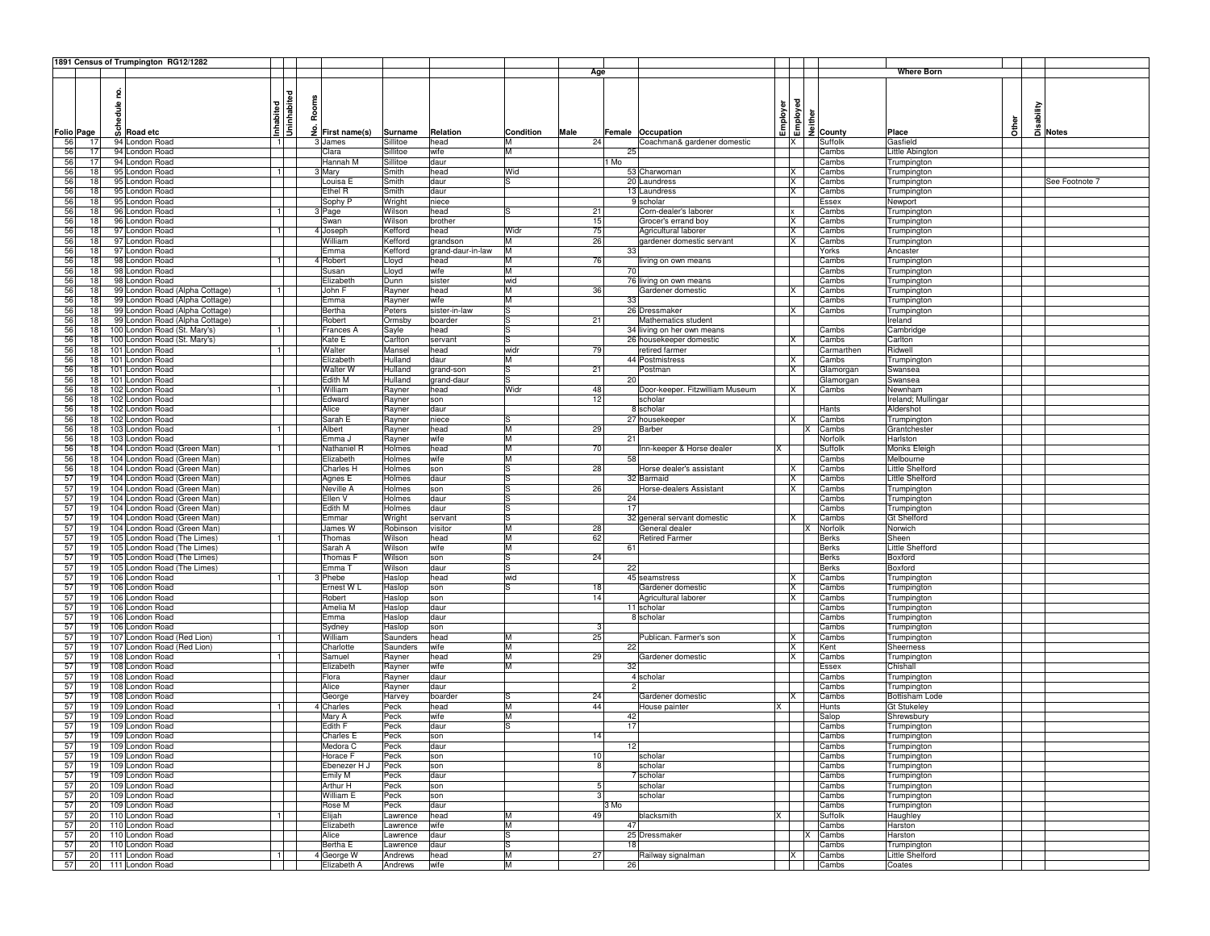|            |          |        | 1891 Census of Trumpington RG12/1282           |                |       |                             |                  |                   |           |                 |      |                                 |                      |          |                          |                            |       |          |                |
|------------|----------|--------|------------------------------------------------|----------------|-------|-----------------------------|------------------|-------------------|-----------|-----------------|------|---------------------------------|----------------------|----------|--------------------------|----------------------------|-------|----------|----------------|
|            |          |        |                                                |                |       |                             |                  |                   |           | Age             |      |                                 |                      |          |                          | <b>Where Born</b>          |       |          |                |
|            |          |        |                                                |                |       |                             |                  |                   |           |                 |      |                                 |                      |          |                          |                            |       |          |                |
|            |          | 2      |                                                | ᄝ              |       |                             |                  |                   |           |                 |      |                                 |                      |          |                          |                            |       |          |                |
|            |          | hedule |                                                | Inhabited<br>흛 | Rooms |                             |                  |                   |           |                 |      |                                 | Employer<br>Employed |          |                          |                            |       | sability |                |
|            |          |        |                                                | 뒴              |       |                             |                  |                   |           |                 |      |                                 |                      |          |                          |                            |       |          |                |
| Folio Page |          |        | တို Road etc                                   | 3              |       | $\frac{9}{2}$ First name(s) | Surname          | Relation          | Condition | Male            |      | Female Occupation               |                      |          | <sup>들</sup><br>의 County | Place                      | Other |          | Notes          |
| 56         | 17       |        | 94 London Road                                 | 11             |       | James                       | Sillitoe         | head              | M         | 24              |      | Coachman& gardener domestic     |                      | IX.      | Suffolk                  | Gasfield                   |       |          |                |
| 56         | 17       |        | 94 London Road                                 |                |       | Clara                       | Sillitoe         | wife              | M         |                 |      | 25                              |                      |          | Cambs                    | Little Abington            |       |          |                |
| 56         | 17       |        | 94 London Road                                 |                |       | Hannah M                    | Sillitoe         | daur              |           |                 | l Mo |                                 |                      |          | Cambs                    | Trumpington                |       |          |                |
| 56         | 18       |        | 95 London Road                                 | 11             |       | Mary                        | Smith            | head              | Wid       |                 |      | 53 Charwoman                    |                      | X        | Cambs                    | Trumpington                |       |          |                |
| 56         | 18       |        | 95 London Road                                 |                |       | Louisa E                    | Smith            | daur              | lS        |                 |      | 20 Laundress                    |                      | X        | Cambs                    | Trumpington                |       |          | See Footnote 7 |
| 56         | 18       |        | 95 London Road                                 |                |       | Ethel R                     | Smith            | daur              |           |                 |      | 13 Laundress                    |                      | IX       | Cambs                    | Trumpington                |       |          |                |
| 56         | 18       |        | 95 London Road                                 |                |       | Sophy P                     | Wright           | niece             |           |                 |      | 9 scholar                       |                      |          | Essex                    | Newport                    |       |          |                |
| 56         | 18       |        | 96 London Road                                 | 11             |       | 3 Page                      | Wilson           | head              | S.        | 21              |      | Corn-dealer's laborer           |                      | <b>x</b> | Cambs                    | Trumpington                |       |          |                |
| 56         | 18       |        | 96 London Road                                 |                |       | Swan                        | Wilson           | brother           |           | 15              |      | Grocer's errand boy             |                      | X        | Cambs                    | Trumpington                |       |          |                |
| 56         | 18       |        | 97 London Road                                 |                |       | 4 Joseph                    | Kefford          | head              | Widr      | 75              |      | Agricultural laborer            |                      | X        | Cambs                    | Trumpington                |       |          |                |
| 56         | 18       |        | 97 London Road                                 |                |       | William                     | Kefford          | grandson          | M         | 26              |      | gardener domestic servant       |                      | <b>X</b> | Cambs                    | Trumpington                |       |          |                |
| 56         | 18       |        | 97 London Road<br>98 London Road               |                |       | Emma                        | Kefford          | grand-daur-in-law | M         |                 |      | 33                              |                      |          | Yorks                    | Ancaster                   |       |          |                |
| 56<br>56   | 18<br>18 |        | 98 London Road                                 | 1              |       | 4 Robert<br>Susan           | Lloyd            | head<br>wife      | M<br>M    | 76              |      | iving on own means<br>70        |                      |          | Cambs<br>Cambs           | Trumpington                |       |          |                |
| 56         | 18       |        | 98 London Road                                 |                |       | Elizabeth                   | Lloyd<br>Dunn    | sister            | wid       |                 |      | 76 living on own means          |                      |          | Cambs                    | Trumpington<br>Trumpington |       |          |                |
| 56         | 18       |        | 99 London Road (Alpha Cottage)                 | 1              |       | John F                      | Rayner           | head              | M         | 36              |      | Gardener domestic               |                      | X        | Cambs                    | Trumpington                |       |          |                |
| 56         | 18       |        | 99 London Road (Alpha Cottage)                 |                |       | Emma                        | Rayner           | wife              | M         |                 |      | 33                              |                      |          | Cambs                    | Trumpington                |       |          |                |
| 56         | 18       |        | 99 London Road (Alpha Cottage)                 |                |       | Bertha                      | Peters           | sister-in-law     | lS        |                 |      | 26 Dressmaker                   |                      | IX       | Cambs                    | Trumpington                |       |          |                |
| 56         | 18       |        | 99 London Road (Alpha Cottage)                 |                |       | Robert                      | Ormsby           | boarder           | lS        | 21              |      | Mathematics student             |                      |          |                          | Ireland                    |       |          |                |
| 56         | 18       |        | 100 London Road (St. Mary's)                   | 1              |       | Frances A                   | Sayle            | head              | l.S       |                 |      | 34 living on her own means      |                      |          | Cambs                    | Cambridge                  |       |          |                |
| 56         | 18       |        | 100 London Road (St. Mary's)                   |                |       | Kate E                      | Carlton          | servant           | lS        |                 |      | 26 housekeeper domestic         |                      | IX       | Cambs                    | Carlton                    |       |          |                |
| 56         | 18       |        | 101 London Road                                | 1              |       | Walter                      | Mansel           | head              | widr      | 79              |      | retired farmer                  |                      |          | Carmarthen               | Ridwell                    |       |          |                |
| 56         | 18       |        | 101 London Road                                |                |       | Elizabeth                   | Hulland          | daur              | M         |                 |      | 44 Postmistress                 |                      | X        | Cambs                    | Trumpington                |       |          |                |
| 56         | 18       |        | 101 London Road                                |                |       | Walter W                    | Hulland          | grand-son         | S         | 21              |      | Postman                         |                      | IX.      | Glamorgan                | Swansea                    |       |          |                |
| 56         | 18       |        | 101 London Road                                |                |       | Edith M                     | Hulland          | grand-daur        | lS.       |                 |      | 20                              |                      |          | Glamorgan                | Swansea                    |       |          |                |
| 56         | 18       |        | 102 London Road                                | -1 I           |       | William                     | Rayner           | head              | Widr      | 48              |      | Door-keeper. Fitzwilliam Museum |                      | IX.      | Cambs                    | Newnham                    |       |          |                |
| 56         | 18       |        | 102 London Road                                |                |       | Edward                      | Rayner           | son               |           | 12              |      | scholar                         |                      |          |                          | Ireland; Mullingar         |       |          |                |
| 56         | 18       |        | 102 London Road                                |                |       | Alice                       | Rayner           | daur              |           |                 |      | 8 scholar                       |                      |          | Hants                    | Aldershot                  |       |          |                |
| 56<br>56   | 18       |        | 102 London Road<br>103 London Road             |                |       | Sarah E<br>Albert           | Rayner           | niece<br>head     | lS<br>M   | 29              |      | 27 housekeeper                  |                      | X        | Cambs                    | Trumpington                |       |          |                |
| 56         | 18<br>18 |        | 103 London Road                                | $\overline{1}$ |       | Emma J                      | Rayner<br>Rayner | wife              | M         |                 |      | Barber<br>21                    |                      |          | Cambs<br>Norfolk         | Grantchester<br>Harlston   |       |          |                |
| 56         | 18       |        | 104 London Road (Green Man)                    | 11             |       | Nathaniel R                 | Holmes           | head              | M         | 70              |      | Inn-keeper & Horse dealer       | X                    |          | Suffolk                  | Monks Eleigh               |       |          |                |
| 56         | 18       |        | 104 London Road (Green Man)                    |                |       | Elizabeth                   | Holmes           | wife              | M         |                 |      | 58                              |                      |          | Cambs                    | Melbourne                  |       |          |                |
| 56         | 18       |        | 104 London Road (Green Man)                    |                |       | Charles H                   | Holmes           | son               | lS        | 28              |      | Horse dealer's assistant        |                      | X        | Cambs                    | Little Shelford            |       |          |                |
| 57         | 19       |        | 104 London Road (Green Man)                    |                |       | Agnes E                     | Holmes           | daur              | lS        |                 |      | 32 Barmaid                      |                      | ΙX       | Cambs                    | Little Shelford            |       |          |                |
| 57         | 19       |        | 104 London Road (Green Man)                    |                |       | Neville A                   | Holmes           | son               | lS        | 26              |      | Horse-dealers Assistant         |                      | X        | Cambs                    | Trumpington                |       |          |                |
| 57         | 19       |        | 104 London Road (Green Man)                    |                |       | Ellen V                     | Holmes           | daur              | lS        |                 |      | 24                              |                      |          | Cambs                    | Trumpington                |       |          |                |
| 57         | 19       |        | 104 London Road (Green Man)                    |                |       | Edith M                     | Holmes           | daur              | lS.       |                 |      | 17                              |                      |          | Cambs                    | Trumpington                |       |          |                |
| 57         | 19       |        | 104 London Road (Green Man)                    |                |       | Emmar                       | Wright           | servant           | lS        |                 |      | 32 general servant domestic     |                      | X        | Cambs                    | <b>Gt Shelford</b>         |       |          |                |
| 57         | 19       |        | 104 London Road (Green Man)                    |                |       | James W                     | Robinson         | visitor           | M         | 28              |      | General dealer                  |                      |          | Norfolk                  | Norwich                    |       |          |                |
| 57         | 19       |        | 105 London Road (The Limes)                    | 1              |       | Thomas                      | Wilson           | head              | M         | 62              |      | <b>Retired Farmer</b>           |                      |          | <b>Berks</b>             | Sheen                      |       |          |                |
| 57         | 19       |        | 105 London Road (The Limes)                    |                |       | Sarah A                     | Wilson           | wife              | M         |                 |      | 61                              |                      |          | <b>Berks</b>             | Little Shefford            |       |          |                |
| 57         | 19       |        | 105 London Road (The Limes)                    |                |       | Thomas F                    | Wilson           | son               | lS        | 24              |      |                                 |                      |          | <b>Berks</b>             | Boxford                    |       |          |                |
| 57<br>57   | 19<br>19 |        | 105 London Road (The Limes)<br>106 London Road | 11             |       | Emma <sup>-</sup><br>Phebe  | Wilson<br>Haslop | daur<br>head      | ls<br>wid |                 |      | 22<br>45 seamstress             |                      | IX.      | <b>Berks</b><br>Cambs    | Boxford                    |       |          |                |
| 57         | 19       |        | 106 London Road                                |                |       | Ernest W L                  | Haslop           | son               | lS        | 18              |      | Gardener domestic               |                      | <b>X</b> | Cambs                    | Trumpington<br>Trumpington |       |          |                |
| 57         | 19       |        | 106 London Road                                |                |       | Robert                      | Haslop           | son               |           | 14              |      | Agricultural laborer            |                      | IX.      | Cambs                    | Trumpington                |       |          |                |
| 57         | 19       |        | 106 London Road                                |                |       | Amelia M                    | Haslop           | daur              |           |                 |      | 11 scholar                      |                      |          | Cambs                    | Trumpington                |       |          |                |
| 57         | 19       |        | 106 London Road                                |                |       | Emma                        | Haslop           | daur              |           |                 |      | 8 scholar                       |                      |          | Cambs                    | Trumpington                |       |          |                |
| 57         | 19       |        | 106 London Road                                |                |       | Sydney                      | Haslop           | son               |           | 3               |      |                                 |                      |          | Cambs                    | Trumpington                |       |          |                |
| 57         | 19       |        | 107 London Road (Red Lion)                     | 11             |       | William                     | Saunders         | head              | M         | 25              |      | Publican. Farmer's son          |                      | IX.      | Cambs                    | Trumpington                |       |          |                |
| 57         | 19       |        | 107 London Road (Red Lion)                     |                |       | Charlotte                   | Saunders         | wife              | M         |                 |      | 22                              |                      | X        | Kent                     | Sheerness                  |       |          |                |
| 57         | 19       |        | 108 London Road                                | 1              |       | Samuel                      | Rayner           | head              | M         | 29              |      | Gardener domestic               |                      | X        | Cambs                    | Trumpington                |       |          |                |
| 57         | 19       |        | 108 London Road                                |                |       | Elizabeth                   | Rayner           | wife              | M         |                 |      | 32                              |                      |          | Essex                    | Chishall                   |       |          |                |
| 57         | 19       |        | 108 London Road                                |                |       | Flora                       | Rayner           | daur              |           |                 |      | 4 scholar                       |                      |          | Cambs                    | Trumpington                |       |          |                |
| 57         | 19       |        | 108 London Road                                |                |       | Alice                       | Rayner           | daur              |           |                 |      |                                 |                      |          | Cambs                    | Trumpington                |       |          |                |
| 57         | 19       |        | 108 London Road                                |                |       | George                      | Harvey           | boarder           | lS.       | 24              |      | Gardener domestic               |                      | ΙX       | Cambs                    | Bottisham Lode             |       |          |                |
| 57         | 19       |        | 109 London Road                                | $\blacksquare$ |       | 4 Charles                   | Peck             | head              | M         | 44              |      | House painter                   |                      |          | Hunts                    | <b>Gt Stukeley</b>         |       |          |                |
| 57         | 19       |        | 109 London Road                                |                |       | Mary A                      | Peck             | wife              | M<br>l.S  |                 |      | 42                              |                      |          | Salop                    | Shrewsbury                 |       |          |                |
| 57<br>57   | 19       |        | 109 London Road<br>109 London Road             |                |       | Edith F                     | Peck<br>Peck     | daur              |           | 14              |      | 17                              |                      |          | Cambs<br>Cambs           | Trumpington                |       |          |                |
|            | 19       |        | 19 109 London Road                             |                |       | Charles E<br>Medora C       | Peck             | son<br>daur       |           |                 |      | 12                              |                      |          | Cambs                    | Trumpington<br>Trumpington |       |          |                |
| 57         | 19       |        | 109 London Road                                |                |       | Horace F                    | Peck             | son               |           | 10              |      | scholar                         |                      |          | Cambs                    | Trumpington                |       |          |                |
| 57         | 19       |        | 109 London Road                                |                |       | Ebenezer H J                | Peck             | son               |           | 8               |      | scholar                         |                      |          | Cambs                    | Trumpington                |       |          |                |
| 57         | 19       |        | 109 London Road                                |                |       | Emily M                     | Peck             | daur              |           |                 |      | 7 scholar                       |                      |          | Cambs                    | Trumpington                |       |          |                |
| 57         | 20       |        | 109 London Road                                |                |       | Arthur H                    | Peck             | son               |           | $5 \frac{1}{2}$ |      | scholar                         |                      |          | Cambs                    | Trumpington                |       |          |                |
| 57         | 20       |        | 109 London Road                                |                |       | <b>William E</b>            | Peck             | son               |           | 3               |      | scholar                         |                      |          | Cambs                    | Trumpington                |       |          |                |
| 57         | 20       |        | 109 London Road                                |                |       | Rose M                      | Peck             | daur              |           |                 | 3 Mo |                                 |                      |          | Cambs                    | Trumpington                |       |          |                |
| 57         |          |        | 20 110 London Road                             | 11             |       | Elijah                      | Lawrence         | head              | M         | 49              |      | blacksmith                      | X                    |          | Suffolk                  | Haughley                   |       |          |                |
| 57         |          |        | 20 110 London Road                             |                |       | Elizabeth                   | Lawrence         | wife              | M         |                 |      | 47                              |                      |          | Cambs                    | Harston                    |       |          |                |
| 57         |          |        | 20 110 London Road                             |                |       | Alice                       | Lawrence         | daur              | lS        |                 |      | 25 Dressmaker                   |                      | ΙX       | Cambs                    | Harston                    |       |          |                |
| 57         | 20       |        | 110 London Road                                |                |       | Bertha E                    | Lawrence         | daur              | ls        |                 |      | 18                              |                      |          | Cambs                    | Trumpington                |       |          |                |
| 57         |          |        | 20 111 London Road                             | $\mathbf{1}$   |       | 4 George W                  | Andrews          | head              | M         | 27              |      | Railway signalman               |                      | X        | Cambs                    | Little Shelford            |       |          |                |
| 57         |          |        | 20 111 London Road                             |                |       | Elizabeth A                 | Andrews          | wife              | M         |                 |      | 26                              |                      |          | Cambs                    | Coates                     |       |          |                |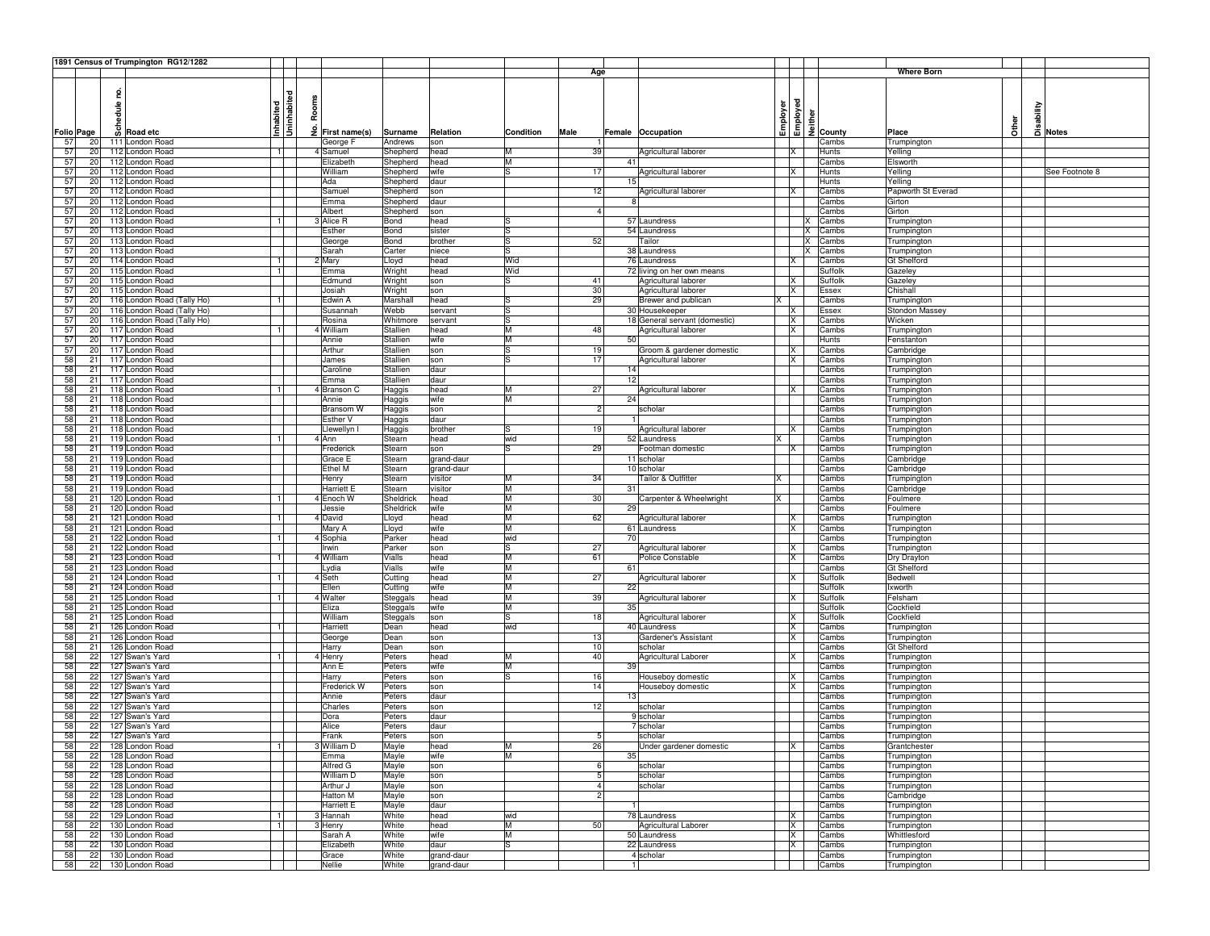|                      |        | 1891 Census of Trumpington RG12/1282     |                        |       |                      |                  |                    |           |      |                |                               |                |          |                      |                            |                |
|----------------------|--------|------------------------------------------|------------------------|-------|----------------------|------------------|--------------------|-----------|------|----------------|-------------------------------|----------------|----------|----------------------|----------------------------|----------------|
|                      |        |                                          |                        |       |                      |                  |                    |           |      | Age            |                               |                |          |                      | Where Born                 |                |
|                      |        |                                          |                        |       |                      |                  |                    |           |      |                |                               |                |          |                      |                            |                |
|                      | 2      |                                          | ᄝ                      |       |                      |                  |                    |           |      |                |                               |                |          |                      |                            |                |
|                      | hedule |                                          |                        | Rooms |                      |                  |                    |           |      |                |                               |                |          |                      |                            |                |
|                      |        |                                          |                        |       |                      |                  |                    |           |      |                |                               |                |          |                      |                            |                |
|                      |        |                                          | Uninhabit<br>Inhabited |       |                      |                  |                    |           |      |                |                               | Employer       | Employed |                      | Other                      | sability       |
| <b>Folio Page</b>    | ഄ      | <b>Road etc</b>                          |                        | £     | First name(s)        | Surname          | Relation           | Condition | Male |                | Female Occupation             |                |          | $\frac{1}{2}$ County | Place                      | Notes          |
| 57<br>20             |        | 111 London Road                          |                        |       | George F             | Andrews          | son                |           |      |                |                               |                |          | Cambs                | Trumpington                |                |
| 57<br>20             |        | 112 London Road                          | -11                    |       | 4 Samuel             | Shepherd         | head               | IM.       |      | 39             | Agricultural laborer          | X              |          | Hunts                | Yelling                    |                |
| 57<br>20             |        | 112 London Road                          |                        |       | Elizabeth            | Shepherd         | head               | ĪМ        |      | 41             |                               |                |          | Cambs                | Elsworth                   |                |
| 57<br>20             |        | 112 London Road                          |                        |       | William              | Shepherd         | wife               | l.S       |      | 17             | Agricultural laborer          |                |          | Hunts                | Yelling                    | See Footnote 8 |
| 57<br>20             |        | 112 London Road                          |                        |       | Ada                  | Shepherd         | daur               |           |      | 15             |                               |                |          | Hunts                | Yelling                    |                |
| 57<br>20             |        | 112 London Road                          |                        |       | Samuel               | Shepherd         | son                |           |      | 12             | Agricultural laborer          | ΙX             |          | Cambs                | Papworth St Everad         |                |
| 57<br>20             |        | 112 London Road                          |                        |       | Emma                 | Shepherd         | daur               |           |      |                |                               |                |          | Cambs                | Girton                     |                |
| 57<br>20             |        | 112 London Road                          |                        |       | Albert               | Shepherd         | son                |           |      | $\overline{4}$ |                               |                |          | Cambs                | Girton                     |                |
| 57<br>20             |        | 113 London Road                          | -1                     |       | <b>Alice R</b>       | Bond             | head               |           |      |                | 57 Laundress                  |                | ΙX       | Cambs                | Trumpington                |                |
| 57<br>20             |        | 113 London Road                          |                        |       | Esther               | Bond             | sister             | lS        |      |                | 54 Laundress                  |                | ΙX       | Cambs                | Trumpington                |                |
| 57<br>20             |        | 113 London Road                          |                        |       | George               | Bond             | brother            | lS        |      | 52             | Tailor                        |                | x        | Cambs                | Trumpington                |                |
| 57<br>20             |        | 113 London Road                          |                        |       | Sarah                | Carter           | niece              | S         |      |                | 38 Laundress                  |                | X        | Cambs                | Trumpington                |                |
| 57<br>20             |        | 114 London Road                          | $\mathbf{1}$           |       | Mary                 | Lloyd            | head               | Wid       |      |                | 76 Laundress                  |                |          | Cambs                | Gt Shelford                |                |
| 57<br>20             |        | 115 London Road                          | $\mathbf{1}$           |       | Emma                 | Wright           | head               | Wid       |      |                | 72 living on her own means    |                |          | Suffolk              | Gazeley                    |                |
| 57<br>20             |        | 115 London Road                          |                        |       | Edmund               | Wright           | son                | ls        |      | 41             | Agricultural laborer          | Ιx             |          | Suffolk              | Gazeley                    |                |
| 57<br>20             |        | 115 London Road                          |                        |       | Josiah               | Wright           | son                |           |      | 30             | Agricultural laborer          | ΙX             |          | Essex                | Chishall                   |                |
| 57<br>20             |        | 116 London Road (Tally Ho)               | $\mathbf{1}$           |       | Edwin A              | Marshall         | head               | S         |      | 29             | Brewer and publican           | ΙX             |          | Cambs                | Trumpington                |                |
| 57<br>20             |        | 116 London Road (Tally Ho)               |                        |       | Susannah             | Webb             | servant            | ls        |      |                | 30 Housekeeper                | ΙX             |          | Essex                | Stondon Massey             |                |
| 57<br>20             |        | 116 London Road (Tally Ho)               |                        |       | Rosina               | Whitmore         | servant            | ls        |      |                | 18 General servant (domestic) | X              |          | Cambs                | Wicken                     |                |
| 57<br>20             |        | 117 London Road                          | 1                      |       | 4 William            | Stallien         | head               | M         |      | 48             | Agricultural laborer          | X              |          | Cambs                | Trumpington                |                |
| 57<br>20             |        | 117 London Road                          |                        |       | Annie                | Stallien         | wife               | M         |      | 50             |                               |                |          | Hunts                | Fenstanton                 |                |
| 57<br>20             |        | 117 London Road                          |                        |       | Arthur               | Stallien         | son                | ls        |      | 19             | Groom & gardener domestic     | IX             |          | Cambs                | Cambridge                  |                |
| 58<br>21             |        | 117 London Road                          |                        |       | James                | Stallien         | son                | lS        |      | 17             | Agricultural laborer          | Ιx             |          | Cambs                | Trumpington                |                |
| 58<br>21             |        | 117 London Road                          |                        |       | Caroline             | Stallien         | daur               |           |      | 14             |                               |                |          | Cambs                | Trumpington                |                |
| 58<br>21             |        | 117 London Road                          |                        |       | Emma                 | Stallien         | daur               |           |      | 12             |                               |                |          | Cambs                | Trumpington                |                |
| 58<br>21             |        | 118 London Road                          | $\mathbf{1}$           |       | 4 Branson C          | Haggis           | head               | M         |      | 27             | Agricultural laborer          | ΙX             |          | Cambs                | Trumpington                |                |
| 58<br>21             |        | 118 London Road                          |                        |       | Annie                | Haggis           | wife               | ĪМ        |      | 24             |                               |                |          | Cambs                | Trumpington                |                |
| 58<br>21             |        | 118 London Road                          |                        |       | Bransom W            | Haggis           | son                |           |      | $\overline{2}$ | scholar                       |                |          | Cambs                | Trumpington                |                |
| 58<br>21             |        | 118 London Road                          |                        |       | Esther V             | Haggis           | daur               |           |      |                |                               |                |          | Cambs                | Trumpington                |                |
| 58<br>21             |        | 118 London Road                          |                        |       | lewellyn I           | Haggis           | brother            | lS        |      | 19             | Agricultural laborer          |                |          | Cambs                | Trumpington                |                |
| 58<br>21             |        | 119 London Road                          | -1                     |       | 4 Ann                | Stearn           | head               | wid       |      |                | 52 Laundress                  | ΙX             |          | Cambs                | Trumpington                |                |
| 58<br>21             |        | 119 London Road                          |                        |       | Frederick            | Stearn           | son                | lS        |      | 29             | Footman domestic              | IΧ             |          | Cambs                | Trumpington                |                |
| 58<br>21             |        | 119 London Road                          |                        |       | Grace E              | Stearn           | grand-daur         |           |      |                | 11 scholar                    |                |          | Cambs                | Cambridge                  |                |
| 58<br>21             |        | 119 London Road                          |                        |       | Ethel M              | Stearn           | grand-daur         |           |      |                | 10 scholar                    |                |          | Cambs                | Cambridge                  |                |
| 58<br>21             |        | 119 London Road                          |                        |       | lenry                | Stearn           | visitor            | M         |      | 34             | <b>Tailor &amp; Outfitter</b> | X              |          | Cambs                | Trumpington                |                |
| 58<br>21             |        | 119 London Road                          |                        |       | Harriett E           | Stearn           | visitor            | IM.       |      | 31             |                               |                |          | Cambs                | Cambridge                  |                |
| 58<br>21             |        | 120 London Road                          |                        |       | 4 Enoch W            | Sheldrick        | head               | M         |      | 30             | Carpenter & Wheelwright       | X              |          | Cambs                | Foulmere                   |                |
| 58<br>21             |        | 120 London Road                          |                        |       | Jessie               | Sheldrick        | wife               | M         |      | 29             |                               |                |          | Cambs                | Foulmere                   |                |
| 58<br>21             |        | 121 London Road                          | 1                      |       | 4 David              | Lloyd            | head               | M         |      | 62             | Agricultural laborer          | X              |          | Cambs                | Trumpington                |                |
| 58<br>21             |        | 121 London Road                          |                        |       | Mary A               | Lloyd            | wife               | M         |      |                | 61 Laundress                  | <b>x</b>       |          | Cambs                | Trumpington                |                |
| 58<br>21             |        | 122 London Road                          | $\mathbf{1}$           |       | 4 Sophia             | Parker           | head               | wid       |      | 70             |                               |                |          | Cambs                | Trumpington                |                |
| 58<br>21             |        | 122 London Road                          |                        |       | lrwin                | Parker           | son                | lS        |      | 27             | Agricultural laborer          |                |          | Cambs                | Trumpington                |                |
| 58<br>21             |        | 123 London Road                          | $\overline{1}$         |       | 4 William            | Vialls           | head               | M         |      | 61             | Police Constable              | ΙX             |          | Cambs                | Dry Drayton                |                |
| 58<br>21             |        | 123 London Road                          |                        |       | Lydia                | Vialls           | wife               | M         |      | 61             |                               |                |          | Cambs                | <b>Gt Shelford</b>         |                |
| 58<br>21             |        | 124 London Road                          | 1                      |       | 4 Seth               | Cutting          | head               | M         |      | 27             | Agricultural laborer          | ΙX             |          | Suffolk              | Bedwell                    |                |
| 58<br>21             |        | 124 London Road                          |                        |       | Ellen                | Cutting          | wife               | M         |      | 22             |                               |                |          | Suffolk              | Ixworth                    |                |
| 58<br>21             |        | 125 London Road                          | 1                      |       | 4 Walter             | Steggals         | head               | M         |      | 39             | Agricultural laborer          | Ix             |          | Suffolk              | Felsham                    |                |
| 58<br>21             |        | 125 London Road                          |                        |       | Eliza                | Steggals         | wife               | M         |      | 35             |                               |                |          | Suffolk              | Cockfield                  |                |
| 58<br>21             |        | 125 London Road                          |                        |       | William              | Steggals         | son                | lS        |      | 18             | Agricultural laborer          |                |          | Suffolk              | Cockfield                  |                |
| 58<br>21             |        | 126 London Road                          |                        |       | Harriett             | Dean             | head               | wid       |      |                | 40 Laundress                  | X              |          | Cambs                | Trumpingtor                |                |
| 58<br>21<br>21       |        | 126 London Road                          |                        |       | George               | Dean             | son                |           |      | 13             | Gardener's Assistant          | IX             |          | Cambs                | Trumpington                |                |
| 58                   |        | 126 London Road<br>127 Swan's Yard       |                        |       | Harry                | Dean             | son                | M         |      | 10<br>40       | scholar                       | IX             |          | Cambs                | <b>Gt Shelford</b>         |                |
| 58<br>22             |        |                                          | $\blacksquare$         |       | 4 Henry              | Peters           | head               |           |      |                | <b>Agricultural Laborer</b>   |                |          | Cambs                | Trumpington                |                |
| 58<br>22<br>58       |        | 127 Swan's Yard                          |                        |       | Ann E                | Peters           | wife               | M<br>lS   |      | 39             |                               |                |          | Cambs                | Trumpington                |                |
| 22<br>58             |        | 127 Swan's Yard<br>127 Swan's Yard       |                        |       | Harry                | Peters           | son                |           |      | 16<br>14       | Houseboy domestic             | ΙX             |          | Cambs                | Trumpington                |                |
| 22<br>58             |        |                                          |                        |       | Frederick W          | Peters           | son                |           |      | 13             | Houseboy domestic             | ΙX             |          | Cambs                | Trumpington                |                |
| 22                   |        | 127 Swan's Yard                          |                        |       | Annie                | Peters           | daur               |           |      |                |                               |                |          | Cambs                | Trumpington                |                |
| 58<br>22<br>58<br>22 |        | 127 Swan's Yard                          |                        |       | Charles              | Peters           | son                |           |      | 12             | scholar                       |                |          | Cambs                | Trumpington                |                |
| 58<br>22             |        | 127 Swan's Yard<br>127 Swan's Yard       |                        |       | Dora                 | Peters<br>Peters | daur<br>daur       |           |      |                | 9 scholar<br>7 scholar        |                |          | Cambs                | Trumpington                |                |
|                      |        | 127 Swan's Yard                          |                        |       | Alice                |                  |                    |           |      | 5              |                               |                |          | Cambs                | Trumpington                |                |
| 58<br>22             |        |                                          |                        |       | Frank                | Peters           | son                |           |      |                | scholar                       |                |          | Cambs                | Trumpington                |                |
| 58                   |        | 22 128 London Road<br>22 128 London Road |                        |       | 3 William D          | Mayle<br>Mayle   | head               | M         |      | 26<br>35       | Under gardener domestic       |                |          | Cambs<br>Cambs       | Grantcheste                |                |
| 58                   |        | 22 128 London Road                       |                        |       | Emma<br>Alfred G     |                  | wife               |           |      | 6              | scholar                       |                |          | Cambs                | Trumpington                |                |
| 58                   |        |                                          |                        |       |                      | Mayle            | son                |           |      | 5 <sup>1</sup> |                               |                |          |                      | Trumpington                |                |
| 58<br>22             |        | 22 128 London Road                       |                        |       | William D            | Mayle            | son                |           |      | $\overline{4}$ | scholar                       |                |          | Cambs                | Trumpington                |                |
| 58                   |        | 128 London Road<br>22 128 London Road    |                        |       | Arthur J<br>Hatton M | Mayle<br>Mayle   | son<br>son         |           |      | 2              | scholar                       |                |          | Cambs<br>Cambs       | Trumpington<br>Cambridge   |                |
| 58                   |        |                                          |                        |       |                      |                  |                    |           |      |                |                               |                |          |                      |                            |                |
| 58                   |        | 22 128 London Road<br>22 129 London Road |                        |       | Harriett E           | Mayle            | daur               |           |      |                | 78 Laundress                  |                |          | Cambs                | Trumpington                |                |
| 58                   |        |                                          | 1                      |       | 3 Hannah             | White<br>White   | head               | wid<br>M  |      | 50             | <b>Agricultural Laborer</b>   | X<br>IX.       |          | Cambs                | Trumpington                |                |
|                      |        | 22 130 London Road                       | 1                      |       | 3 Henry              |                  | head               | M         |      |                |                               |                |          | Cambs                | Trumpington                |                |
| 58<br>58             |        | 22 130 London Road<br>22 130 London Road |                        |       | Sarah A              | White<br>White   | wife               | ls        |      |                | 50 Laundress<br>22 Laundress  | <b>X</b><br>lx |          | Cambs                | Whittlesford               |                |
| 58<br>22             |        | 130 London Road                          |                        |       | Elizabeth<br>Grace   | White            | daur<br>grand-daur |           |      |                | 4 scholar                     |                |          | Cambs<br>Cambs       | Trumpington                |                |
| 58                   |        | 22 130 London Road                       |                        |       | Nellie               | White            | grand-daur         |           |      |                | 1                             |                |          | Cambs                | Trumpington<br>Trumpington |                |
|                      |        |                                          |                        |       |                      |                  |                    |           |      |                |                               |                |          |                      |                            |                |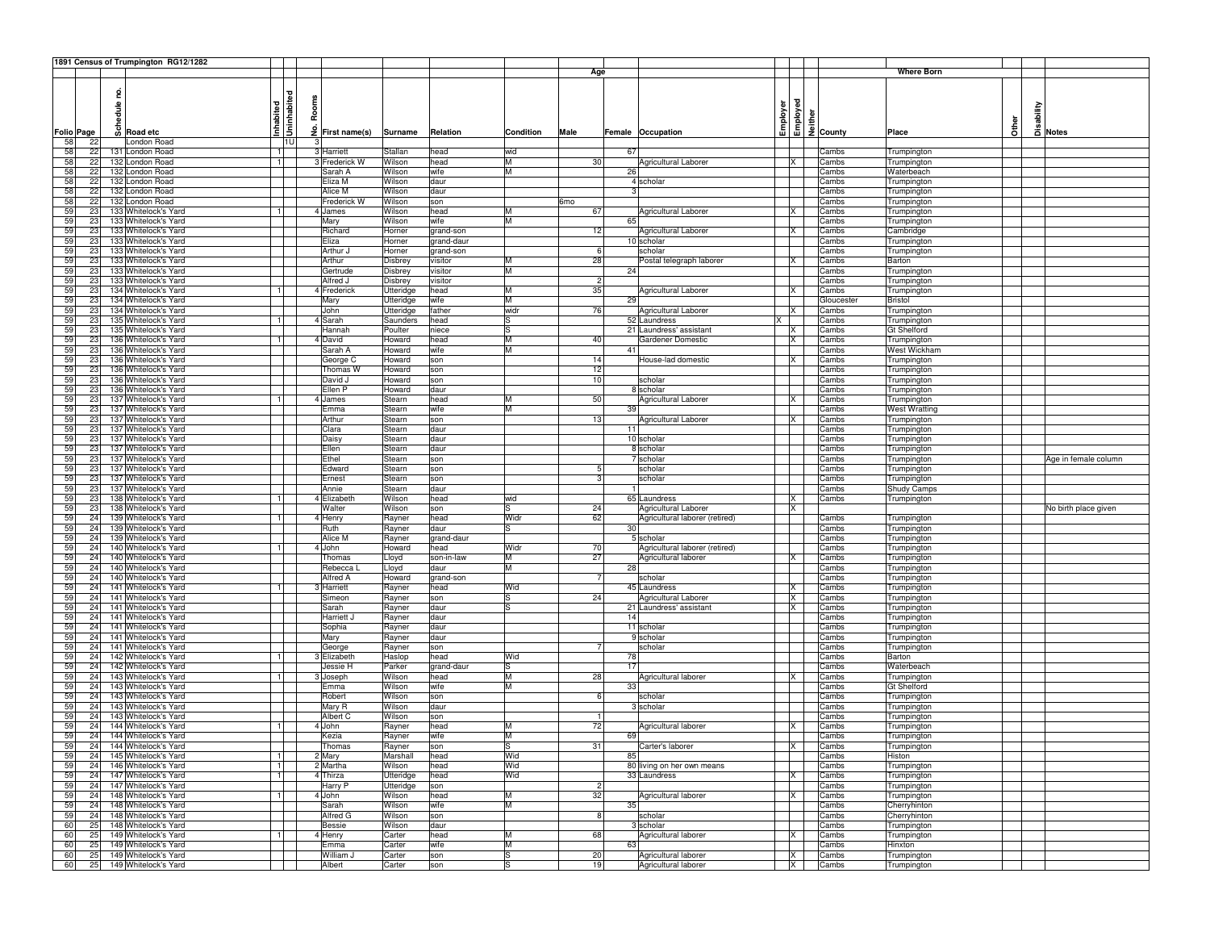|    |                   |      | 1891 Census of Trumpington RG12/1282 |                |              |                             |           |             |           |      |                                |          |          |                      |                      |              |          |                      |
|----|-------------------|------|--------------------------------------|----------------|--------------|-----------------------------|-----------|-------------|-----------|------|--------------------------------|----------|----------|----------------------|----------------------|--------------|----------|----------------------|
|    |                   |      |                                      |                |              |                             |           |             |           | Age  |                                |          |          |                      | <b>Where Born</b>    |              |          |                      |
|    |                   |      |                                      |                |              |                             |           |             |           |      |                                |          |          |                      |                      |              |          |                      |
|    |                   | g    |                                      |                |              |                             |           |             |           |      |                                |          |          |                      |                      |              |          |                      |
|    |                   |      |                                      | Uninhabited    | Rooms        |                             |           |             |           |      |                                |          |          |                      |                      |              |          |                      |
|    |                   | dule |                                      |                |              |                             |           |             |           |      |                                |          |          |                      |                      |              | sability |                      |
|    |                   |      |                                      |                |              |                             |           |             |           |      |                                |          |          | ē                    |                      |              |          |                      |
|    |                   |      | ဟို Road etc                         | Inhabited      |              | $\frac{3}{2}$ First name(s) |           |             |           |      |                                | Employer | Employed | $\frac{1}{2}$ County | Place                | <b>Other</b> |          |                      |
|    | <b>Folio Page</b> |      |                                      |                |              |                             | Surname   | Relation    | Condition | Male | Female Occupation              |          |          |                      |                      |              |          | a Notes              |
| 58 | 22                |      | London Road                          | 1U             | $\mathbf{3}$ |                             |           |             |           |      |                                |          |          |                      |                      |              |          |                      |
| 58 | 22                |      | 131 London Road                      | 11             |              | 3 Harriett                  | Stallan   | head        | wid       |      | 67                             |          |          | Cambs                | Trumpington          |              |          |                      |
| 58 | 22                |      | 132 London Road                      | $\overline{1}$ |              | 3 Frederick W               | Wilson    | head        | M         | 30   | Agricultural Laborer           |          | ΙX       | Cambs                | Trumpington          |              |          |                      |
| 58 | 22                |      | 132 London Road                      |                |              | Sarah A                     | Wilson    | wife        | lм        |      | 26                             |          |          | Cambs                | Waterbeach           |              |          |                      |
| 58 | 22                |      | 132 London Road                      |                |              | Eliza M                     | Wilson    | daur        |           |      | 4 scholar                      |          |          | Cambs                | Trumpington          |              |          |                      |
| 58 | 22                |      | 132 London Road                      |                |              | Alice M                     | Wilson    | daur        |           |      |                                |          |          | Cambs                | Trumpington          |              |          |                      |
| 58 | 22                |      | 132 London Road                      |                |              | Frederick W                 | Wilson    | son         |           | 6mo  |                                |          |          | Cambs                | Trumpington          |              |          |                      |
| 59 | 23                |      | 133 Whitelock's Yard                 | 1              |              | 4 James                     | Wilson    | head        | M         | 67   | Agricultural Laborer           |          | IX       | Cambs                | Trumpington          |              |          |                      |
| 59 | 23                |      | 133 Whitelock's Yard                 |                |              | Mary                        | Wilson    | wife        | IM.       |      | 65                             |          |          | Cambs                | Trumpington          |              |          |                      |
| 59 | 23                |      | 133 Whitelock's Yard                 |                |              | Richard                     | Horner    | grand-son   |           | 12   | Agricultural Laborer           |          | IX       | Cambs                | Cambridge            |              |          |                      |
| 59 | 23                |      | 133 Whitelock's Yard                 |                |              | Eliza                       | Horner    | grand-daur  |           |      | 10 scholar                     |          |          | Cambs                | Trumpington          |              |          |                      |
| 59 | 23                |      | 133 Whitelock's Yard                 |                |              | Arthur J                    | Horner    | grand-son   |           | -6   | scholar                        |          |          | Cambs                | Trumpington          |              |          |                      |
| 59 | 23                |      | 133 Whitelock's Yard                 |                |              | Arthur                      | Disbrey   | visitor     | м         | 28   |                                |          | ΙX       | Cambs                | Barton               |              |          |                      |
| 59 | 23                |      | 133 Whitelock's Yard                 |                |              | Gertrude                    |           | visitor     | IM.       |      | Postal telegraph laborer<br>24 |          |          | Cambs                |                      |              |          |                      |
|    |                   |      |                                      |                |              |                             | Disbrey   |             |           | 2    |                                |          |          |                      | Trumpington          |              |          |                      |
| 59 | 23                |      | 133 Whitelock's Yard                 |                |              | Alfred J                    | Disbrey   | visitor     |           |      |                                |          |          | Cambs                | Trumpington          |              |          |                      |
| 59 | 23                |      | 134 Whitelock's Yard                 | Ť۰             |              | 4 Frederick                 | Utteridge | head        | M         | 35   | Agricultural Laborer           |          | <b>X</b> | Cambs                | Trumpington          |              |          |                      |
| 59 | 23                |      | 134 Whitelock's Yard                 |                |              | Mary                        | Utteridge | wife        | lм        |      | 29                             |          |          | Gloucester           | <b>Bristol</b>       |              |          |                      |
| 59 | 23                |      | 134 Whitelock's Yard                 |                |              | John                        | Utteridge | father      | widr      | 76   | Agricultural Laborer           | <b>X</b> |          | Cambs                | Trumpington          |              |          |                      |
| 59 | 23                |      | 135 Whitelock's Yard                 | -1             |              | 4 Sarah                     | Saunders  | head        | IS        |      | 52 Laundress                   | X.       |          | Cambs                | Trumpington          |              |          |                      |
| 59 | 23                |      | 135 Whitelock's Yard                 |                |              | Hannah                      | Poulter   | niece       | lS        |      | 21 Laundress' assistant        |          | IX       | Cambs                | Gt Shelford          |              |          |                      |
| 59 | 23                |      | 136 Whitelock's Yard                 |                |              | 4 David                     | Howard    | head        | Iм        | 40   | Gardener Domestic              |          | X        | Cambs                | Trumpington          |              |          |                      |
| 59 | 23                |      | 136 Whitelock's Yard                 |                |              | Sarah A                     | Howard    | wife        | M         |      | 41                             |          |          | Cambs                | West Wickham         |              |          |                      |
| 59 | 23                |      | 136 Whitelock's Yard                 |                |              | George C                    | Howard    | son         |           | 14   | House-lad domestic             |          | IX       | Cambs                | Trumpington          |              |          |                      |
| 59 | 23                |      | 136 Whitelock's Yard                 |                |              | Thomas W                    | Howard    | son         |           | 12   |                                |          |          | Cambs                | Trumpington          |              |          |                      |
| 59 | 23                |      | 136 Whitelock's Yard                 |                |              | David J                     | Howard    | son         |           | 10   | scholar                        |          |          | Cambs                | Trumpington          |              |          |                      |
| 59 | 23                |      | 136 Whitelock's Yard                 |                |              | Ellen P                     | Howard    | daur        |           |      | 8 scholar                      |          |          | Cambs                | Trumpington          |              |          |                      |
| 59 | 23                |      | 137 Whitelock's Yard                 |                |              | 4 James                     | Stearn    | head        | M         | 50   |                                |          | <b>X</b> | Cambs                |                      |              |          |                      |
| 59 |                   |      | 137 Whitelock's Yard                 |                |              |                             |           |             | IМ        |      | Agricultural Laborer<br>39     |          |          |                      | Trumpington          |              |          |                      |
|    | 23                |      |                                      |                |              | Emma                        | Stearn    | wife        |           |      |                                |          |          | Cambs                | <b>West Wratting</b> |              |          |                      |
| 59 | 23                |      | 137 Whitelock's Yard                 |                |              | Arthur                      | Stearn    | son         |           | 13   | Agricultural Laborer           |          | IX       | Cambs                | Trumpington          |              |          |                      |
| 59 | 23                |      | 137 Whitelock's Yard                 |                |              | Clara                       | Stearn    | daur        |           |      | 11                             |          |          | Cambs                | Trumpington          |              |          |                      |
| 59 | 23                |      | 137 Whitelock's Yard                 |                |              | Daisy                       | Stearn    | daur        |           |      | 10 scholar                     |          |          | Cambs                | Trumpington          |              |          |                      |
| 59 | 23                |      | 137 Whitelock's Yard                 |                |              | Ellen                       | Stearn    | daur        |           |      | 8 scholar                      |          |          | Cambs                | Trumpington          |              |          |                      |
| 59 | 23                |      | 137 Whitelock's Yard                 |                |              | Ethel                       | Stearn    | son         |           |      | 7 scholar                      |          |          | Cambs                | Trumpington          |              |          | Age in female column |
| 59 | 23                |      | 137 Whitelock's Yard                 |                |              | Edward                      | Stearn    | son         |           |      | scholar                        |          |          | Cambs                | Trumpington          |              |          |                      |
| 59 | 23                |      | 137 Whitelock's Yard                 |                |              | Ernest                      | Stearn    | son         |           |      | scholar                        |          |          | Cambs                | Trumpington          |              |          |                      |
| 59 | 23                |      | 137 Whitelock's Yard                 |                |              | Annie                       | Stearn    | daur        |           |      |                                |          |          | Cambs                | Shudy Camps          |              |          |                      |
| 59 | 23                |      | 138 Whitelock's Yard                 |                |              | 4 Elizabeth                 | Wilson    | head        | wid       |      | 65 Laundress                   |          | X        | Cambs                | Trumpington          |              |          |                      |
| 59 | 23                |      | 138 Whitelock's Yard                 |                |              | Walter                      | Wilson    | son         |           | 24   | Agricultural Laborer           |          | ΙX       |                      |                      |              |          | No birth place given |
| 59 | 24                |      | 139 Whitelock's Yard                 |                |              | 4 Henry                     | Rayner    | head        | Widr      | 62   | Agricultural laborer (retired) |          |          | Cambs                | Trumpington          |              |          |                      |
| 59 | 24                |      | 139 Whitelock's Yard                 |                |              | Ruth                        | Rayner    | daur        |           |      | 30                             |          |          | Cambs                | Trumpington          |              |          |                      |
| 59 | 24                |      | 139 Whitelock's Yard                 |                |              | Alice M                     | Rayner    | grand-daur  |           |      | 5 scholar                      |          |          | Cambs                | Trumpington          |              |          |                      |
| 59 | 24                |      | 140 Whitelock's Yard                 |                |              | 4 John                      | Howard    | head        | Widr      | 70   | Agricultural laborer (retired) |          |          | Cambs                | Trumpington          |              |          |                      |
| 59 | 24                |      | 140 Whitelock's Yard                 |                |              |                             |           |             | м         | 27   |                                |          | ΙX       |                      |                      |              |          |                      |
|    |                   |      |                                      |                |              | Thomas                      | Lloyd     | son-in-law  | м         |      | Agricultural laborer           |          |          | Cambs                | Trumpington          |              |          |                      |
| 59 | 24                |      | 140 Whitelock's Yard                 |                |              | Rebecca                     | Lloyd     | daur        |           |      | 28                             |          |          | Cambs                | Trumpington          |              |          |                      |
| 59 | 24                |      | 140 Whitelock's Yard                 |                |              | Alfred A                    | Howard    | grand-son   |           |      | scholar                        |          |          | Cambs                | Trumpington          |              |          |                      |
| 59 | 24                |      | 141 Whitelock's Yard                 |                |              | 3 Harriett                  | Rayner    | head        | Wid       |      | 45 Laundress                   |          | IX       | Cambs                | Trumpington          |              |          |                      |
| 59 | 24                |      | 141 Whitelock's Yard                 |                |              | Simeon                      | Rayner    | son         |           | 24   | Agricultural Laborer           |          | <b>X</b> | Cambs                | Trumpington          |              |          |                      |
| 59 | 24                |      | 141 Whitelock's Yard                 |                |              | Sarah                       | Rayner    | daur        |           |      | 21 Laundress' assistant        |          | ΙX       | Cambs                | Trumpington          |              |          |                      |
| 59 | 24                |      | 141 Whitelock's Yard                 |                |              | Harriett J                  | Rayner    | daur        |           |      | 14                             |          |          | Cambs                | Trumpington          |              |          |                      |
| 59 | 24                |      | 141 Whitelock's Yard                 |                |              | Sophia                      | Rayner    | daur        |           |      | 11 scholar                     |          |          | Cambs                | Trumpington          |              |          |                      |
| 59 | 24                |      | 141 Whitelock's Yard                 |                |              | Mary                        | Rayner    | daur        |           |      | 9 scholar                      |          |          | Cambs                | Trumpington          |              |          |                      |
| 59 | 24                |      | 141 Whitelock's Yard                 |                |              | George                      | Rayner    | son         |           |      | scholar                        |          |          | Cambs                | Trumpington          |              |          |                      |
| 59 | 24                |      | 142 Whitelock's Yard                 | $\vert$ 1      |              | 3 Elizabeth                 | Haslop    | head        | Wid       |      | 78                             |          |          | Cambs                | Barton               |              |          |                      |
| 59 | 24                |      | 142 Whitelock's Yard                 |                |              | Jessie H                    | Parker    | grand-daur  |           |      | 17                             |          |          | Cambs                | Waterbeach           |              |          |                      |
| 59 | 24                |      | 143 Whitelock's Yard                 | $\mathbf{1}$   |              | 3 Joseph                    | Wilson    | head        | lм        | 28   | Agricultural laborer           |          | X        | Cambs                | Trumpington          |              |          |                      |
| 59 | 24                |      | 143 Whitelock's Yard                 |                |              | Emma                        | Wilson    | wife        | Iм        |      | 33                             |          |          | Cambs                | Gt Shelford          |              |          |                      |
| 59 | 24                |      | 143 Whitelock's Yard                 |                |              | Robert                      | Wilson    | son         |           | -6   | scholar                        |          |          | Cambs                | Trumpington          |              |          |                      |
| 59 | 24                |      | 143 Whitelock's Yard                 |                |              | Mary R                      | Wilson    | daur        |           |      | 3 scholar                      |          |          | Cambs                | Trumpington          |              |          |                      |
| 59 | 24                |      | 143 Whitelock's Yard                 |                |              | Albert C                    | Wilson    | son         |           |      |                                |          |          | Cambs                | Trumpington          |              |          |                      |
| 59 | 24                |      | 144 Whitelock's Yard                 |                |              | 4 John                      | Rayner    | head        |           | 72   | Agricultural laborer           |          | ΙX       | Cambs                | Trumpington          |              |          |                      |
| 59 | 24                |      | 144 Whitelock's Yard                 |                |              | Kezia                       | Rayner    | wife        | lм        |      | 69                             |          |          | Cambs                | Trumpington          |              |          |                      |
|    |                   |      | 144 Whitelock's Yard                 |                |              |                             |           |             |           |      |                                |          |          |                      |                      |              |          |                      |
| 59 |                   |      |                                      |                |              | I homas                     | Rayner    | <b>Ison</b> |           | -31  | Carter's laborer               |          | ΙX       | Cambs                | <b>Trumpington</b>   |              |          |                      |
|    | 24                |      | 145 Whitelock's Yard                 |                |              | 2 Mary                      | Marshall  | head        | Wid       |      | 85                             |          |          | Cambs                | Histon               |              |          |                      |
| 59 | 24                |      | 146 Whitelock's Yard                 | $\mathbf{1}$   |              | 2 Martha                    | Wilson    | head        | Wid       |      | 80 living on her own means     |          |          | Cambs                | Trumpington          |              |          |                      |
| 59 | 24                |      | 147 Whitelock's Yard                 | $\vert$ 1      |              | 4 Thirza                    | Utteridge | head        | Wid       |      | 33 Laundress                   |          | X        | Cambs                | Trumpington          |              |          |                      |
| 59 | 24                |      | 147 Whitelock's Yard                 |                |              | Harry P                     | Utteridge | son         |           |      |                                |          |          | Cambs                | Trumpington          |              |          |                      |
| 59 | 24                |      | 148 Whitelock's Yard                 | 1              |              | 4 John                      | Wilson    | head        | M         | 32   | Agricultural laborer           |          | X        | Cambs                | Trumpington          |              |          |                      |
| 59 | 24                |      | 148 Whitelock's Yard                 |                |              | Sarah                       | Wilson    | wife        | M         |      | 35                             |          |          | Cambs                | Cherryhinton         |              |          |                      |
| 59 | 24                |      | 148 Whitelock's Yard                 |                |              | Alfred G                    | Wilson    | son         |           | 8    | scholar                        |          |          | Cambs                | Cherryhinton         |              |          |                      |
| 60 | 25                |      | 148 Whitelock's Yard                 |                |              | <b>Bessie</b>               | Wilson    | daur        |           |      | 3 scholar                      |          |          | Cambs                | Trumpington          |              |          |                      |
| 60 | 25                |      | 149 Whitelock's Yard                 | $\mathbf{1}$   |              | 4 Henry                     | Carter    | head        | М         | 68   | Agricultural laborer           |          | X        | Cambs                | Trumpington          |              |          |                      |
| 60 | 25                |      | 149 Whitelock's Yard                 |                |              | Emma                        | Carter    | wife        | M         |      | 63                             |          |          | Cambs                | Hinxton              |              |          |                      |
| 60 | 25                |      | 149 Whitelock's Yard                 |                |              | William J                   | Carter    | son         | lS        | 20   | Agricultural laborer           |          | X        | Cambs                | Trumpington          |              |          |                      |
| 60 |                   |      | 25 149 Whitelock's Yard              |                |              | Albert                      | Carter    | son         | ls        | 19   | Agricultural laborer           |          |          | X Cambs              | Trumpington          |              |          |                      |
|    |                   |      |                                      |                |              |                             |           |             |           |      |                                |          |          |                      |                      |              |          |                      |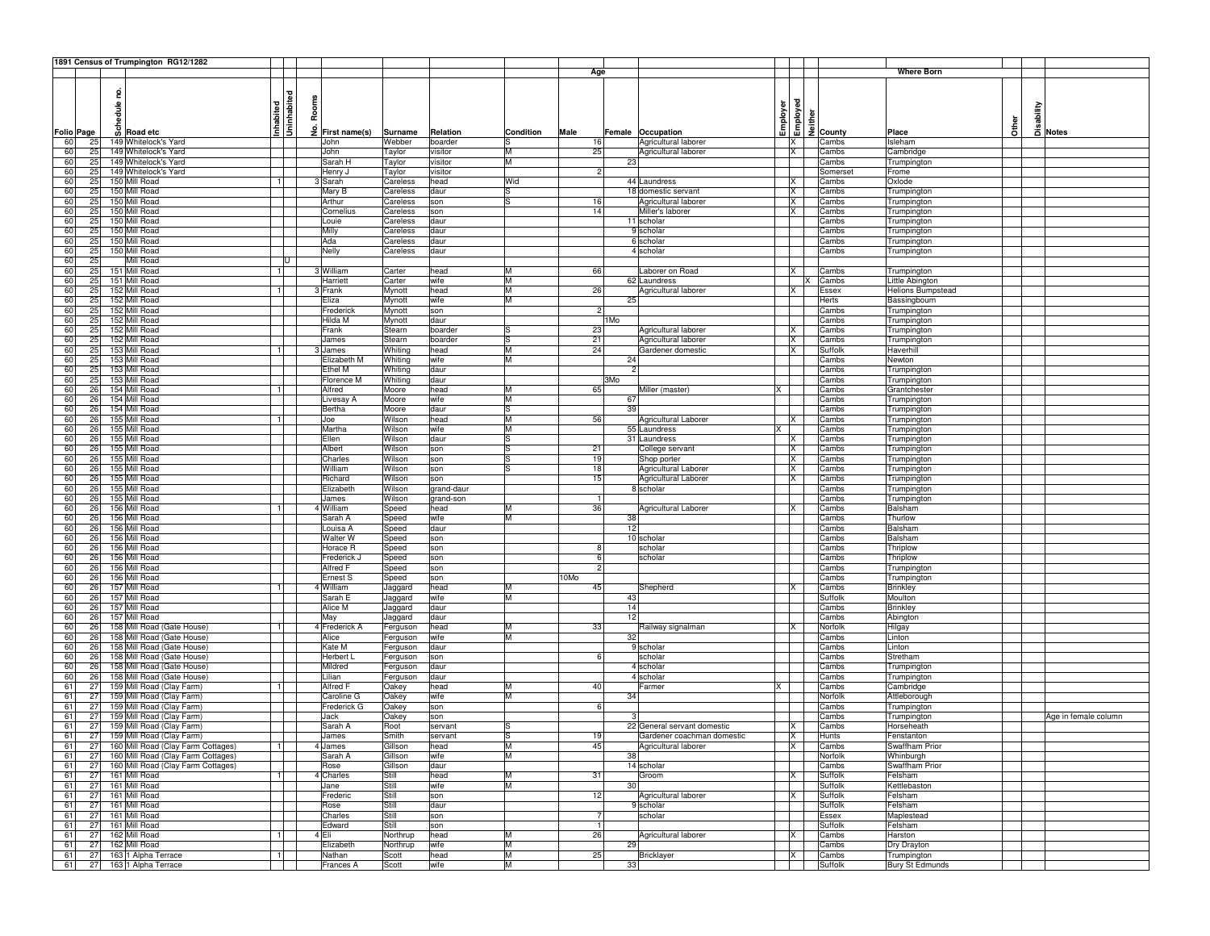|                   |        | 1891 Census of Trumpington RG12/1282  |                        |                 |                |            |           |                |      |                             |     |                         |                                                                             |                        |              |          |                      |
|-------------------|--------|---------------------------------------|------------------------|-----------------|----------------|------------|-----------|----------------|------|-----------------------------|-----|-------------------------|-----------------------------------------------------------------------------|------------------------|--------------|----------|----------------------|
|                   |        |                                       |                        |                 |                |            |           | Age            |      |                             |     |                         |                                                                             | Where Born             |              |          |                      |
|                   |        |                                       |                        |                 |                |            |           |                |      |                             |     |                         |                                                                             |                        |              |          |                      |
|                   | 2      |                                       | ē                      |                 |                |            |           |                |      |                             |     |                         |                                                                             |                        |              |          |                      |
|                   |        |                                       |                        |                 |                |            |           |                |      |                             |     |                         |                                                                             |                        |              |          |                      |
|                   | hedule |                                       | Rooms                  |                 |                |            |           |                |      |                             |     |                         |                                                                             |                        |              |          |                      |
|                   |        |                                       | Uninhabit<br>Inhabited |                 |                |            |           |                |      |                             |     |                         |                                                                             |                        | <b>Other</b> | sability |                      |
| <b>Folio Page</b> |        | o Road etc                            | ٶ                      | First name(s)   | Surname        | Relation   | Condition | Male           |      | Female Occupation           |     |                         | <b>Example 15</b><br>Example 16<br><u>Example 16</u><br>Example 2<br>County | Place                  |              |          | 급 Notes              |
| 60<br>25          |        | 149 Whitelock's Yard                  |                        | John            | Webber         | boarder    | lS        | 16             |      | Agricultural laborer        |     | X                       | Cambs                                                                       | Isleham                |              |          |                      |
| 60<br>25          |        | 149 Whitelock's Yard                  |                        | John            | Taylor         | visitor    | M         | 25             |      | Agricultural laborer        |     | <b>X</b>                | Cambs                                                                       | Cambridge              |              |          |                      |
| 60<br>25          |        | 149 Whitelock's Yard                  |                        | Sarah H         | Taylor         | visitor    | M         |                | 23   |                             |     |                         | Cambs                                                                       | Trumpington            |              |          |                      |
| 25<br>60          |        | 149 Whitelock's Yard                  |                        | Henry J         | Taylor         | visitor    |           | $\overline{2}$ |      |                             |     |                         | <b>Somerse</b>                                                              | Frome                  |              |          |                      |
| 60<br>25          |        | 150 Mill Road                         | 11                     | Sarah           | Careless       | head       | Wid       |                |      | 44 Laundress                |     | X                       | Cambs                                                                       | Oxlode                 |              |          |                      |
| 60<br>25          |        | 150 Mill Road                         |                        | Mary B          | Careless       | daur       | ls        |                |      | 18 domestic servant         |     | X                       | Cambs                                                                       | Trumpington            |              |          |                      |
| 60<br>25          |        | 150 Mill Road                         |                        | Arthur          | Careless       | son        | ls        | 16             |      | Agricultural laborer        |     | X                       | Cambs                                                                       | Trumpington            |              |          |                      |
| 60<br>25          |        | 150 Mill Road                         |                        | Cornelius       | Careless       | son        |           | 14             |      | Miller's laborer            |     | IX.                     | Cambs                                                                       | Trumpington            |              |          |                      |
| 60<br>25          |        | 150 Mill Road                         |                        | Louie           | Careless       | daur       |           |                |      | 11 scholar                  |     |                         | Cambs                                                                       | Trumpington            |              |          |                      |
| 25<br>60          |        | 150 Mill Road                         |                        | Milly           | Careless       | daur       |           |                |      | 9 scholar                   |     |                         | Cambs                                                                       | Trumpington            |              |          |                      |
| 60<br>25          |        | 150 Mill Road                         |                        | Ada             | Careless       | daur       |           |                |      | 6 scholar                   |     |                         | Cambs                                                                       | Trumpington            |              |          |                      |
| 60<br>25          |        | 150 Mill Road                         |                        | Nelly           | Careless       | daur       |           |                |      | 4 scholar                   |     |                         | Cambs                                                                       | Trumpington            |              |          |                      |
| 60<br>25          |        | Mill Road                             | lU                     |                 |                |            |           |                |      |                             |     |                         |                                                                             |                        |              |          |                      |
| 60<br>25          |        | 151 Mill Road                         | 11                     | 3 William       | Carter         | head       | M         | 66             |      | aborer on Road              |     | IX.                     | Cambs                                                                       | Trumpington            |              |          |                      |
| 60<br>25          |        | 151 Mill Road                         |                        | Harriett        | Carter         | wife       | M         |                |      | 62 Laundress                |     |                         | Cambs                                                                       | Little Abington        |              |          |                      |
| 25<br>60          |        | 152 Mill Road                         | 1                      | 3 Frank         | Mynott         | head       | M         | 26             |      | Agricultural laborer        |     | IX.                     | Essex                                                                       | Helions Bumpstead      |              |          |                      |
| 60<br>25          |        | 152 Mill Road                         |                        | Eliza           | Mynott         | wife       | M         |                | 25   |                             |     |                         | Herts                                                                       | Bassingbourn           |              |          |                      |
| 60<br>25          |        | 152 Mill Road                         |                        | Frederick       | Mynott         | son        |           | $\overline{c}$ |      |                             |     |                         | Cambs                                                                       | Trumpington            |              |          |                      |
| 60<br>25          |        | 152 Mill Road                         |                        | Hilda M         | Mynott         | daur       |           |                | 1 Mo |                             |     |                         | Cambs                                                                       | Trumpington            |              |          |                      |
| 60<br>25          |        | 152 Mill Road                         |                        | Frank           | Stearn         | boarder    | lS        | 23             |      | Agricultural laborer        |     | X                       | Cambs                                                                       | Trumpington            |              |          |                      |
| 60<br>25          |        | 152 Mill Road                         |                        | James           | Stearn         | boarder    | ls        | 21             |      | Agricultural laborer        |     | IX                      | Cambs                                                                       | Trumpington            |              |          |                      |
| 60<br>25          |        | 153 Mill Road                         | 1                      | 3 James         | Whiting        | head       | M         | 24             |      | Gardener domestic           |     | ΙX                      | Suffolk                                                                     | Haverhill              |              |          |                      |
| 60<br>25          |        | 153 Mill Road                         |                        | Elizabeth M     | Whiting        | wife       | lм        |                | 24   |                             |     |                         | Cambs                                                                       | Newton                 |              |          |                      |
| 60<br>25          |        | 153 Mill Road                         |                        | Ethel M         | Whiting        | daur       |           |                |      |                             |     |                         | Cambs                                                                       | Trumpington            |              |          |                      |
| 60<br>25          |        | 153 Mill Road                         |                        | Florence M      | Whiting        | daur       |           |                | 3Mo  |                             |     |                         | Cambs                                                                       | Trumpington            |              |          |                      |
| 60<br>26          |        | 154 Mill Road                         | 1                      | Alfred          | Moore          | head       | M         | 65             |      | Miller (master)             | X   |                         | Cambs                                                                       | Grantchester           |              |          |                      |
| 60<br>26          |        | 154 Mill Road                         |                        | Livesay A       | Moore          | wife       | M         |                | 67   |                             |     |                         | Cambs                                                                       | Trumpington            |              |          |                      |
| 60<br>26          |        | 154 Mill Road                         |                        | Bertha          | Moore          | daur       | ls        |                | 39   |                             |     |                         | Cambs                                                                       | Trumpington            |              |          |                      |
| 26<br>60          |        | 155 Mill Road                         | 1                      | Joe             | Wilson         | head       | M         | 56             |      | Agricultural Laborer        |     | IX.                     | Cambs                                                                       | Trumpington            |              |          |                      |
| 60<br>26          |        | 155 Mill Road                         |                        | Martha          | Wilson         | wife       | M         |                |      | 55 Laundress                |     |                         | Cambs                                                                       | Trumpington            |              |          |                      |
| 60<br>26          |        | 155 Mill Road                         |                        | Ellen           | Wilson         | daur       | lS        |                |      | 31 Laundress                |     | ΙX                      | Cambs                                                                       | Trumpington            |              |          |                      |
| 60<br>26          |        | 155 Mill Road                         |                        | Albert          | Wilson         | son        | lS        | 21             |      | College servant             |     | X                       | Cambs                                                                       | Trumpington            |              |          |                      |
| 60<br>26          |        | 155 Mill Road                         |                        | Charles         | Wilson         | son        | lS        | 19             |      | Shop porter                 |     | <b>X</b>                | Cambs                                                                       | Trumpington            |              |          |                      |
| 60<br>26          |        | 155 Mill Road                         |                        | William         | Wilson         | son        | lS        | 18             |      | Agricultural Laborer        |     | <b>X</b>                | Cambs                                                                       | Trumpington            |              |          |                      |
| 60<br>26          |        | 155 Mill Road                         |                        | Richard         | Wilson         | son        |           | 15             |      | Agricultural Laborer        |     | ΙX                      | Cambs                                                                       | Trumpington            |              |          |                      |
| 60<br>26          |        | 155 Mill Road                         |                        | Elizabeth       | Wilson         | grand-daur |           |                |      | 8 scholar                   |     |                         | Cambs                                                                       | Trumpington            |              |          |                      |
| 60<br>26          |        | 155 Mill Road                         |                        | James           | Wilson         | grand-son  |           |                |      |                             |     |                         | Cambs                                                                       | Trumpington            |              |          |                      |
| 60<br>26          |        | 156 Mill Road                         | 11                     | William         | Speed          | head       | M         | 36             |      | Agricultural Laborer        |     | ΙX                      | Cambs                                                                       | Balsham                |              |          |                      |
| 60<br>26          |        | 156 Mill Road                         |                        | Sarah A         | Speed          | wife       | M         |                | 38   |                             |     |                         | Cambs                                                                       | Thurlow                |              |          |                      |
| 60<br>26          |        | 156 Mill Road                         |                        | Louisa A        | Speed          | daur       |           |                | 12   |                             |     |                         | Cambs                                                                       | Balsham                |              |          |                      |
| 26<br>60          |        | 156 Mill Road                         |                        | Walter W        | Speed          | son        |           |                |      | 10 scholar                  |     |                         | Cambs                                                                       | Balsham                |              |          |                      |
| 60<br>26          |        | 156 Mill Road                         |                        | Horace R        | Speed          | son        |           | 8              |      | scholar                     |     |                         | Cambs                                                                       | Thriplow               |              |          |                      |
| 60<br>26          |        | 156 Mill Road                         |                        | Frederick.      | Speed          | son        |           | 6              |      | scholar                     |     |                         | Cambs                                                                       | Thriplow               |              |          |                      |
| 60<br>26          |        | 156 Mill Road                         |                        | Alfred F        | Speed          | son        |           | $\overline{2}$ |      |                             |     |                         | Cambs                                                                       | Trumpingtor            |              |          |                      |
| 60<br>26          |        | 156 Mill Road                         |                        | Ernest S        | Speed          | son        |           | 10Mo           |      |                             |     |                         | Cambs                                                                       | Trumpington            |              |          |                      |
| 60<br>26          |        | 157 Mill Road                         | -1 I                   | 4 William       | Jaggard        | head       | M         | 45             |      | Shepherd                    |     | IX.                     | Cambs                                                                       | Brinkley               |              |          |                      |
| 60<br>26          |        | 157 Mill Road                         |                        | Sarah E         | Jaggard        | wife       | M         |                | 43   |                             |     |                         | Suffolk                                                                     | Moulton                |              |          |                      |
| 60<br>26          |        | 157 Mill Road                         |                        | Alice M         | Jaggard        | daur       |           |                | 14   |                             |     |                         | Cambs                                                                       | Brinkley               |              |          |                      |
| 60<br>26          |        | 157 Mill Road                         |                        | May             | Jaggard        | daur       |           |                | 12   |                             |     |                         | Cambs                                                                       | Abington               |              |          |                      |
| 60<br>26          |        | 158 Mill Road (Gate House)            | 1                      | 4 Frederick A   | Ferguson       | head       | м         | 33             |      | Railway signalman           |     | IX.                     | Norfoll                                                                     | Hilgay                 |              |          |                      |
| 60<br>26          |        | 158 Mill Road (Gate House)            |                        | Alice           | Ferguson       | wife       | lм        |                | 32   |                             |     |                         | Cambs                                                                       | Linton                 |              |          |                      |
| 60<br>26          |        | 158 Mill Road (Gate House)            |                        | Kate M          | Ferguson       | daur       |           |                |      | 9 scholar                   |     |                         | Cambs                                                                       | Linton                 |              |          |                      |
| 60<br>26          |        | 158 Mill Road (Gate House)            |                        | Herbert L       | Ferguson       | son        |           | 6              |      | scholar                     |     |                         | Cambs                                                                       | Stretham               |              |          |                      |
| 60<br>26          |        | 158 Mill Road (Gate House)            |                        | Mildred         | Ferguson       | daur       |           |                |      | 4 scholar                   |     |                         | Cambs                                                                       | Trumpington            |              |          |                      |
| 60<br>26          |        | 158 Mill Road (Gate House)            |                        | Lilian          | Ferguson       | daur       |           |                |      | 4 scholar                   |     |                         | Cambs                                                                       | Trumpington            |              |          |                      |
| 61<br>27          |        | 159 Mill Road (Clay Farm)             | 11                     | Alfred F        | Oakey          | head       | M         | 40             |      | Farmer                      | IX. |                         | Cambs                                                                       | Cambridge              |              |          |                      |
| 61<br>27          |        | 159 Mill Road (Clay Farm)             |                        | Caroline G      | Oakey          | wife       | M         |                | 34   |                             |     |                         | Norfolk                                                                     | Attleborough           |              |          |                      |
| 61<br>27          |        | 159 Mill Road (Clay Farm)             |                        | Frederick G     | Oakey          | son        |           | 6              |      |                             |     |                         | Cambs                                                                       | Trumpington            |              |          |                      |
| 61<br>27          |        | 159 Mill Road (Clay Farm)             |                        | Jack            | Oakey          | son        |           |                |      |                             |     |                         | Cambs                                                                       | Trumpington            |              |          | Age in female column |
| 27<br>61          |        | 159 Mill Road (Clay Farm)             |                        | Sarah A         | Root           | servant    |           |                |      | 22 General servant domestic |     | IX                      | Cambs                                                                       | Horseheath             |              |          |                      |
| 61<br>27          |        | 159 Mill Road (Clay Farm)             |                        | James           | Smith          | servant    | lS        | 19             |      | Gardener coachman domestic  |     | X                       | Hunts                                                                       | Fenstanton             |              |          |                      |
|                   |        | 27 160 Mill Road (Clay Farm Cottages) | -1                     | 4 James         | Gillson        | head       | ıм        | 45             |      | Agricultural laborer        |     | ΙX                      | Cambs                                                                       | Swaftham Prio          |              |          |                      |
| 61                |        | 27 160 Mill Road (Clay Farm Cottages) |                        | Sarah A         | Gillson        | wife       | M         |                | 38   |                             |     |                         | Norfolk                                                                     | Whinburgh              |              |          |                      |
| 61                |        | 27 160 Mill Road (Clay Farm Cottages) |                        | Rose            | Gillson        | daur       |           |                |      | 14 scholar                  |     |                         | Cambs                                                                       | Swaffham Prior         |              |          |                      |
| 61                |        | 27 161 Mill Road                      | 11                     | 4 Charles       | Still          | head       | M         | 31             |      | Groom                       |     | $\overline{\mathsf{x}}$ | Suffolk                                                                     | Felsham                |              |          |                      |
| 61                |        | 27 161 Mill Road                      |                        | Jane            | Still          | wife       | M         |                | 30   |                             |     |                         | Suffolk                                                                     | Kettlebaston           |              |          |                      |
| 61                |        | 27 161 Mill Road                      |                        | Frederic        | Still          | son        |           | 12             |      | Agricultural laborer        |     |                         | Suffolk                                                                     | Felsham                |              |          |                      |
|                   |        |                                       |                        |                 |                |            |           |                |      |                             |     | X                       |                                                                             |                        |              |          |                      |
| 61<br>61          |        | 27 161 Mill Road<br>27 161 Mill Road  |                        | Rose            | Still<br>Still | daur       |           |                |      | 9 scholar<br>scholar        |     |                         | Suffolk                                                                     | Felsham<br>Maplestead  |              |          |                      |
|                   |        |                                       |                        | Charles         | Still          | son        |           | 7              |      |                             |     |                         | Essex                                                                       | Felsham                |              |          |                      |
| 61                |        | 27 161 Mill Road                      | 1                      | Edward<br>4 Eli |                | son        | M         | 1<br>26        |      |                             |     | $\mathsf{X}$            | Suffolk                                                                     |                        |              |          |                      |
| 61                |        | 27 162 Mill Road                      |                        |                 | Northrup       | head       |           |                |      | Agricultural laborer        |     |                         | Cambs                                                                       | Harston                |              |          |                      |
| 61                |        | 27 162 Mill Road                      |                        | Elizabeth       | Northrup       | wife       | M         |                | 29   |                             |     |                         | Cambs                                                                       | Dry Drayton            |              |          |                      |
| 61                |        | 27 163 1 Alpha Terrace                | 1                      | Nathan          | Scott          | head       | M         | 25             |      | Bricklayer                  |     | X                       | Cambs                                                                       | Trumpington            |              |          |                      |
| 61                |        | 27 163 1 Alpha Terrace                |                        | Frances A       | Scott          | wife       | M         |                | 33   |                             |     |                         | Suffolk                                                                     | <b>Bury St Edmunds</b> |              |          |                      |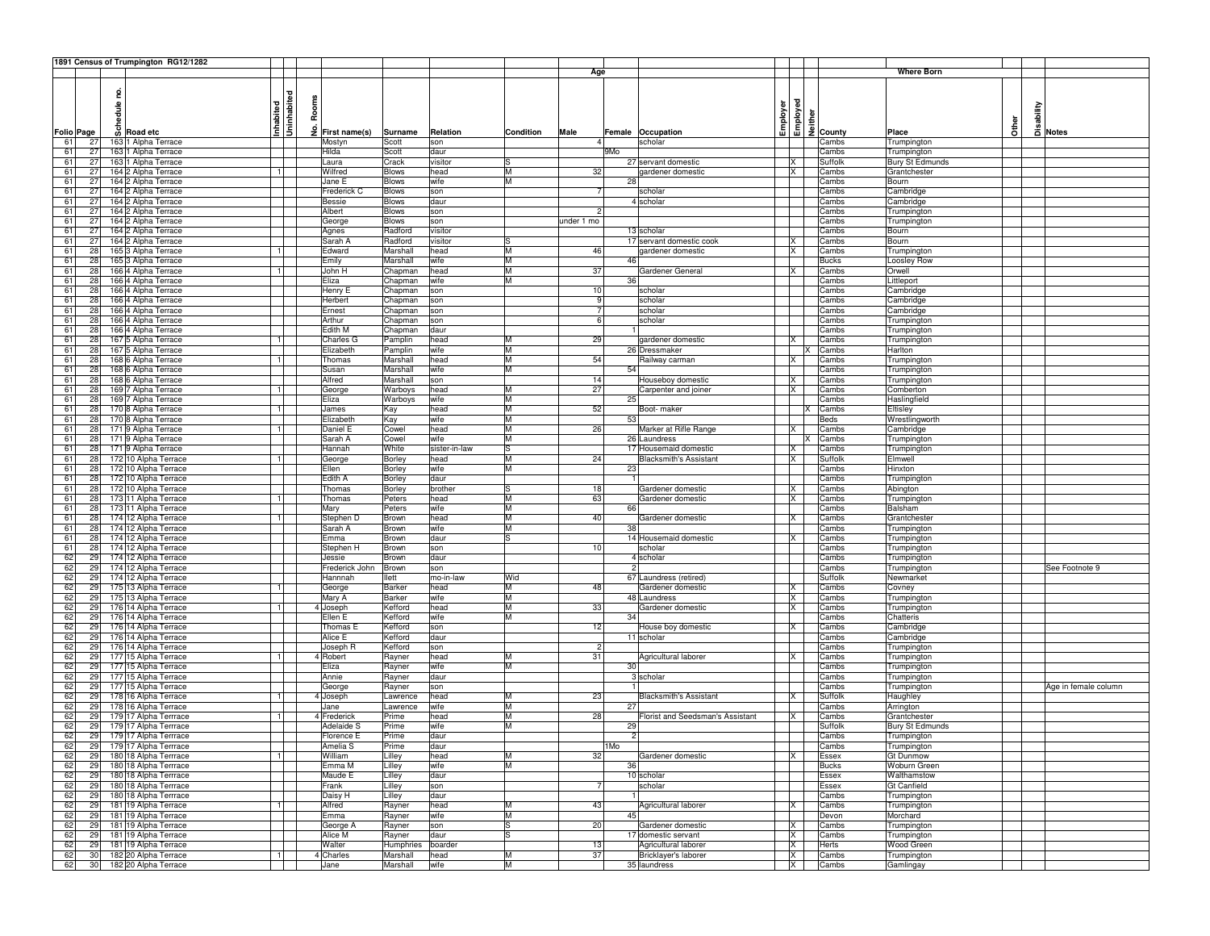|                  |           | 1891 Census of Trumpington RG12/1282           |                |                     |                              |               |           |                |                      |                                  |                         |                                                                                                                                                                                                      |                  |                                        |              |          |                      |
|------------------|-----------|------------------------------------------------|----------------|---------------------|------------------------------|---------------|-----------|----------------|----------------------|----------------------------------|-------------------------|------------------------------------------------------------------------------------------------------------------------------------------------------------------------------------------------------|------------------|----------------------------------------|--------------|----------|----------------------|
|                  |           |                                                |                |                     |                              |               |           | Age            |                      |                                  |                         |                                                                                                                                                                                                      |                  | <b>Where Born</b>                      |              |          |                      |
|                  |           |                                                |                |                     |                              |               |           |                |                      |                                  |                         |                                                                                                                                                                                                      |                  |                                        |              |          |                      |
|                  | hedule no |                                                | ᄝ              |                     |                              |               |           |                |                      |                                  |                         |                                                                                                                                                                                                      |                  |                                        |              |          |                      |
|                  |           |                                                | Inhabited      | Rooms               |                              |               |           |                |                      |                                  | Employer                | $\begin{array}{c c}\n\hline\n\text{1} & \text{2} \\ \hline\n\text{2} & \text{3} \\ \hline\n\text{3} & \text{4} \\ \hline\n\text{4} & \text{5} \\ \hline\n\text{5} & \text{6} \\ \hline\n\end{array}$ |                  |                                        |              | sability |                      |
|                  |           |                                                |                |                     |                              |               |           |                |                      |                                  |                         |                                                                                                                                                                                                      |                  |                                        |              |          |                      |
|                  | ஃ         |                                                | 3              | £                   |                              |               |           |                |                      |                                  |                         |                                                                                                                                                                                                      |                  |                                        | <b>Other</b> |          | Notes                |
| Folio Page<br>61 | 27        | <b>Road etc</b>                                |                | First name(s)       | Surname<br>Scott             | Relation      | Condition | Male           | Female Occupation    | scholar                          |                         |                                                                                                                                                                                                      |                  | Place<br>Trumpington                   |              |          |                      |
|                  | 27        | 163 1 Alpha Terrace<br>163 1 Alpha Terrace     |                | Mostyn<br>Hilda     |                              | son           |           |                | 9Mo                  |                                  |                         |                                                                                                                                                                                                      | Cambs            |                                        |              |          |                      |
| 61<br>61         | 27        |                                                |                |                     | Scott                        | daur          |           |                |                      | 27 servant domestic              | X                       |                                                                                                                                                                                                      | Cambs<br>Suffolk | Trumpington<br><b>Bury St Edmunds</b>  |              |          |                      |
|                  |           | 163 1 Alpha Terrace                            |                | Laura<br>Wilfred    | Crack                        | visitor       | M         |                |                      |                                  | X                       |                                                                                                                                                                                                      |                  |                                        |              |          |                      |
| 61<br>61         | 27<br>27  | 164 2 Alpha Terrace<br>164 2 Alpha Terrace     | 1              | Jane E              | <b>Blows</b><br><b>Blows</b> | head          | M         | 32             | 28                   | gardener domestic                |                         |                                                                                                                                                                                                      | Cambs<br>Cambs   | Grantchester<br>Bourn                  |              |          |                      |
| 61               | 27        | 164 2 Alpha Terrace                            |                | Frederick C         | <b>Blows</b>                 | wife<br>son   |           |                |                      | scholar                          |                         |                                                                                                                                                                                                      | Cambs            | Cambridge                              |              |          |                      |
| 61               | 27        | 164 2 Alpha Terrace                            |                | Bessie              | <b>Blows</b>                 | daur          |           |                |                      | 4 scholar                        |                         |                                                                                                                                                                                                      | Cambs            | Cambridge                              |              |          |                      |
| 61               | 27        | 164 2 Alpha Terrace                            |                | Albert              | Blows                        | son           |           | 2              |                      |                                  |                         |                                                                                                                                                                                                      | Cambs            | Trumpington                            |              |          |                      |
| 61               | 27        | 164 2 Alpha Terrace                            |                | George              | <b>Blows</b>                 | son           |           | under 1 mo     |                      |                                  |                         |                                                                                                                                                                                                      | Cambs            | Trumpington                            |              |          |                      |
| 61               | 27        | 164 2 Alpha Terrace                            |                | Agnes               | Radford                      | visitor       |           |                |                      | 13 scholar                       |                         |                                                                                                                                                                                                      | Cambs            | Bourn                                  |              |          |                      |
| 61               | 27        | 164 2 Alpha Terrace                            |                | Sarah A             | Radford                      | visitor       |           |                |                      | 17 servant domestic cook         | X                       |                                                                                                                                                                                                      | Cambs            | Bourn                                  |              |          |                      |
| 61               | 28        | 165 3 Alpha Terrace                            | $\overline{1}$ | Edward              | Marshall                     | head          | M         | 46             |                      | gardener domestic                | IX.                     |                                                                                                                                                                                                      | Cambs            | Trumpington                            |              |          |                      |
| 61               | 28        | 165 3 Alpha Terrace                            |                | Emily               | Marshall                     | wife          | M         |                | 46                   |                                  |                         |                                                                                                                                                                                                      | <b>Bucks</b>     | Loosley Row                            |              |          |                      |
| 61               | 28        | 166 4 Alpha Terrace                            | -1 I           | John H              | Chapman                      | head          | M         | 37             |                      | Gardener General                 | ΙX                      |                                                                                                                                                                                                      | Cambs            | Orwell                                 |              |          |                      |
| 61               | 28        | 166 4 Alpha Terrace                            |                | Eliza               | Chapman                      | wife          | M         |                | 36                   |                                  |                         |                                                                                                                                                                                                      | Cambs            | Littleport                             |              |          |                      |
| 61               | 28        | 166 4 Alpha Terrace                            |                | Henry E             | Chapman                      | son           |           | 10             |                      | scholar                          |                         |                                                                                                                                                                                                      | Cambs            | Cambridge                              |              |          |                      |
| 61               | 28        | 166 4 Alpha Terrace                            |                | Herbert             | Chapman                      | son           |           | 9              |                      | scholar                          |                         |                                                                                                                                                                                                      | Cambs            | Cambridge                              |              |          |                      |
| 61               | 28        | 166 4 Alpha Terrace                            |                | Ernest              | Chapman                      | son           |           | -7             |                      | scholar                          |                         |                                                                                                                                                                                                      | Cambs            | Cambridge                              |              |          |                      |
| 61               | 28        | 166 4 Alpha Terrace                            |                | Arthur              | Chapman                      | son           |           | 6              |                      | scholar                          |                         |                                                                                                                                                                                                      | Cambs            | Trumpington                            |              |          |                      |
| 61               | 28        | 166 4 Alpha Terrace                            |                | Edith M             | Chapman                      | daur          |           |                |                      |                                  |                         |                                                                                                                                                                                                      | Cambs            | Trumpington                            |              |          |                      |
| 61               | 28        | 167 5 Alpha Terrace                            | 1              | Charles G           | Pamplin                      | head          | M         | 29             |                      | gardener domestic                | ΙX                      |                                                                                                                                                                                                      | Cambs            | Trumpington                            |              |          |                      |
| 61               | 28        | 167 5 Alpha Terrace                            |                | Elizabeth           | Pamplin                      | wife          | M         |                |                      | 26 Dressmaker                    |                         |                                                                                                                                                                                                      | Cambs            | Harlton                                |              |          |                      |
| 61               | 28        | 168 6 Alpha Terrace                            | $\overline{1}$ | Thomas              | Marshall                     | head          | M         | 54             |                      | Railway carman                   | X                       |                                                                                                                                                                                                      | Cambs            | Trumpington                            |              |          |                      |
| 61               | 28        | 168 6 Alpha Terrace                            |                | Susan               | Marshall                     | wife          | M         |                | 54                   |                                  |                         |                                                                                                                                                                                                      | Cambs            | Trumpington                            |              |          |                      |
| 61               | 28        | 168 6 Alpha Terrace                            |                | Alfred              | Marshall                     | son           |           | 14             |                      | Houseboy domestic                | IX.                     |                                                                                                                                                                                                      | Cambs            | Trumpington                            |              |          |                      |
| 61               | 28        | 169 7 Alpha Terrace                            | -1 I           | George              | Warboys                      | head          | M         | 27             |                      | Carpenter and joiner             | <b>X</b>                |                                                                                                                                                                                                      | Cambs            | Comberton                              |              |          |                      |
| 61               | 28        | 169 7 Alpha Terrace                            |                | Eliza               | Warboys                      | wife          | M         |                | 25                   |                                  |                         |                                                                                                                                                                                                      | Cambs            | Haslingfield                           |              |          |                      |
| 61               | 28        | 170 8 Alpha Terrace                            | 1              | James               | Kay                          | head          | M         | 52             |                      | Boot- maker                      |                         |                                                                                                                                                                                                      | Cambs            | Eltisley                               |              |          |                      |
| 61               | 28        | 170 8 Alpha Terrace                            |                | Elizabeth           | Kay                          | wife          | M         |                | 53                   |                                  |                         |                                                                                                                                                                                                      | <b>Beds</b>      | Wrestlingworth                         |              |          |                      |
| 61               | 28        | 171 9 Alpha Terrace                            | $\overline{1}$ | Daniel E            | Cowel                        | head          | M         | 26             |                      | Marker at Rifle Range            | X                       |                                                                                                                                                                                                      | Cambs            | Cambridge                              |              |          |                      |
| 61               | 28        | 1719 Alpha Terrace                             |                | Sarah A             | Cowel                        | wife          | M         |                |                      | 26 Laundress                     |                         |                                                                                                                                                                                                      | Cambs            | Trumpington                            |              |          |                      |
| 61               | 28        | 171 9 Alpha Terrace                            |                | Hannah              | White                        | sister-in-law | ls        |                |                      | 17 Housemaid domestic            | IX                      |                                                                                                                                                                                                      | Cambs            | Trumpington                            |              |          |                      |
| 61               | 28        | 172 10 Alpha Terrace                           | 1              | George              | Borley                       | head          | M         | 24             |                      | <b>Blacksmith's Assistant</b>    | lx.                     |                                                                                                                                                                                                      | Suffolk          | Elmwell                                |              |          |                      |
| 61               | 28        | 172 10 Alpha Terrace                           |                | Ellen               | Borley                       | wife          | M         |                | 23                   |                                  |                         |                                                                                                                                                                                                      | Cambs            | Hinxton                                |              |          |                      |
| 61               | 28        | 172 10 Alpha Terrace                           |                | Edith A             | Borley                       | daur          |           |                |                      |                                  |                         |                                                                                                                                                                                                      | Cambs            | Trumpington                            |              |          |                      |
| 61               | 28        | 172 10 Alpha Terrace                           |                | Thomas              | Borley                       | brother       | ıs        | 18             |                      | Gardener domestic                | X                       |                                                                                                                                                                                                      | Cambs            | Abington                               |              |          |                      |
| 61               | 28        | 173 11 Alpha Terrace                           | $\overline{1}$ | Thomas              | Peters                       | head          | M         | 63             |                      | Gardener domestic                | X                       |                                                                                                                                                                                                      | Cambs            | Trumpington                            |              |          |                      |
| 61               | 28        | 173 11 Alpha Terrace                           |                | Mary                | Peters                       | wife          | M         |                | 66                   |                                  |                         |                                                                                                                                                                                                      | Cambs            | Balsham                                |              |          |                      |
| 61               | 28        | 174 12 Alpha Terrace                           | $\mathbf{1}$   | Stephen D           | Brown                        | head          | M         | 40             |                      | Gardener domestic                | ΙX                      |                                                                                                                                                                                                      | Cambs            | Grantchester                           |              |          |                      |
| 61               | 28        | 174 12 Alpha Terrace                           |                | Sarah A             | Brown                        | wife          | M         |                | 38                   |                                  |                         |                                                                                                                                                                                                      | Cambs            | Trumpington                            |              |          |                      |
| 61               | 28        | 174 12 Alpha Terrace                           |                | Emma                | Brown                        | daur          | lS        |                |                      | 14 Housemaid domestic            | ΙX                      |                                                                                                                                                                                                      | Cambs            | Trumpington                            |              |          |                      |
| 61               | 28        | 174 12 Alpha Terrace                           |                | Stephen H           | Brown                        | son           |           | 10             |                      | scholar                          |                         |                                                                                                                                                                                                      | Cambs            | Trumpington                            |              |          |                      |
| 62               | 29        | 174 12 Alpha Terrace                           |                | Jessie              | Brown                        | daur          |           |                |                      | 4 scholar                        |                         |                                                                                                                                                                                                      | Cambs            | Trumpington                            |              |          |                      |
| 62               | 29        | 174 12 Alpha Terrace                           |                | Frederick John      | Brown                        | son           |           |                |                      |                                  |                         |                                                                                                                                                                                                      | Cambs            | Trumpington                            |              |          | See Footnote 9       |
| 62               | 29        | 174 12 Alpha Terrace                           |                | Hannnah             | llett                        | mo-in-law     | Wid       |                |                      | 67 Laundress (retired)           |                         |                                                                                                                                                                                                      | Suffolk          | Newmarket                              |              |          |                      |
| 62               | 29        | 175 13 Alpha Terrace                           | 1              | George              | Barker                       | head          | M         | 48             |                      | Gardener domestic                | <b>X</b>                |                                                                                                                                                                                                      | Cambs            | Covney                                 |              |          |                      |
| 62               | 29        | 175 13 Alpha Terrace                           |                | Mary A              | Barker                       | wife          | M         |                |                      | 48 Laundress                     | IX.                     |                                                                                                                                                                                                      | Cambs            | Trumpington                            |              |          |                      |
| 62               | 29        | 176 14 Alpha Terrace                           | $\overline{1}$ | 4 Joseph            | Kefford                      | head          | M         | 33             |                      | Gardener domestic                | X                       |                                                                                                                                                                                                      | Cambs            | Trumpington                            |              |          |                      |
| 62               | 29        | 176 14 Alpha Terrace                           |                | Ellen E             | Kefford                      | wife          | M         |                | 34                   |                                  |                         |                                                                                                                                                                                                      | Cambs            | Chatteris                              |              |          |                      |
| 62               | 29        | 176 14 Alpha Terrace                           |                | Thomas E            | Kefford                      | son           |           | 12             |                      | louse boy domestic               | ΙX                      |                                                                                                                                                                                                      | Cambs            | Cambridge                              |              |          |                      |
| 62               | 29        | 176 14 Alpha Terrace                           |                | Alice E             | Kefford                      | daur          |           |                | 11 scholar           |                                  |                         |                                                                                                                                                                                                      | Cambs            | Cambridge                              |              |          |                      |
| 62               | 29        | 176 14 Alpha Terrace                           |                | Joseph R            | Kefford                      | son           |           | $\overline{2}$ |                      |                                  |                         |                                                                                                                                                                                                      | Cambs            | Trumpington                            |              |          |                      |
| 62               | 29        | 177 15 Alpha Terrace                           | 1              | 4 Robert            | Rayner                       | head          | M         | 31             |                      | Agricultural laborer             |                         |                                                                                                                                                                                                      | Cambs            | Trumpington                            |              |          |                      |
| 62               | 29        | 177 15 Alpha Terrace                           |                | Eliza               | Rayner                       | wife          | lм        |                | 30                   |                                  |                         |                                                                                                                                                                                                      | Cambs            | Trumpington                            |              |          |                      |
| 62               | 29        | 177 15 Alpha Terrace                           |                | Annie               | Rayner                       | daur          |           |                |                      | 3 scholar                        |                         |                                                                                                                                                                                                      | Cambs            | Trumpington                            |              |          |                      |
| 62               | 29        | 177 15 Alpha Terrace                           |                | George              | Rayner                       | son           |           |                |                      |                                  |                         |                                                                                                                                                                                                      | Cambs            | Trumpington                            |              |          | Age in female column |
| 62               | 29        | 178 16 Alpha Terrace                           | 1              | 4 Joseph            | Lawrence                     | head          | M         | 23             |                      | <b>Blacksmith's Assistant</b>    | IX.                     |                                                                                                                                                                                                      | Suffolk          | Haughley                               |              |          |                      |
| 62               | 29        | 178 16 Alpha Terrace                           |                | Jane                | Lawrence                     | wife          | M         | 28             | 27                   |                                  |                         |                                                                                                                                                                                                      | Cambs            | Arrington                              |              |          |                      |
| 62               | 29        | 179 17 Alpha Terrrace                          | 1              | 4 Frederick         | Prime                        | head          | M<br>M    |                |                      | Florist and Seedsman's Assistant |                         |                                                                                                                                                                                                      | Cambs            | Grantchester<br><b>Bury St Edmunds</b> |              |          |                      |
| 62               | 29        | 179 17 Alpha Terrrace                          |                | Adelaide S          | Prime                        | wife          |           |                | 29<br>$\overline{2}$ |                                  |                         |                                                                                                                                                                                                      | Suffolk          |                                        |              |          |                      |
| 62               | 29        | 179 17 Alpha Terrrace                          |                | Florence E          | Prime                        | daur          |           |                |                      |                                  |                         |                                                                                                                                                                                                      | Cambs            | Trumpington                            |              |          |                      |
| -62<br>62        | 29        | 29 179 17 Alpha Terrrace                       | 1              | Amelia S<br>William | Prime<br>Lilley              | daur<br>head  | M         | 32             | 1 Mo                 | Gardener domestic                |                         | IX.                                                                                                                                                                                                  | Cambs<br>Essex   | Trumpington<br><b>Gt Dunmow</b>        |              |          |                      |
| 62               | 29        | 180 18 Alpha Terrrace<br>180 18 Alpha Terrrace |                | Emma M              |                              |               | M         |                | 36                   |                                  |                         |                                                                                                                                                                                                      | <b>Bucks</b>     | Woburn Green                           |              |          |                      |
| 62               | 29        | 180 18 Alpha Terrrace                          |                | Maude E             | Lilley<br>Lilley             | wife          |           |                | 10 scholar           |                                  |                         |                                                                                                                                                                                                      |                  | Walthamstow                            |              |          |                      |
| 62               | 29        | 180 18 Alpha Terrrace                          |                | Frank               |                              | daur          |           |                |                      | scholar                          |                         |                                                                                                                                                                                                      | Essex<br>Essex   | Gt Canfield                            |              |          |                      |
| 62               |           |                                                |                |                     | Lilley                       | son<br>daur   |           | 7              |                      |                                  |                         |                                                                                                                                                                                                      |                  |                                        |              |          |                      |
|                  | 29        | 180 18 Alpha Terrrace                          |                | Daisy H             | Lilley                       |               |           |                |                      |                                  |                         |                                                                                                                                                                                                      | Cambs            | Trumpington                            |              |          |                      |
| 62               | 29        | 181 19 Alpha Terrace                           | 1              | Alfred              | Rayner                       | head<br>wife  | M<br>M    | 43             | 45                   | Agricultural laborer             |                         | X                                                                                                                                                                                                    | Cambs            | Trumpington                            |              |          |                      |
| 62<br>62         | 29<br>29  | 181 19 Alpha Terrace<br>181 19 Alpha Terrace   |                | Emma                | Rayner                       |               | ls        | 20             |                      | Gardener domestic                | <b>X</b>                |                                                                                                                                                                                                      | Devon<br>Cambs   | Morchard                               |              |          |                      |
| 62               | 29        | 181 19 Alpha Terrace                           |                | George A<br>Alice M | Rayner<br>Rayner             | son<br>daur   | lS.       |                |                      | 17 domestic servant              |                         | <b>X</b>                                                                                                                                                                                             | Cambs            | Trumpington                            |              |          |                      |
| 62               | 29        | 181 19 Alpha Terrace                           |                | Walter              | Humphries                    | boarder       |           | 13             |                      | Agricultural laborer             | $\overline{\mathsf{x}}$ |                                                                                                                                                                                                      | Herts            | Trumpington<br>Wood Green              |              |          |                      |
| 62               | 30        | 182 20 Alpha Terrace                           |                |                     | Marshall                     | head          | M         | 37             |                      | Bricklayer's laborer             |                         | X                                                                                                                                                                                                    | Cambs            |                                        |              |          |                      |
| 62               |           | 30 182 20 Alpha Terrace                        | $\mathbf{1}$   | 4 Charles<br>Jane   | Marshall                     | wife          | M         |                |                      | 35 laundress                     |                         | X                                                                                                                                                                                                    | Cambs            | Trumpington<br>Gamlingay               |              |          |                      |
|                  |           |                                                |                |                     |                              |               |           |                |                      |                                  |                         |                                                                                                                                                                                                      |                  |                                        |              |          |                      |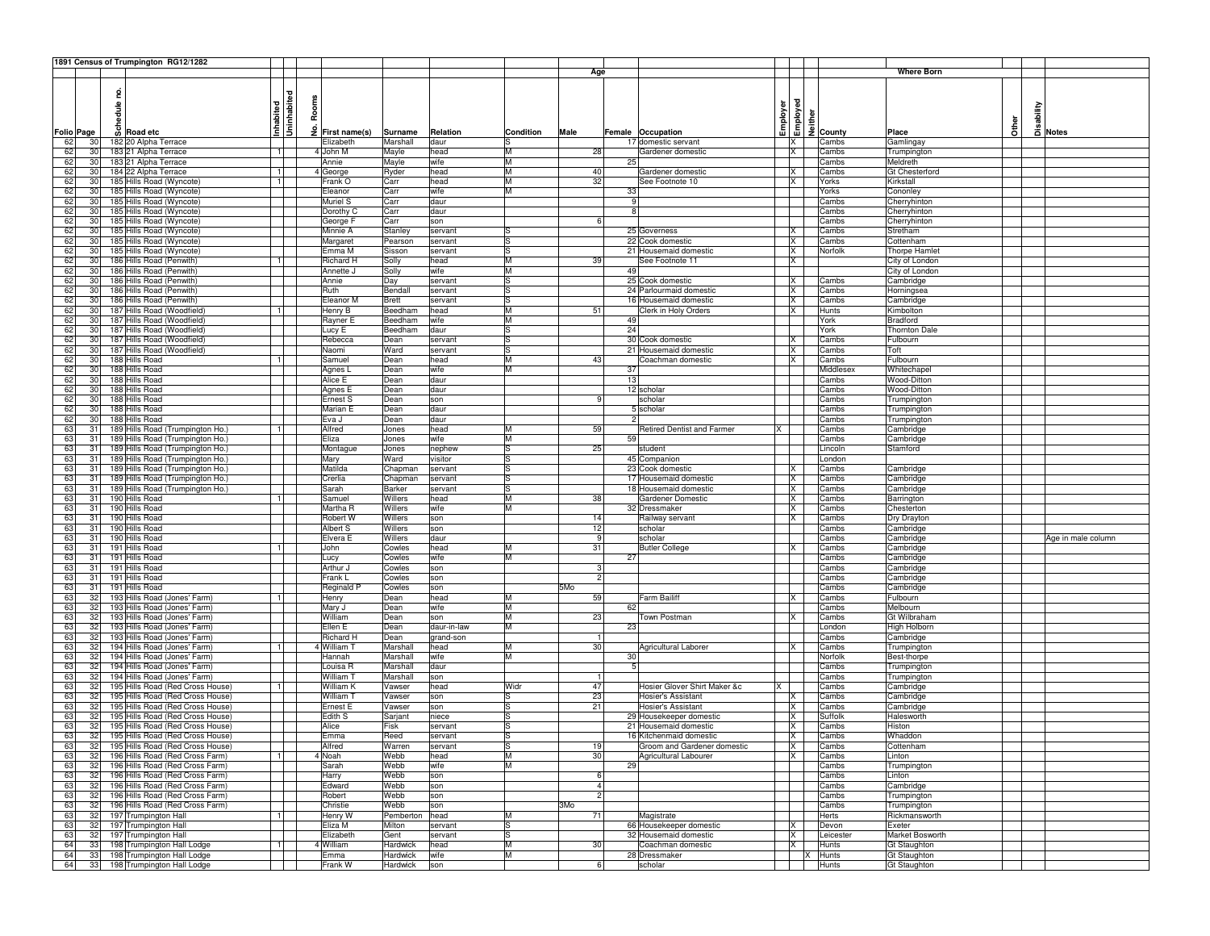|                   |        | 1891 Census of Trumpington RG12/1282 |                |               |              |             |           |              |                                     |          |                                                                                    |                      |              |          |                    |
|-------------------|--------|--------------------------------------|----------------|---------------|--------------|-------------|-----------|--------------|-------------------------------------|----------|------------------------------------------------------------------------------------|----------------------|--------------|----------|--------------------|
|                   |        |                                      |                |               |              |             |           | Age          |                                     |          |                                                                                    | <b>Where Born</b>    |              |          |                    |
|                   |        |                                      |                |               |              |             |           |              |                                     |          |                                                                                    |                      |              |          |                    |
|                   |        |                                      | ᄝ              |               |              |             |           |              |                                     |          |                                                                                    |                      |              |          |                    |
|                   |        |                                      |                |               |              |             |           |              |                                     |          | <b>Enployer</b><br><b>Enployed</b><br><u>Enployed</u><br><u>Enployed</u><br>County |                      |              |          |                    |
|                   |        |                                      | noon<br>Ro     |               |              |             |           |              |                                     |          |                                                                                    |                      |              |          |                    |
|                   | hedule |                                      | inhabit        |               |              |             |           |              |                                     |          |                                                                                    |                      |              | sability |                    |
|                   |        | $\frac{6}{9}$ Road etc               | Inhabited<br>£ |               |              |             |           |              |                                     |          |                                                                                    |                      | <b>Other</b> |          |                    |
| <b>Folio Page</b> |        |                                      |                | First name(s) | Surname      | Relation    | Condition | Male         | Female Occupation                   |          |                                                                                    | Place                |              |          | 급 Notes            |
| 62<br>30          |        | 182 20 Alpha Terrace                 |                | Elizabeth     | Marshall     | daur        | lS.       |              | 17 domestic servant                 | <b>X</b> | Cambs                                                                              | Gamlingay            |              |          |                    |
| 62<br>30          |        | 183 21 Alpha Terrace                 | 1              | 4 John M      | Mayle        | head        | M         | 28           | Gardener domestic                   |          | IX.<br>Cambs                                                                       | Trumpington          |              |          |                    |
| 62<br>30          |        | 183 21 Alpha Terrace                 |                | Annie         | Mayle        | wife        | M         |              | 25                                  |          | Cambs                                                                              | Meldreth             |              |          |                    |
| 62<br>30          |        | 184 22 Alpha Terrace                 | 1              | 4 George      | Ryder        | head        | M         | 40           | Gardener domestic                   | X        | Cambs                                                                              | Gt Chesterford       |              |          |                    |
| 62<br>30          |        | 185 Hills Road (Wyncote)             |                | Frank O       | Carr         | head        | M         | 32           | See Footnote 10                     | X        | Yorks                                                                              | Kirkstall            |              |          |                    |
| 62<br>30          |        | 185 Hills Road (Wyncote)             |                | Eleanor       | Carr         | wife        | M         |              | 33                                  |          | Yorks                                                                              | Cononley             |              |          |                    |
| 62<br>30          |        | 185 Hills Road (Wyncote)             |                | Muriel S      | Carr         | daur        |           |              |                                     |          | Cambs                                                                              | Cherryhinton         |              |          |                    |
| 62<br>30          |        | 185 Hills Road (Wyncote)             |                | Dorothy C     | Carr         | daur        |           |              |                                     |          | Cambs                                                                              | Cherryhinton         |              |          |                    |
| 62<br>30          |        | 185 Hills Road (Wyncote)             |                | George F      | Carr         | son         |           |              |                                     |          | Cambs                                                                              | Cherryhinton         |              |          |                    |
| 62<br>30          |        | 185 Hills Road (Wyncote)             |                | Minnie A      | Stanley      | servant     |           |              | 25 Governess                        | X        | Cambs                                                                              | Stretham             |              |          |                    |
| 30                |        |                                      |                |               |              |             | lS        |              | 22 Cook domestic                    |          |                                                                                    | Cottenham            |              |          |                    |
| 62                |        | 185 Hills Road (Wyncote              |                | Margaret      | Pearson      | servant     |           |              |                                     | X        | Cambs                                                                              |                      |              |          |                    |
| 62<br>30          |        | 185 Hills Road (Wyncote)             |                | Emma M        | Sisson       | servant     | lS        |              | 21 Housemaid domestic               | X        | Norfolk                                                                            | <b>Thorpe Hamlet</b> |              |          |                    |
| 62<br>30          |        | 186 Hills Road (Penwith)             | $\overline{1}$ | Richard H     | Solly        | head        | M         | 39           | See Footnote 11                     | IX.      |                                                                                    | City of London       |              |          |                    |
| 62<br>30          |        | 186 Hills Road (Penwith)             |                | Annette J     | Solly        | wife        | M         |              | 49                                  |          |                                                                                    | City of London       |              |          |                    |
| 62<br>30          |        | 186 Hills Road (Penwith)             |                | Annie         | Day          | servant     | l.S       |              | 25 Cook domestic                    | X        | Cambs                                                                              | Cambridge            |              |          |                    |
| 62<br>30          |        | 186 Hills Road (Penwith)             |                | Ruth          | Bendal       | servant     | lS        |              | 24 Parlourmaid domestic             | IX       | Cambs                                                                              | Horningsea           |              |          |                    |
| 62<br>30          |        | 186 Hills Road (Penwith)             |                | Eleanor M     | <b>Brett</b> | servant     | lS.       |              | 16 Housemaid domestic               | X        | Cambs                                                                              | Cambridge            |              |          |                    |
| 62<br>30          |        | 187 Hills Road (Woodfield)           | 1              | Henry B       | Beedham      | head        | M         | 51           | Clerk in Holy Orders                | X        | Hunts                                                                              | Kimbolton            |              |          |                    |
| 62<br>30          |        | 187 Hills Road (Woodfield)           |                | Rayner E      | Beedham      | wife        | M         |              | 49                                  |          | York                                                                               | <b>Bradford</b>      |              |          |                    |
| 62<br>30          |        | 187 Hills Road (Woodfield)           |                | Lucy E        | Beedham      | daur        | lS        |              | 24                                  |          | York                                                                               | <b>Thornton Dale</b> |              |          |                    |
| 62<br>30          |        | 187 Hills Road (Woodfield)           |                | Rebecca       | Dean         | servant     | ls        |              | 30 Cook domestic                    | IX.      | Cambs                                                                              | Fulbourn             |              |          |                    |
| 62<br>30          |        | 187 Hills Road (Woodfield)           |                | Naomi         | Ward         | servant     | ls        |              | 21 Housemaid domestic               | ΙX       | Cambs                                                                              | Toft                 |              |          |                    |
| 62<br>30          |        | 188 Hills Road                       |                | Samuel        | Dean         | head        | M         | 43           | Coachman domestic                   | X        | Cambs                                                                              | Fulbourn             |              |          |                    |
| 62<br>30          |        | 188 Hills Road                       |                |               | Dean         | wife        | M         |              | 37                                  |          | Middlesex                                                                          | Whitechapel          |              |          |                    |
|                   |        |                                      |                | Agnes L       |              |             |           |              |                                     |          |                                                                                    |                      |              |          |                    |
| 62<br>30          |        | 188 Hills Road                       |                | Alice E       | Dean         | daur        |           |              | 13                                  |          | Cambs                                                                              | Wood-Ditton          |              |          |                    |
| 62<br>30          |        | 188 Hills Road                       |                | Agnes E       | Dean         | daur        |           |              | 12 scholar                          |          | Cambs                                                                              | Wood-Ditton          |              |          |                    |
| 62<br>30          |        | 188 Hills Road                       |                | Ernest S      | Dean         | son         |           | 9            | scholar                             |          | Cambs                                                                              | Trumpington          |              |          |                    |
| 62<br>30          |        | 188 Hills Road                       |                | Marian E      | Dean         | daur        |           |              | 5 scholar                           |          | Cambs                                                                              | Trumpington          |              |          |                    |
| 62<br>30          |        | 188 Hills Road                       |                | Eva J         | Dean         | daur        |           |              |                                     |          | Cambs                                                                              | Trumpington          |              |          |                    |
| 63<br>31          |        | 189 Hills Road (Trumpington Ho.)     | 1              | Alfred        | Jones        | head        | M         | 59           | <b>Retired Dentist and Farmer</b>   |          | Cambs                                                                              | Cambridge            |              |          |                    |
| 63<br>-31         |        | 189 Hills Road (Trumpington Ho.)     |                | Eliza         | Jones        | wife        | M         |              | 59                                  |          | Cambs                                                                              | Cambridge            |              |          |                    |
| 63<br>-31         |        | 189 Hills Road (Trumpington Ho.)     |                | Montague      | Jones        | nephew      | lS        | 25           | student                             |          | Lincoln                                                                            | Stamford             |              |          |                    |
| 63<br>31          |        | 189 Hills Road (Trumpington Ho.)     |                | Mary          | Ward         | visitor     | lS        |              | 45 Companion                        |          | London                                                                             |                      |              |          |                    |
| 63<br>31          |        | 189 Hills Road (Trumpington Ho.)     |                | Matilda       | Chapman      | servant     | lS        |              | 23 Cook domestic                    | <b>X</b> | Cambs                                                                              | Cambridge            |              |          |                    |
| 63<br>31          |        | 189 Hills Road (Trumpington Ho.)     |                | Crerlia       | Chapman      | servant     | lS        |              | 17 Housemaid domestic               | IX.      | Cambs                                                                              | Cambridge            |              |          |                    |
|                   |        |                                      |                |               |              |             | l.S       |              |                                     |          |                                                                                    |                      |              |          |                    |
| 63<br>31          |        | 189 Hills Road (Trumpington Ho.)     |                | Sarah         | Barker       | servant     |           |              | 18 Housemaid domestic               | X        | Cambs                                                                              | Cambridge            |              |          |                    |
| 63<br>31          |        | 190 Hills Road                       |                | Samuel        | Willers      | head        | M         | 38           | Gardener Domestic                   | X        | Cambs                                                                              | Barrington           |              |          |                    |
| 63<br>31          |        | 190 Hills Road                       |                | Martha R      | Willers      | wife        | M         |              | 32 Dressmaker                       | X        | Cambs                                                                              | Chesterton           |              |          |                    |
| 63<br>31          |        | 190 Hills Road                       |                | Robert W      | Willers      | son         |           | 14           | Railway servant                     |          | IX.<br>Cambs                                                                       | Dry Drayton          |              |          |                    |
| 63<br>31          |        | 190 Hills Road                       |                | Albert S      | Willers      | son         |           | 12           | scholar                             |          | Cambs                                                                              | Cambridge            |              |          |                    |
| 63<br>31          |        | 190 Hills Road                       |                | Elvera E      | Willers      | daur        |           | 9            | scholar                             |          | Cambs                                                                              | Cambridge            |              |          | Age in male column |
| 63<br>31          |        | 191 Hills Road                       | 1              | John          | Cowles       | head        | M         | 31           | <b>Butler College</b>               | ΙX       | Cambs                                                                              | Cambridge            |              |          |                    |
| 63<br>31          |        | 191 Hills Road                       |                | Lucy          | Cowles       | wife        | M         |              | 27                                  |          | Cambs                                                                              | Cambridge            |              |          |                    |
| 63<br>31          |        | 191 Hills Road                       |                | Arthur J      | Cowles       | son         |           |              | 3                                   |          | Cambs                                                                              | Cambridge            |              |          |                    |
| 63<br>31          |        | 191 Hills Road                       |                | Frank L       | Cowles       | son         |           |              | $\overline{2}$                      |          | Cambs                                                                              | Cambridge            |              |          |                    |
| 63<br>31          |        | 191 Hills Road                       |                | Reginald P    | Cowles       | son         |           | 5Mo          |                                     |          | Cambs                                                                              | Cambridge            |              |          |                    |
| 32<br>63          |        | 193 Hills Road (Jones' Farm)         | 1              | Henry         | Dean         | head        | M         | 59           | <b>Farm Bailiff</b>                 | lx.      | Cambs                                                                              | Fulbourn             |              |          |                    |
| 63<br>32          |        | 193 Hills Road (Jones' Farm)         |                | Mary J        | Dean         | wife        | M         |              | 62                                  |          | Cambs                                                                              | Melbourn             |              |          |                    |
| 63<br>32          |        | 193 Hills Road (Jones' Farm)         |                | William       | Dean         | son         | M         | 23           | Town Postman                        | x        | Cambs                                                                              | Gt Wilbraham         |              |          |                    |
|                   |        |                                      |                |               |              |             | M         |              |                                     |          |                                                                                    |                      |              |          |                    |
| 63<br>32          |        | 193 Hills Road (Jones' Farm)         |                | Ellen E       | Dean         | daur-in-law |           |              | 23                                  |          | Londor                                                                             | High Holborn         |              |          |                    |
| 63<br>32          |        | 193 Hills Road (Jones' Farm)         |                | Richard H     | Dean         | grand-son   |           | $\mathbf{1}$ |                                     |          | Cambs                                                                              | Cambridge            |              |          |                    |
| 63<br>32          |        | 194 Hills Road (Jones' Farm)         | 11             | 4 William T   | Marshall     | head        | M         | 30           | Agricultural Laborer                | ΙX       | Cambs                                                                              | Trumpington          |              |          |                    |
| 63<br>32          |        | 194 Hills Road (Jones' Farm)         |                | Hannah        | Marshall     | wife        | M         |              | 30                                  |          | Norfolk                                                                            | Best-thorpe          |              |          |                    |
| 63<br>32          |        | 194 Hills Road (Jones' Farm)         |                | Louisa R      | Marshall     | daur        |           |              |                                     |          | Cambs                                                                              | Trumpington          |              |          |                    |
| 63<br>32          |        | 194 Hills Road (Jones' Farm)         |                | William 1     | Marshall     | son         |           |              |                                     |          | Cambs                                                                              | Trumpington          |              |          |                    |
| 63<br>32          |        | 195 Hills Road (Red Cross House)     | $\overline{1}$ | William K     | Vawser       | head        | Widr      | 47           | Hosier Glover Shirt Maker &c<br>IX. |          | Cambs                                                                              | Cambridge            |              |          |                    |
| 63<br>32          |        | 195 Hills Road (Red Cross House)     |                | William T     | Vawser       | son         | lS        | 23           | Hosier's Assistant                  | ΙX       | Cambs                                                                              | Cambridge            |              |          |                    |
| 63<br>32          |        | 195 Hills Road (Red Cross House)     |                | Ernest E      | Vawser       | son         | lS.       | 21           | Hosier's Assistant                  | IX.      | Cambs                                                                              | Cambridge            |              |          |                    |
| 63<br>32          |        | 195 Hills Road (Red Cross House)     |                | Edith S       | Sarjant      | niece       | S         |              | 29 Housekeeper domestic             | IX       | Suffolk                                                                            | Halesworth           |              |          |                    |
| 32<br>63          |        | 195 Hills Road (Red Cross House)     |                | Alice         | Fisk         | servant     | lS        |              | 21 Housemaid domestic               | IX       | Cambs                                                                              | Histon               |              |          |                    |
| 63<br>32          |        | 195 Hills Road (Red Cross House)     |                | Emma          | Reed         | servant     | lS        |              | 16 Kitchenmaid domestic             | X        | Cambs                                                                              | Whaddon              |              |          |                    |
|                   |        | 195 Hills Road (Red Cross House)     |                |               |              |             |           |              |                                     |          |                                                                                    |                      |              |          |                    |
| 63                |        |                                      |                | Alfred        | Warrer       | servant     | M         | 19<br>30     | Groom and Gardener domestic         |          | Cambs<br>X                                                                         | Cottenham            |              |          |                    |
|                   |        | 32 196 Hills Road (Red Cross Farm)   | 11             | 4 Noah        | Webb         | head        | M         |              | Agricultural Labourer               |          | Cambs                                                                              | Linton               |              |          |                    |
| 63<br>32          |        | 196 Hills Road (Red Cross Farm)      |                | Sarah         | Webb         | wife        |           |              | 29                                  |          | Cambs                                                                              | Trumpington          |              |          |                    |
| 63<br>32          |        | 196 Hills Road (Red Cross Farm)      |                | Harry         | Webb         | son         |           |              | 6                                   |          | Cambs                                                                              | Linton               |              |          |                    |
| 63<br>32          |        | 196 Hills Road (Red Cross Farm)      |                | Edward        | Webb         | son         |           |              | $\overline{4}$                      |          | Cambs                                                                              | Cambridge            |              |          |                    |
| 63<br>32          |        | 196 Hills Road (Red Cross Farm)      |                | Robert        | Webb         | son         |           |              | $\overline{2}$                      |          | Cambs                                                                              | Trumpington          |              |          |                    |
| 63<br>32          |        | 196 Hills Road (Red Cross Farm)      |                | Christie      | Webb         | son         |           | 3Mo          |                                     |          | Cambs                                                                              | Trumpington          |              |          |                    |
| 63<br>32          |        | 197 Trumpington Hall                 | 1              | Henry W       | Pemberton    | head        | M         | 71           | Magistrate                          |          | Herts                                                                              | Rickmansworth        |              |          |                    |
| 63<br>32          |        | 197 Trumpington Hall                 |                | Eliza M       | Milton       | servant     | lS        |              | 66 Housekeeper domestic             | IX.      | Devon                                                                              | Exeter               |              |          |                    |
| 63                |        | 32 197 Trumpington Hall              |                | Elizabeth     | Gent         | servant     | ls        |              | 32 Housemaid domestic               |          | <b>X</b><br>Leicester                                                              | Market Bosworth      |              |          |                    |
| 64<br>33          |        | 198 Trumpington Hall Lodge           | 1              | 4 William     | Hardwick     | head        | M         | 30           | Coachman domestic                   |          | $\mathsf{x}$<br>Hunts                                                              | <b>Gt Staughton</b>  |              |          |                    |
| 64<br>33          |        | 198 Trumpington Hall Lodge           |                | Emma          | Hardwick     | wife        | M         |              | 28 Dressmaker                       |          | X Hunts                                                                            | <b>Gt Staughton</b>  |              |          |                    |
| 64                |        | 33 198 Trumpington Hall Lodge        |                | Frank W       | Hardwick     | son         |           |              | 6<br>scholar                        |          | Hunts                                                                              | <b>Gt Staughton</b>  |              |          |                    |
|                   |        |                                      |                |               |              |             |           |              |                                     |          |                                                                                    |                      |              |          |                    |